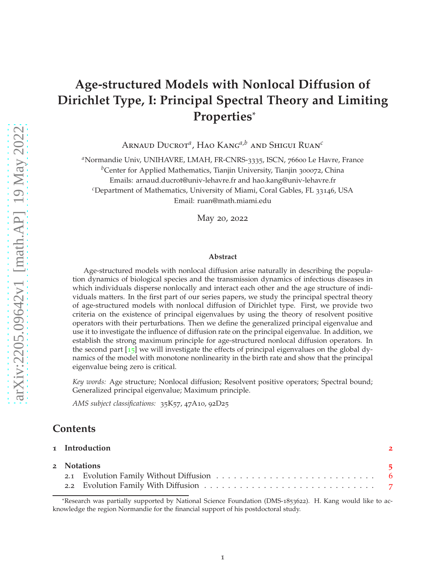# **Age-structured Models with Nonlocal Diffusion of Dirichlet Type, I: Principal Spectral Theory and Limiting Properties**\*

Arnaud Ducrot*<sup>a</sup>* , Hao Kang*a*,*<sup>b</sup>* and Shigui Ruan*<sup>c</sup>*

<sup>a</sup>Normandie Univ, UNIHAVRE, LMAH, FR-CNRS-3335, ISCN, 76600 Le Havre, France

<sup>*b*</sup>Center for Applied Mathematics, Tianjin University, Tianjin 300072, China

Emails: arnaud.ducrot@univ-lehavre.fr and hao.kang@univ-lehavre.fr

*<sup>c</sup>*Department of Mathematics, University of Miami, Coral Gables, FL 33146, USA

Email: ruan@math.miami.edu

May 20, 2022

#### **Abstract**

Age-structured models with nonlocal diffusion arise naturally in describing the population dynamics of biological species and the transmission dynamics of infectious diseases in which individuals disperse nonlocally and interact each other and the age structure of individuals matters. In the first part of our series papers, we study the principal spectral theory of age-structured models with nonlocal diffusion of Dirichlet type. First, we provide two criteria on the existence of principal eigenvalues by using the theory of resolvent positive operators with their perturbations. Then we define the generalized principal eigenvalue and use it to investigate the influence of diffusion rate on the principal eigenvalue. In addition, we establish the strong maximum principle for age-structured nonlocal diffusion operators. In the second part  $\lceil 15 \rceil$  $\lceil 15 \rceil$  $\lceil 15 \rceil$  we will investigate the effects of principal eigenvalues on the global dynamics of the model with monotone nonlinearity in the birth rate and show that the principal eigenvalue being zero is critical.

*Key words:* Age structure; Nonlocal diffusion; Resolvent positive operators; Spectral bound; Generalized principal eigenvalue; Maximum principle.

*AMS subject classifications:* 35K57, 47A10, 92D25

# **Contents**

|  | 1 Introduction | $\mathcal{P}$ |
|--|----------------|---------------|
|  | 2 Notations    | 5             |
|  |                |               |
|  |                |               |

<sup>\*</sup>Research was partially supported by National Science Foundation (DMS-1853622). H. Kang would like to acknowledge the region Normandie for the financial support of his postdoctoral study.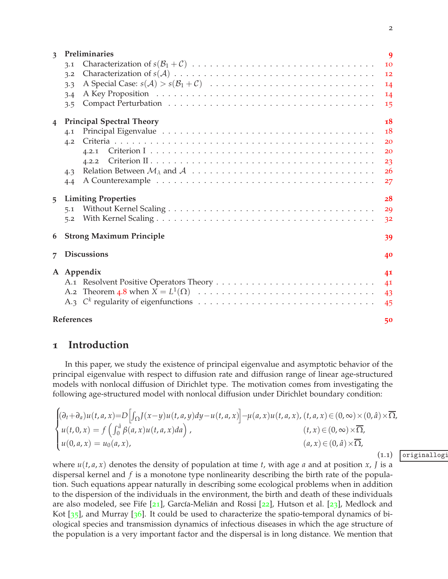|                | 3.3                              |                |  |  |
|----------------|----------------------------------|----------------|--|--|
|                | 3.4                              | 14             |  |  |
|                | 3.5                              | 15             |  |  |
| $\overline{4}$ | <b>Principal Spectral Theory</b> | 18             |  |  |
|                | 4.1                              | 18             |  |  |
|                | 4.2                              | 20             |  |  |
|                | 4.2.1                            | 20             |  |  |
|                |                                  | 23             |  |  |
|                | 4.3                              | 26             |  |  |
|                | 4.4                              | 27             |  |  |
| 5 <sup>1</sup> | <b>Limiting Properties</b>       | 28             |  |  |
|                | 5.1                              | 29             |  |  |
|                |                                  | 3 <sup>2</sup> |  |  |
|                | 6 Strong Maximum Principle       | 39             |  |  |
| $\overline{7}$ | <b>Discussions</b>               | 40             |  |  |
|                |                                  |                |  |  |
|                | A Appendix                       | 41             |  |  |
|                |                                  | 41             |  |  |
|                |                                  | 43             |  |  |
|                |                                  | 45             |  |  |
|                | References                       |                |  |  |

# **1 Introduction**

In this paper, we study the existence of principal eigenvalue and asymptotic behavior of the principal eigenvalue with respect to diffusion rate and diffusion range of linear age-structured models with nonlocal diffusion of Dirichlet type. The motivation comes from investigating the following age-structured model with nonlocal diffusion under Dirichlet boundary condition:

$$
\begin{cases}\n(\partial_t + \partial_a)u(t, a, x) = D\left[\int_{\Omega}J(x - y)u(t, a, y)dy - u(t, a, x)\right] - \mu(a, x)u(t, a, x), (t, a, x) \in (0, \infty) \times (0, \hat{a}) \times \overline{\Omega}, \\
u(t, 0, x) = f\left(\int_0^{\hat{a}} \beta(a, x)u(t, a, x)da\right), & (t, x) \in (0, \infty) \times \overline{\Omega}, \\
u(0, a, x) = u_0(a, x), & (a, x) \in (0, \hat{a}) \times \overline{\Omega},\n\end{cases}
$$

where  $u(t, a, x)$  denotes the density of population at time  $t$ , with age  $a$  and at position  $x$ ,  $J$  is a dispersal kernel and *f* is a monotone type nonlinearity describing the birth rate of the population. Such equations appear naturally in describing some ecological problems when in addition to the dispersion of the individuals in the environment, the birth and death of these individuals are also modeled, see Fife  $[21]$  $[21]$  $[21]$ , García-Melián and Rossi  $[22]$  $[22]$  $[22]$ , Hutson et al.  $[23]$  $[23]$  $[23]$ , Medlock and Kot  $[35]$  $[35]$  $[35]$ , and Murray  $[36]$  $[36]$  $[36]$ . It could be used to characterize the spatio-temporal dynamics of biological species and transmission dynamics of infectious diseases in which the age structure of the population is a very important factor and the dispersal is in long distance. We mention that

 $(1.1)$  originallogi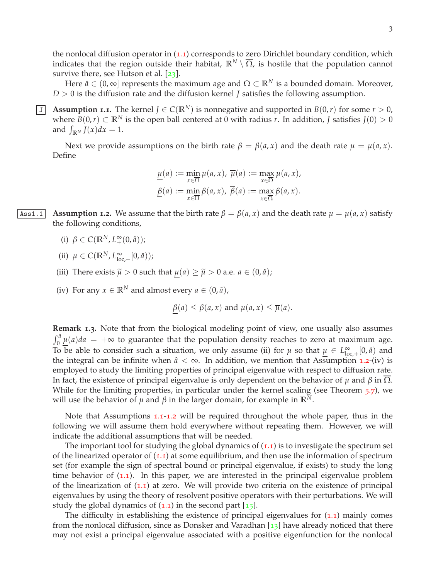the nonlocal diffusion operator in ([1](#page-40-2).1) corresponds to zero Dirichlet boundary condition, which indicates that the region outside their habitat,  $\mathbb{R}^N \setminus \overline{\Omega}$ , is hostile that the population cannot survive there, see Hutson et al.  $[23]$  $[23]$  $[23]$ .

Here  $\hat{a} \in (0, \infty]$  represents the maximum age and  $\Omega \subset \mathbb{R}^N$  is a bounded domain. Moreover, *D* > 0 is the diffusion rate and the diffusion kernel *J* satisfies the following assumption.

**J** Assumption **1.1**. The kernel  $J \in C(\mathbb{R}^N)$  is nonnegative and supported in  $B(0,r)$  for some  $r > 0$ , where  $B(0,r) \subset \mathbb{R}^N$  is the open ball centered at 0 with radius *r*. In addition, *J* satisfies  $J(0) > 0$ and  $\int_{\mathbb{R}^N} f(x) dx = 1$ .

Next we provide assumptions on the birth rate  $\beta = \beta(a, x)$  and the death rate  $\mu = \mu(a, x)$ . Define

$$
\underline{\mu}(a) := \min_{x \in \overline{\Omega}} \mu(a, x), \ \overline{\mu}(a) := \max_{x \in \overline{\Omega}} \mu(a, x),
$$

$$
\underline{\beta}(a) := \min_{x \in \overline{\Omega}} \beta(a, x), \ \overline{\beta}(a) := \max_{x \in \overline{\Omega}} \beta(a, x).
$$

Ass1.1 **Assumption 1.2.** We assume that the birth rate  $\beta = \beta(a, x)$  and the death rate  $\mu = \mu(a, x)$  satisfy the following conditions,

- (i)  $\beta \in C(\mathbb{R}^N, L_+^{\infty}(0, \hat{a}));$
- (ii)  $\mu \in C(\mathbb{R}^N, L^{\infty}_{\text{lo}})$  $_{\text{loc},+}^{\infty}[0,\hat{a})$ );
- (iii) There exists  $\tilde{\mu} > 0$  such that  $\mu(a) \ge \tilde{\mu} > 0$  a.e.  $a \in (0, \hat{a})$ ;
- (iv) For any  $x \in \mathbb{R}^N$  and almost every  $a \in (0, \hat{a})$ ,

$$
\beta(a) \leq \beta(a, x)
$$
 and  $\mu(a, x) \leq \overline{\mu}(a)$ .

**Remark 1.3.** Note that from the biological modeling point of view, one usually also assumes  $\int_0^{\hat{a}} \underline{\mu}(a) da = +\infty$  to guarantee that the population density reaches to zero at maximum age. To be able to consider such a situation, we only assume (ii) for  $\mu$  so that  $\mu \in L^{\infty}_{\text{loc}}$  $_{\text{loc},+}^{\infty}[0,\hat{a})$  and the integral can be infinite when  $\hat{a} < \infty$ . In addition, we mention that Assumption [1](#page-40-3).2-(iv) is employed to study the limiting properties of principal eigenvalue with respect to diffusion rate. In fact, the existence of principal eigenvalue is only dependent on the behavior of *µ* and *β* in Ω. While for the limiting properties, in particular under the kernel scaling (see Theorem [5](#page-33-0).7), we will use the behavior of *μ* and *β* in the larger domain, for example in  $\mathbb{R}^N$ .

Note that Assumptions [1](#page-40-4).1-[1](#page-40-3).2 will be required throughout the whole paper, thus in the following we will assume them hold everywhere without repeating them. However, we will indicate the additional assumptions that will be needed.

The important tool for studying the global dynamics of  $(1.1)$  $(1.1)$  $(1.1)$  is to investigate the spectrum set of the linearized operator of  $(1.1)$  $(1.1)$  $(1.1)$  at some equilibrium, and then use the information of spectrum set (for example the sign of spectral bound or principal eigenvalue, if exists) to study the long time behavior of ([1](#page-40-2).1). In this paper, we are interested in the principal eigenvalue problem of the linearization of  $(1.1)$  $(1.1)$  $(1.1)$  at zero. We will provide two criteria on the existence of principal eigenvalues by using the theory of resolvent positive operators with their perturbations. We will study the global dynamics of  $(1.1)$  $(1.1)$  $(1.1)$  in the second part  $[15]$  $[15]$  $[15]$ .

The difficulty in establishing the existence of principal eigenvalues for ([1](#page-40-2).1) mainly comes from the nonlocal diffusion, since as Donsker and Varadhan  $\left[13\right]$  $\left[13\right]$  $\left[13\right]$  have already noticed that there may not exist a principal eigenvalue associated with a positive eigenfunction for the nonlocal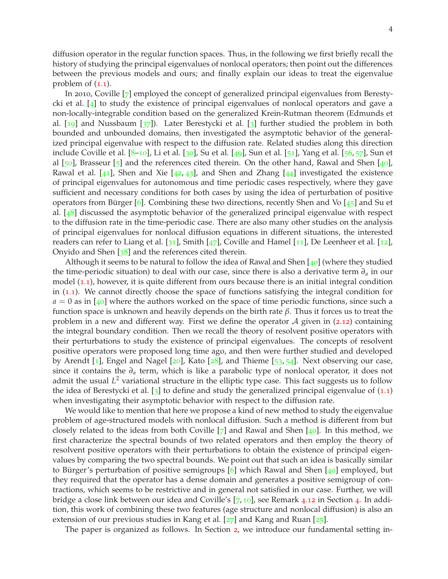diffusion operator in the regular function spaces. Thus, in the following we first briefly recall the history of studying the principal eigenvalues of nonlocal operators; then point out the differences between the previous models and ours; and finally explain our ideas to treat the eigenvalue problem of ([1](#page-40-2).1).

In 2010, Coville [[7](#page-46-2)] employed the concept of generalized principal eigenvalues from Berestycki et al. [[4](#page-46-3)] to study the existence of principal eigenvalues of nonlocal operators and gave a non-locally-integrable condition based on the generalized Krein-Rutman theorem (Edmunds et al. [[19](#page-47-4)] and Nussbaum [[37](#page-48-2)]). Later Berestycki et al. [[3](#page-46-4)] further studied the problem in both bounded and unbounded domains, then investigated the asymptotic behavior of the generalized principal eigenvalue with respect to the diffusion rate. Related studies along this direction include Coville et al. [[8](#page-46-5)–[10](#page-46-6)], Li et al. [[30](#page-47-5)], Su et al. [[49](#page-48-3)], Sun et al. [[51](#page-49-0)], Yang et al. [[56](#page-49-1), [57](#page-49-2)], Sun et al  $[50]$  $[50]$  $[50]$ , Brasseur  $[5]$  $[5]$  $[5]$  and the references cited therein. On the other hand, Rawal and Shen  $[40]$  $[40]$  $[40]$ , Rawal et al.  $[41]$  $[41]$  $[41]$ , Shen and Xie  $[42, 43]$  $[42, 43]$  $[42, 43]$  $[42, 43]$  $[42, 43]$ , and Shen and Zhang  $[44]$  $[44]$  $[44]$  investigated the existence of principal eigenvalues for autonomous and time periodic cases respectively, where they gave sufficient and necessary conditions for both cases by using the idea of perturbation of positive operators from Bürger [[6](#page-46-8)]. Combining these two directions, recently Shen and Vo  $[45]$  $[45]$  $[45]$  and Su et al. [[48](#page-48-10)] discussed the asymptotic behavior of the generalized principal eigenvalue with respect to the diffusion rate in the time-periodic case. There are also many other studies on the analysis of principal eigenvalues for nonlocal diffusion equations in different situations, the interested readers can refer to Liang et al. [[31](#page-47-6)], Smith [[47](#page-48-11)], Coville and Hamel [[11](#page-46-9)], De Leenheer et al. [[12](#page-46-10)], Onyido and Shen [[38](#page-48-12)] and the references cited therein.

Although it seems to be natural to follow the idea of Rawal and Shen  $[40]$  $[40]$  $[40]$  (where they studied the time-periodic situation) to deal with our case, since there is also a derivative term  $\partial_a$  in our model  $(1.1)$  $(1.1)$  $(1.1)$ , however, it is quite different from ours because there is an initial integral condition in ([1](#page-40-2).1). We cannot directly choose the space of functions satisfying the integral condition for  $a = 0$  as in [[40](#page-48-4)] where the authors worked on the space of time periodic functions, since such a function space is unknown and heavily depends on the birth rate *β*. Thus it forces us to treat the problem in a new and different way. First we define the operator  $A$  given in (2.[12](#page-7-0)) containing the integral boundary condition. Then we recall the theory of resolvent positive operators with their perturbations to study the existence of principal eigenvalues. The concepts of resolvent positive operators were proposed long time ago, and then were further studied and developed by Arendt  $[1]$  $[1]$  $[1]$ , Engel and Nagel  $[20]$  $[20]$  $[20]$ , Kato  $[28]$  $[28]$  $[28]$ , and Thieme  $[53, 54]$  $[53, 54]$  $[53, 54]$  $[53, 54]$  $[53, 54]$ . Next observing our case, since it contains the *∂<sup>a</sup>* term, which is like a parabolic type of nonlocal operator, it does not admit the usual *L* <sup>2</sup> variational structure in the elliptic type case. This fact suggests us to follow the idea of Berestycki et al. [[3](#page-46-4)] to define and study the generalized principal eigenvalue of  $(1.1)$  $(1.1)$  $(1.1)$ when investigating their asymptotic behavior with respect to the diffusion rate.

We would like to mention that here we propose a kind of new method to study the eigenvalue problem of age-structured models with nonlocal diffusion. Such a method is different from but closely related to the ideas from both Coville  $\boxed{7}$  $\boxed{7}$  $\boxed{7}$  and Rawal and Shen  $\boxed{40}$  $\boxed{40}$  $\boxed{40}$ . In this method, we first characterize the spectral bounds of two related operators and then employ the theory of resolvent positive operators with their perturbations to obtain the existence of principal eigenvalues by comparing the two spectral bounds. We point out that such an idea is basically similar to Bürger's perturbation of positive semigroups  $[6]$  $[6]$  $[6]$  which Rawal and Shen  $[40]$  $[40]$  $[40]$  employed, but they required that the operator has a dense domain and generates a positive semigroup of contractions, which seems to be restrictive and in general not satisfied in our case. Further, we will bridge a close link between our idea and Coville's [[7](#page-46-2), [10](#page-46-6)], see Remark 4.[12](#page-25-1) in Section [4](#page-17-0). In addition, this work of combining these two features (age structure and nonlocal diffusion) is also an extension of our previous studies in Kang et al. [[27](#page-47-9)] and Kang and Ruan [[25](#page-47-10)].

The paper is organized as follows. In Section [2](#page-4-0), we introduce our fundamental setting in-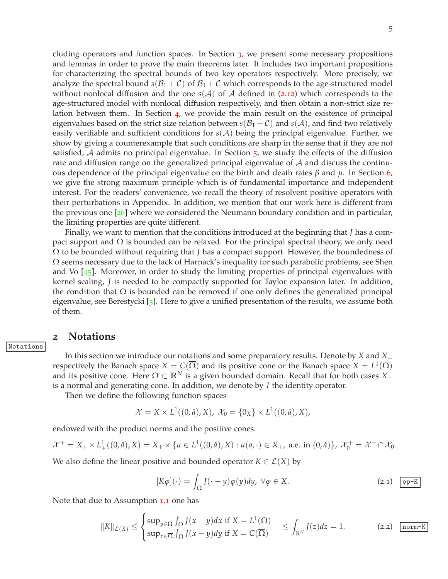cluding operators and function spaces. In Section [3](#page-8-0), we present some necessary propositions and lemmas in order to prove the main theorems later. It includes two important propositions for characterizing the spectral bounds of two key operators respectively. More precisely, we analyze the spectral bound  $s(B_1 + C)$  of  $B_1 + C$  which corresponds to the age-structured model without nonlocal diffusion and the one  $s(A)$  of A defined in (2.[12](#page-7-0)) which corresponds to the age-structured model with nonlocal diffusion respectively, and then obtain a non-strict size relation between them. In Section [4](#page-17-0), we provide the main result on the existence of principal eigenvalues based on the strict size relation between  $s(\mathcal{B}_1 + \mathcal{C})$  and  $s(\mathcal{A})$ , and find two relatively easily verifiable and sufficient conditions for  $s(A)$  being the principal eigenvalue. Further, we show by giving a counterexample that such conditions are sharp in the sense that if they are not satisfied,  $\mathcal A$  admits no principal eigenvalue. In Section  $\mathfrak z$ , we study the effects of the diffusion rate and diffusion range on the generalized principal eigenvalue of  $A$  and discuss the continuous dependence of the principal eigenvalue on the birth and death rates *β* and *µ*. In Section [6](#page-38-0), we give the strong maximum principle which is of fundamental importance and independent interest. For the readers' convenience, we recall the theory of resolvent positive operators with their perturbations in Appendix. In addition, we mention that our work here is different from the previous one [[26](#page-47-11)] where we considered the Neumann boundary condition and in particular, the limiting properties are quite different.

Finally, we want to mention that the conditions introduced at the beginning that *J* has a compact support and  $Ω$  is bounded can be relaxed. For the principal spectral theory, we only need Ω to be bounded without requiring that *J* has a compact support. However, the boundedness of  $\Omega$  seems necessary due to the lack of Harnack's inequality for such parabolic problems, see Shen and Vo  $[45]$  $[45]$  $[45]$ . Moreover, in order to study the limiting properties of principal eigenvalues with kernel scaling, *J* is needed to be compactly supported for Taylor expansion later. In addition, the condition that  $\Omega$  is bounded can be removed if one only defines the generalized principal eigenvalue, see Berestycki [[3](#page-46-4)]. Here to give a unified presentation of the results, we assume both of them.

### <span id="page-4-0"></span>**2 Notations**

Notations

In this section we introduce our notations and some preparatory results. Denote by *X* and *X*+ respectively the Banach space  $X = C(\overline{\Omega})$  and its positive cone or the Banach space  $X = L^1(\Omega)$ and its positive cone. Here  $\Omega \subset \mathbb{R}^N$  is a given bounded domain. Recall that for both cases  $X_+$ is a normal and generating cone. In addition, we denote by *I* the identity operator.

Then we define the following function spaces

$$
\mathcal{X}=X\times L^1((0,\hat{a}),X),\ \mathcal{X}_0=\{0_X\}\times L^1((0,\hat{a}),X),
$$

endowed with the product norms and the positive cones:

$$
\mathcal{X}^+ = X_+ \times L^1_+((0, \hat{a}), X) = X_+ \times \{u \in L^1((0, \hat{a}), X) : u(a, \cdot) \in X_+, \text{ a.e. in } (0, \hat{a})\}, \ \mathcal{X}_0^+ = \mathcal{X}^+ \cap \mathcal{X}_0.
$$

We also define the linear positive and bounded operator  $K \in \mathcal{L}(X)$  by

<span id="page-4-1"></span>
$$
[K\varphi](\cdot) = \int_{\Omega} J(\cdot - y)\varphi(y)dy, \ \forall \varphi \in X. \tag{2.1}
$$

Note that due to Assumption [1](#page-40-4).1 one has

<span id="page-4-2"></span>
$$
||K||_{\mathcal{L}(X)} \leq \begin{cases} \sup_{y \in \Omega} \int_{\Omega} J(x - y) dx \text{ if } X = L^{1}(\Omega) \\ \sup_{x \in \overline{\Omega}} \int_{\Omega} J(x - y) dy \text{ if } X = C(\overline{\Omega}) \end{cases} \leq \int_{\mathbb{R}^{N}} J(z) dz = 1.
$$
 (2.2) norm-K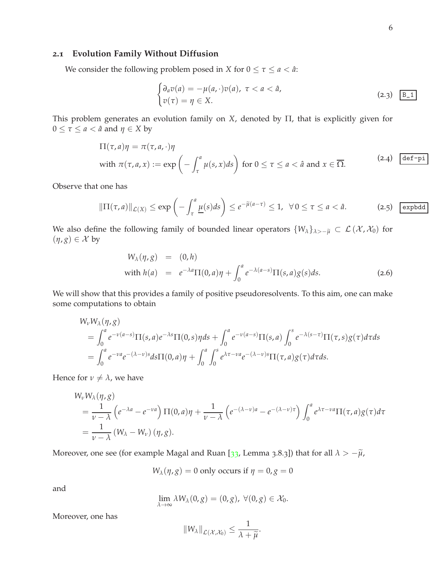### <span id="page-5-0"></span>**2.1 Evolution Family Without Diffusion**

We consider the following problem posed in *X* for  $0 \le \tau \le a < \hat{a}$ :

$$
\begin{cases} \partial_a v(a) = -\mu(a, \cdot) v(a), \ \tau < a < \hat{a}, \\ v(\tau) = \eta \in X. \end{cases} \tag{2.3}
$$

This problem generates an evolution family on *X*, denoted by Π, that is explicitly given for  $0 \le \tau \le a < \hat{a}$  and  $\eta \in X$  by

$$
\Pi(\tau, a)\eta = \pi(\tau, a, \cdot)\eta
$$
  
with  $\pi(\tau, a, x) := \exp\left(-\int_{\tau}^{a} \mu(s, x)ds\right)$  for  $0 \le \tau \le a < \hat{a}$  and  $x \in \overline{\Omega}$ . (2.4) [def-pi]

<span id="page-5-1"></span>Observe that one has

$$
\|\Pi(\tau,a)\|_{\mathcal{L}(X)} \le \exp\left(-\int_{\tau}^{a} \underline{\mu}(s)ds\right) \le e^{-\widetilde{\mu}(a-\tau)} \le 1, \ \ \forall \, 0 \le \tau \le a < \hat{a}.\tag{2.5}
$$
 *explodd*

We also define the following family of bounded linear operators  $\{W_\lambda\}_{\lambda>-\tilde{\mu}} \subset \mathcal{L}(\mathcal{X},\mathcal{X}_0)$  for  $(\eta, g) \in \mathcal{X}$  by

<span id="page-5-2"></span>
$$
W_{\lambda}(\eta, g) = (0, h)
$$
  
with  $h(a) = e^{-\lambda a} \Pi(0, a)\eta + \int_0^a e^{-\lambda(a-s)} \Pi(s, a)g(s)ds.$  (2.6)

We will show that this provides a family of positive pseudoresolvents. To this aim, one can make some computations to obtain

$$
W_{\nu}W_{\lambda}(\eta, g)
$$
  
=  $\int_0^a e^{-\nu(a-s)}\Pi(s, a)e^{-\lambda s}\Pi(0, s)\eta ds + \int_0^a e^{-\nu(a-s)}\Pi(s, a)\int_0^s e^{-\lambda(s-\tau)}\Pi(\tau, s)g(\tau)d\tau ds$   
=  $\int_0^a e^{-\nu a}e^{-(\lambda-\nu)s}d s\Pi(0, a)\eta + \int_0^a \int_0^s e^{\lambda\tau-\nu a}e^{-(\lambda-\nu)s}\Pi(\tau, a)g(\tau)d\tau ds.$ 

Hence for  $\nu \neq \lambda$ , we have

$$
W_{\nu}W_{\lambda}(\eta, g)
$$
  
=  $\frac{1}{\nu - \lambda} \left( e^{-\lambda a} - e^{-\nu a} \right) \Pi(0, a)\eta + \frac{1}{\nu - \lambda} \left( e^{-(\lambda - \nu)a} - e^{-(\lambda - \nu)\tau} \right) \int_0^a e^{\lambda \tau - \nu a} \Pi(\tau, a)g(\tau) d\tau$   
=  $\frac{1}{\nu - \lambda} (W_{\lambda} - W_{\nu}) (\eta, g).$ 

Moreover, one see (for example Magal and Ruan [[33](#page-48-13), Lemma 3.8.3]) that for all  $\lambda > -\tilde{\mu}$ ,

$$
W_{\lambda}(\eta, g) = 0
$$
 only occurs if  $\eta = 0, g = 0$ 

and

$$
\lim_{\lambda \to \infty} \lambda W_{\lambda}(0, g) = (0, g), \ \forall (0, g) \in \mathcal{X}_0.
$$

Moreover, one has

$$
||W_{\lambda}||_{\mathcal{L}(\mathcal{X},\mathcal{X}_0)} \leq \frac{1}{\lambda + \widetilde{\mu}}.
$$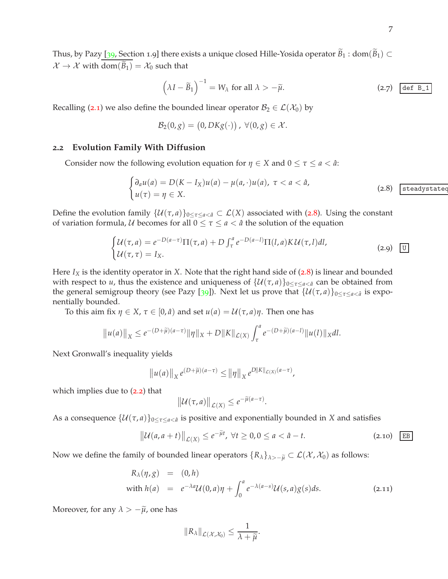Thus, by Pazy [[39](#page-48-14), Section 1.9] there exists a unique closed Hille-Yosida operator  $\widetilde{B}_1$  : dom $(\widetilde{B}_1)$   $\subset$  $\mathcal{X} \to \mathcal{X}$  with dom $(\widetilde{B}_1) = \mathcal{X}_0$  such that

$$
\left(\lambda I - \widetilde{B}_1\right)^{-1} = W_\lambda \text{ for all } \lambda > -\widetilde{\mu}.\tag{2.7}
$$

Recalling ([2](#page-4-1).1) we also define the bounded linear operator  $\mathcal{B}_2 \in \mathcal{L}(\mathcal{X}_0)$  by

$$
\mathcal{B}_2(0,g) = (0, DKg(\cdot)) , \ \forall (0,g) \in \mathcal{X}.
$$

#### <span id="page-6-0"></span>**2.2 Evolution Family With Diffusion**

Consider now the following evolution equation for  $\eta \in X$  and  $0 \leq \tau \leq a < \hat{a}$ :

<span id="page-6-1"></span>
$$
\begin{cases} \partial_a u(a) = D(K - I_X)u(a) - \mu(a, \cdot)u(a), \ \tau < a < \hat{a}, \\ u(\tau) = \eta \in X. \end{cases} \tag{2.8}
$$

Define the evolution family  $\{U(\tau,a)\}_{0\leq \tau\leq a<\hat{a}}\subset \mathcal{L}(X)$  associated with ([2](#page-6-1).8). Using the constant of variation formula, U becomes for all  $0 \le \tau \le a < \hat{a}$  the solution of the equation

<span id="page-6-2"></span>
$$
\begin{cases} \mathcal{U}(\tau,a) = e^{-D(a-\tau)}\Pi(\tau,a) + D \int_{\tau}^{a} e^{-D(a-l)}\Pi(l,a)K\mathcal{U}(\tau,l)dl, \\ \mathcal{U}(\tau,\tau) = I_X. \end{cases}
$$
 (2.9)  $\boxed{U}$ 

Here *I<sup>X</sup>* is the identity operator in *X*. Note that the right hand side of ([2](#page-6-1).8) is linear and bounded with respect to *u*, thus the existence and uniqueness of  $\{U(\tau,a)\}_{0 \leq \tau \leq a \leq \hat{a}}$  can be obtained from the general semigroup theory (see Pazy [[39](#page-48-14)]). Next let us prove that  $\{U(\tau,a)\}_{0 \leq \tau \leq a < \hat{a}}$  is exponentially bounded.

To this aim fix *η* ∈ *X*, *τ* ∈ [0,  $\hat{a}$ ) and set  $u(a) = U(τ, a)η$ . Then one has

$$
||u(a)||_X \leq e^{-(D+\widetilde{\mu})(a-\tau)} ||\eta||_X + D||K||_{\mathcal{L}(X)} \int_{\tau}^a e^{-(D+\widetilde{\mu})(a-l)} ||u(l)||_X dl.
$$

Next Gronwall's inequality yields

$$
||u(a)||_X e^{(D+\widetilde{\mu})(a-\tau)} \le ||\eta||_X e^{D||K||_{\mathcal{L}(X)}(a-\tau)},
$$

which implies due to ([2](#page-4-2).2) that

$$
\|\mathcal{U}(\tau,a)\|_{\mathcal{L}(X)} \leq e^{-\widetilde{\mu}(a-\tau)}.
$$

As a consequence  $\{U(\tau, a)\}_{0 \leq \tau \leq a \leq \hat{a}}$  is positive and exponentially bounded in *X* and satisfies

$$
\left\| \mathcal{U}(a, a+t) \right\|_{\mathcal{L}(X)} \le e^{-\widetilde{\mu}t}, \ \forall t \ge 0, 0 \le a < \hat{a} - t. \tag{2.10} \quad \boxed{\text{EB}}
$$

Now we define the family of bounded linear operators  $\{R_\lambda\}_{\lambda>-\tilde{\mu}} \subset \mathcal{L}(\mathcal{X},\mathcal{X}_0)$  as follows:

$$
R_{\lambda}(\eta, g) = (0, h)
$$
  
with  $h(a) = e^{-\lambda a} \mathcal{U}(0, a)\eta + \int_0^a e^{-\lambda(a-s)} \mathcal{U}(s, a)g(s)ds.$  (2.11)

Moreover, for any  $\lambda > -\tilde{\mu}$ , one has

$$
||R_{\lambda}||_{\mathcal{L}(\mathcal{X},\mathcal{X}_0)} \leq \frac{1}{\lambda + \widetilde{\mu}}.
$$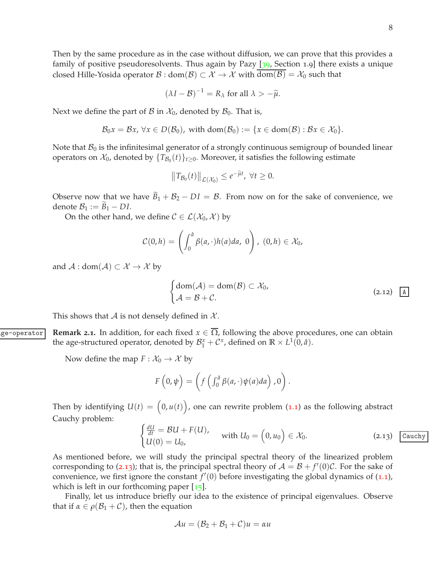$$
(\lambda I - \mathcal{B})^{-1} = R_{\lambda} \text{ for all } \lambda > -\widetilde{\mu}.
$$

Next we define the part of B in  $\mathcal{X}_0$ , denoted by  $\mathcal{B}_0$ . That is,

$$
\mathcal{B}_0x = \mathcal{B}x, \forall x \in D(\mathcal{B}_0), \text{ with } \text{dom}(\mathcal{B}_0) := \{x \in \text{dom}(\mathcal{B}) : \mathcal{B}x \in \mathcal{X}_0\}.
$$

Note that  $B_0$  is the infinitesimal generator of a strongly continuous semigroup of bounded linear operators on  $\mathcal{X}_0$ , denoted by  $\{T_{\mathcal{B}_0}(t)\}_{t\geq 0}$ . Moreover, it satisfies the following estimate

$$
||T_{\mathcal{B}_0}(t)||_{\mathcal{L}(\mathcal{X}_0)} \leq e^{-\widetilde{\mu}t}, \ \forall t \geq 0.
$$

Observe now that we have  $B_1 + B_2 - DI = B$ . From now on for the sake of convenience, we denote  $B_1 := B_1 - DI$ .

On the other hand, we define  $C \in \mathcal{L}(\mathcal{X}_0, \mathcal{X})$  by

$$
\mathcal{C}(0,h)=\left(\int_0^{\hat{a}}\beta(a,\cdot)h(a)da,\;0\right),\;(0,h)\in\mathcal{X}_0,
$$

and  $\mathcal{A}: dom(\mathcal{A}) \subset \mathcal{X} \rightarrow \mathcal{X}$  by

<span id="page-7-0"></span>
$$
\begin{cases}\n\text{dom}(\mathcal{A}) = \text{dom}(\mathcal{B}) \subset \mathcal{X}_0, \\
\mathcal{A} = \mathcal{B} + \mathcal{C}.\n\end{cases}
$$
\n(2.12)  $\underline{A}$ 

<span id="page-7-2"></span>This shows that A is not densely defined in  $X$ .

 $\alpha$ <sub>ge</sub>-operator **Remark 2.1.** In addition, for each fixed  $x \in \overline{\Omega}$ , following the above procedures, one can obtain the age-structured operator, denoted by  $\mathcal{B}_{1}^{x} + \mathcal{C}^{x}$ , defined on  $\mathbb{R} \times L^{1}(0, \hat{a})$ .

Now define the map  $F: \mathcal{X}_0 \to \mathcal{X}$  by

$$
F\left(0,\psi\right) = \left(f\left(\int_0^{\hat{a}} \beta(a,\cdot)\psi(a)da\right),0\right).
$$

Then by identifying  $U(t) = (0, u(t))$ , one can rewrite problem ([1](#page-40-2).1) as the following abstract Cauchy problem:

<span id="page-7-1"></span>
$$
\begin{cases}\n\frac{dU}{dt} = \mathcal{B}U + F(U), \\
U(0) = U_0,\n\end{cases}
$$
 with  $U_0 = \begin{pmatrix} 0, u_0 \end{pmatrix} \in \mathcal{X}_0.$ \n(2.13) Cauchy

As mentioned before, we will study the principal spectral theory of the linearized problem corresponding to (2.[13](#page-7-1)); that is, the principal spectral theory of  $A = B + f'(0)C$ . For the sake of convenience, we first ignore the constant  $f'(0)$  before investigating the global dynamics of  $(1.1)$  $(1.1)$  $(1.1)$ , which is left in our forthcoming paper  $[15]$  $[15]$  $[15]$ .

Finally, let us introduce briefly our idea to the existence of principal eigenvalues. Observe that if  $\alpha \in \rho(\mathcal{B}_1 + \mathcal{C})$ , then the equation

$$
\mathcal{A}u = (\mathcal{B}_2 + \mathcal{B}_1 + \mathcal{C})u = \alpha u
$$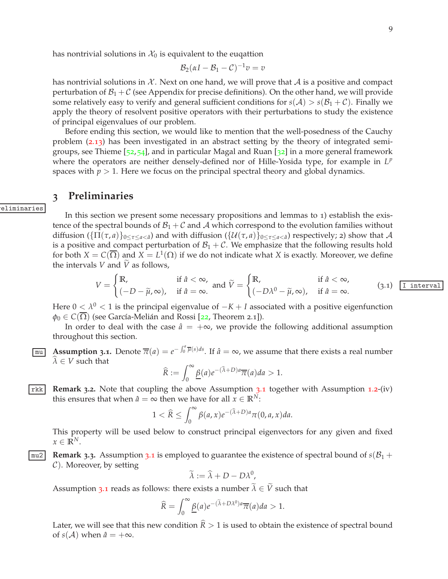$$
\mathcal{B}_2(\alpha I - \mathcal{B}_1 - \mathcal{C})^{-1}v = v
$$

has nontrivial solutions in X. Next on one hand, we will prove that A is a positive and compact perturbation of  $\mathcal{B}_1 + \mathcal{C}$  (see Appendix for precise definitions). On the other hand, we will provide some relatively easy to verify and general sufficient conditions for  $s(\mathcal{A}) > s(\mathcal{B}_1 + \mathcal{C})$ . Finally we apply the theory of resolvent positive operators with their perturbations to study the existence of principal eigenvalues of our problem.

Before ending this section, we would like to mention that the well-posedness of the Cauchy problem (2.[13](#page-7-1)) has been investigated in an abstract setting by the theory of integrated semigroups, see Thieme  $[52,54]$  $[52,54]$  $[52,54]$  $[52,54]$  $[52,54]$ , and in particular Magal and Ruan  $[32]$  $[32]$  $[32]$  in a more general framework where the operators are neither densely-defined nor of Hille-Yosida type, for example in  $L^p$ spaces with  $p > 1$ . Here we focus on the principal spectral theory and global dynamics.

### <span id="page-8-0"></span>**3 Preliminaries**

eliminaries

In this section we present some necessary propositions and lemmas to 1) establish the existence of the spectral bounds of  $\mathcal{B}_1 + \mathcal{C}$  and  $\mathcal{A}$  which correspond to the evolution families without diffusion  $(\{\Pi(\tau, a)\}_{0 \leq \tau \leq a \leq \hat{a}})$  and with diffusion  $(\{\mathcal{U}(\tau, a)\}_{0 \leq \tau \leq a \leq \hat{a}})$  respectively; 2) show that A is a positive and compact perturbation of  $B_1 + C$ . We emphasize that the following results hold for both  $X = C(\overline{\Omega})$  and  $X = L^1(\Omega)$  if we do not indicate what X is exactly. Moreover, we define the intervals *V* and  $\tilde{V}$  as follows,

<span id="page-8-2"></span>
$$
V = \begin{cases} \mathbb{R}, & \text{if } \hat{a} < \infty, \\ (-D - \widetilde{\mu}, \infty), & \text{if } \hat{a} = \infty. \end{cases} \text{ and } \widetilde{V} = \begin{cases} \mathbb{R}, & \text{if } \hat{a} < \infty, \\ (-D\lambda^0 - \widetilde{\mu}, \infty), & \text{if } \hat{a} = \infty. \end{cases}
$$
 (3.1) [Interval]

Here 0 <  $λ$ <sup>0</sup> < 1 is the principal eigenvalue of  $−K + I$  associated with a positive eigenfunction  $\varphi_0 \in C(\overline{\Omega})$  (see García-Melián and Rossi [[22](#page-47-2), Theorem 2.1]).

In order to deal with the case  $\hat{a} = +\infty$ , we provide the following additional assumption throughout this section.

<span id="page-8-1"></span>**Assumption 3.1.** Denote  $\overline{\pi}(a) = e^{-\int_0^a \overline{\mu}(s)ds}$ . If  $\hat{a} = \infty$ , we assume that there exists a real number  $\lambda \in V$  such that

$$
\widehat{R} := \int_0^\infty \underline{\beta}(a) e^{-(\widehat{\lambda}+D)a} \overline{\pi}(a) da > 1.
$$

<span id="page-8-4"></span>rkk **Remark 3.2.** Note that coupling the above Assumption [3](#page-8-1).1 together with Assumption [1](#page-40-3).2-(iv) this ensures that when  $\hat{a} = \infty$  then we have for all  $x \in \mathbb{R}^N$ :

$$
1 < \widehat{R} \le \int_0^\infty \beta(a, x) e^{-(\widehat{\lambda} + D)a} \pi(0, a, x) da.
$$

<span id="page-8-3"></span>This property will be used below to construct principal eigenvectors for any given and fixed  $x \in \mathbb{R}^N$ .

 $\vert$  mu2 **Remark [3](#page-8-1).3.** Assumption 3.1 is employed to guarantee the existence of spectral bound of  $s(B_1 + B_2)$  $\mathcal{C}$ ). Moreover, by setting

$$
\widetilde{\lambda} := \widehat{\lambda} + D - D\lambda^0,
$$

Assumption [3](#page-8-1).1 reads as follows: there exists a number  $\tilde{\lambda} \in \tilde{V}$  such that

$$
\widehat{R} = \int_0^\infty \underline{\beta}(a) e^{-(\widetilde{\lambda} + D\lambda^0)a} \overline{\pi}(a) da > 1.
$$

Later, we will see that this new condition  $\widehat{R} > 1$  is used to obtain the existence of spectral bound of  $s(A)$  when  $\hat{a} = +\infty$ .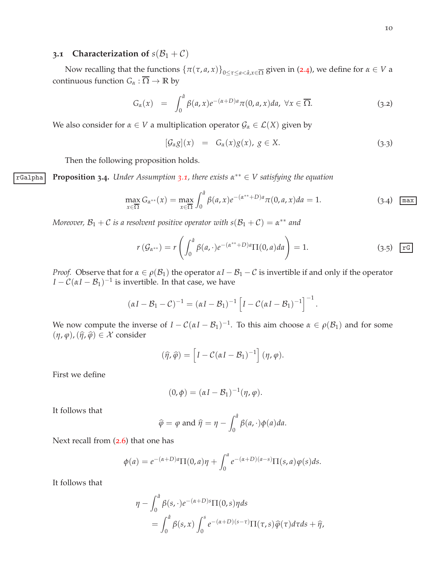# <span id="page-9-0"></span>**3.1 Characterization of**  $s(B_1 + C)$

Now recalling that the functions  $\{\pi(\tau,a,x)\}_{0\leq \tau\leq a<\hat{a},x\in\overline{\Omega}}$  given in ([2](#page-5-1).4), we define for  $\alpha\in V$  a continuous function  $G_{\alpha} : \overline{\Omega} \to \mathbb{R}$  by

<span id="page-9-4"></span>
$$
G_{\alpha}(x) = \int_0^{\hat{a}} \beta(a,x) e^{-(\alpha+D)a} \pi(0,a,x) da, \ \forall x \in \overline{\Omega}.
$$
 (3.2)

We also consider for  $\alpha \in V$  a multiplication operator  $\mathcal{G}_{\alpha} \in \mathcal{L}(X)$  given by

<span id="page-9-1"></span>
$$
[\mathcal{G}_{\alpha}g](x) = G_{\alpha}(x)g(x), g \in X.
$$
 (3.3)

<span id="page-9-3"></span>Then the following proposition holds.

rGalpha **Proposition 3.4.** *Under Assumption 3.[1](#page-8-1), there exists α* ∗∗ ∈ *V satisfying the equation*

<span id="page-9-2"></span>
$$
\max_{x \in \overline{\Omega}} G_{\alpha^{**}}(x) = \max_{x \in \overline{\Omega}} \int_0^{\hat{a}} \beta(a, x) e^{-(\alpha^{**} + D)a} \pi(0, a, x) da = 1.
$$
 (3.4)  $\boxed{\max}$ 

*Moreover,*  $B_1 + C$  *is a resolvent positive operator with*  $s(B_1 + C) = \alpha^{**}$  *and* 

$$
r\left(\mathcal{G}_{\alpha^{**}}\right) = r\left(\int_0^{\hat{a}} \beta(a, \cdot)e^{-(\alpha^{**}+D)a}\Pi(0, a)da\right) = 1.
$$
 (3.5)  $\boxed{\text{rg}}$ 

*Proof.* Observe that for  $\alpha \in \rho(\mathcal{B}_1)$  the operator  $\alpha I - \mathcal{B}_1 - \mathcal{C}$  is invertible if and only if the operator  $I - C(\alpha I - \mathcal{B}_1)^{-1}$  is invertible. In that case, we have

$$
(\alpha I - \mathcal{B}_1 - \mathcal{C})^{-1} = (\alpha I - \mathcal{B}_1)^{-1} \left[ I - \mathcal{C}(\alpha I - \mathcal{B}_1)^{-1} \right]^{-1}.
$$

We now compute the inverse of  $I - C(\alpha I - \mathcal{B}_1)^{-1}$ . To this aim choose  $\alpha \in \rho(\mathcal{B}_1)$  and for some  $(\eta, \varphi), (\widehat{\eta}, \widehat{\varphi}) \in \mathcal{X}$  consider

$$
(\widehat{\eta}, \widehat{\varphi}) = \left[I - C(\alpha I - \mathcal{B}_1)^{-1}\right](\eta, \varphi).
$$

First we define

$$
(0, \phi) = (\alpha I - \mathcal{B}_1)^{-1}(\eta, \varphi).
$$

It follows that

$$
\widehat{\varphi} = \varphi
$$
 and  $\widehat{\eta} = \eta - \int_0^{\widehat{a}} \beta(a, \cdot) \phi(a) da$ .

Next recall from ([2](#page-5-2).6) that one has

$$
\phi(a) = e^{-(\alpha+D)a} \Pi(0, a)\eta + \int_0^a e^{-(\alpha+D)(a-s)} \Pi(s, a)\varphi(s)ds.
$$

It follows that

$$
\eta - \int_0^{\hat{a}} \beta(s, \cdot) e^{-(\alpha + D)s} \Pi(0, s) \eta ds
$$
  
= 
$$
\int_0^{\hat{a}} \beta(s, x) \int_0^s e^{-(\alpha + D)(s - \tau)} \Pi(\tau, s) \widehat{\varphi}(\tau) d\tau ds + \widehat{\eta},
$$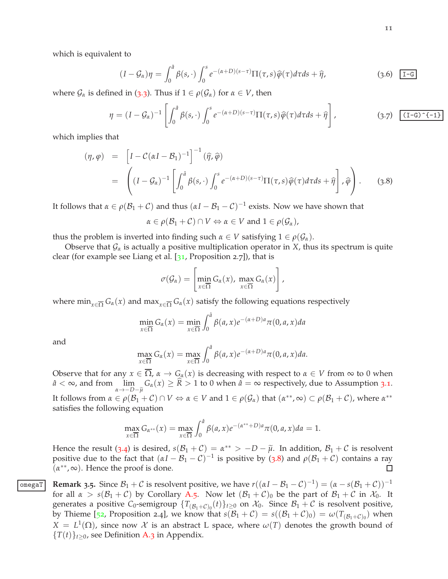11

which is equivalent to

$$
(I - \mathcal{G}_{\alpha})\eta = \int_0^{\hat{a}} \beta(s, \cdot) \int_0^s e^{-(\alpha + D)(s - \tau)} \Pi(\tau, s) \widehat{\varphi}(\tau) d\tau ds + \widehat{\eta}, \tag{3.6}
$$

where  $\mathcal{G}_{\alpha}$  is defined in ([3](#page-9-1).3). Thus if  $1 \in \rho(\mathcal{G}_{\alpha})$  for  $\alpha \in V$ , then

$$
\eta = (I - \mathcal{G}_{\alpha})^{-1} \left[ \int_0^{\hat{a}} \beta(s, \cdot) \int_0^s e^{-(\alpha + D)(s - \tau)} \Pi(\tau, s) \widehat{\varphi}(\tau) d\tau ds + \widehat{\eta} \right], \tag{3.7}
$$

which implies that

<span id="page-10-0"></span>
$$
(\eta, \varphi) = \left[I - C(\alpha I - B_1)^{-1}\right]^{-1} (\widehat{\eta}, \widehat{\varphi})
$$
  
= 
$$
\left((I - \mathcal{G}_{\alpha})^{-1} \left[\int_0^{\widehat{\theta}} \beta(s, \cdot) \int_0^s e^{-(\alpha + D)(s - \tau)} \Pi(\tau, s) \widehat{\varphi}(\tau) d\tau ds + \widehat{\eta}\right], \widehat{\varphi}\right).
$$
 (3.8)

It follows that  $\alpha \in \rho(\mathcal{B}_1 + \mathcal{C})$  and thus  $(\alpha I - \mathcal{B}_1 - \mathcal{C})^{-1}$  exists. Now we have shown that

$$
\alpha \in \rho(\mathcal{B}_1 + \mathcal{C}) \cap V \Leftrightarrow \alpha \in V \text{ and } 1 \in \rho(\mathcal{G}_\alpha),
$$

thus the problem is inverted into finding such  $\alpha \in V$  satisfying  $1 \in \rho(\mathcal{G}_\alpha)$ .

Observe that  $\mathcal{G}_{\alpha}$  is actually a positive multiplication operator in *X*, thus its spectrum is quite clear (for example see Liang et al.  $[31,$  $[31,$  $[31,$  Proposition 2.7]), that is

$$
\sigma(\mathcal{G}_{\alpha}) = \left[\min_{x \in \overline{\Omega}} G_{\alpha}(x), \, \max_{x \in \overline{\Omega}} G_{\alpha}(x)\right],
$$

where min<sub> $x \in \overline{\Omega} G_{\alpha}(x)$  and max $\overline{G_{\alpha}(x)}$  satisfy the following equations respectively</sub>

$$
\min_{x \in \overline{\Omega}} G_{\alpha}(x) = \min_{x \in \overline{\Omega}} \int_0^{\hat{a}} \beta(a, x) e^{-(\alpha + D)a} \pi(0, a, x) da
$$

and

$$
\max_{x \in \overline{\Omega}} G_{\alpha}(x) = \max_{x \in \overline{\Omega}} \int_0^{\hat{a}} \beta(a, x) e^{-(\alpha + D)a} \pi(0, a, x) da.
$$

Observe that for any  $x \in \overline{\Omega}$ ,  $\alpha \to G_{\alpha}(x)$  is decreasing with respect to  $\alpha \in V$  from  $\infty$  to 0 when  $\hat{a} < \infty$ , and from  $\lim_{h \to 0}$  $\lim_{\alpha \to -D-\tilde{\mu}} G_{\alpha}(x) \ge \hat{R} > 1$  to 0 when  $\hat{a} = \infty$  respectively, due to Assumption [3](#page-8-1).1. It follows from  $\alpha \in \rho(\mathcal{B}_1 + \mathcal{C}) \cap V \Leftrightarrow \alpha \in V$  and  $1 \in \rho(\mathcal{G}_\alpha)$  that  $(\alpha^{**}, \infty) \subset \rho(\mathcal{B}_1 + \mathcal{C})$ , where  $\alpha^{**}$ satisfies the following equation

$$
\max_{x \in \overline{\Omega}} G_{\alpha^{**}}(x) = \max_{x \in \overline{\Omega}} \int_0^{\hat{a}} \beta(a, x) e^{-(\alpha^{**}+D)a} \pi(0, a, x) da = 1.
$$

Hence the result ([3](#page-9-2).4) is desired,  $s(\mathcal{B}_1 + \mathcal{C}) = \alpha^{**} > -D - \tilde{\mu}$ . In addition,  $\mathcal{B}_1 + \mathcal{C}$  is resolvent positive due to the fact that  $(\alpha I - \beta_1 - C)^{-1}$  is positive by ([3](#page-10-0).8) and  $\rho(\beta_1 + C)$  contains a ray  $(\alpha^{**}, \infty)$ . Hence the proof is done.  $\Box$ 

<span id="page-10-1"></span>**Remark 3.5.** Since  $B_1 + C$  is resolvent positive, we have  $r((\alpha I - B_1 - C)^{-1}) = (\alpha - s(B_1 + C))^{-1}$ for all  $\alpha > s(\mathcal{B}_1 + \mathcal{C})$  by Corollary [A.](#page-41-0)5. Now let  $(\mathcal{B}_1 + \mathcal{C})_0$  be the part of  $\mathcal{B}_1 + \mathcal{C}$  in  $\mathcal{X}_0$ . It generates a positive  $C_0$ -semigroup  $\{T_{(\mathcal{B}_1+\mathcal{C})_0}(t)\}_{t\geq 0}$  on  $\mathcal{X}_0$ . Since  $\mathcal{B}_1+\mathcal{C}$  is resolvent positive, by Thieme [[52](#page-49-6), Proposition 2.4], we know that  $s(\mathcal{B}_1 + \mathcal{C}) = s((\mathcal{B}_1 + \mathcal{C})_0) = \omega(T_{(\mathcal{B}_1 + \mathcal{C})_0})$  when  $X = L^1(\Omega)$ , since now X is an abstract L space, where  $\omega(T)$  denotes the growth bound of  ${T(t)}_{t>0}$ , see Definition [A.](#page-40-5)3 in Appendix.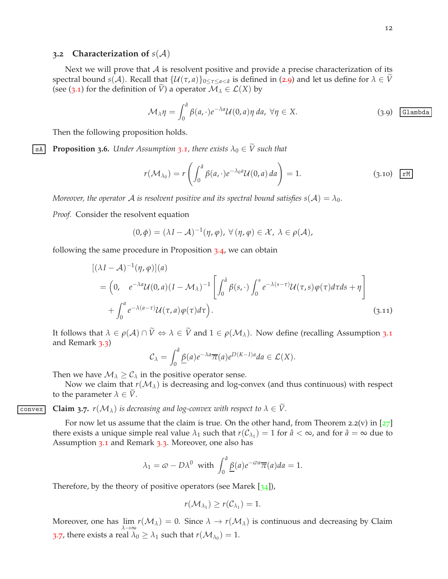#### <span id="page-11-0"></span>**3.2 Characterization of**  $s(A)$

Next we will prove that  $A$  is resolvent positive and provide a precise characterization of its spectral bound  $s(A)$ . Recall that  $\{U(\tau,a)\}_{0\leq \tau\leq a\leq \hat{a}}$  is defined in ([2](#page-6-2).9) and let us define for  $\lambda \in V$ (see ([3](#page-8-2).1) for the definition of  $\tilde{V}$ ) a operator  $\mathcal{M}_{\lambda} \in \mathcal{L}(X)$  by

$$
\mathcal{M}_{\lambda}\eta = \int_0^{\hat{a}} \beta(a, \cdot)e^{-\lambda a} \mathcal{U}(0, a)\eta \, da, \,\forall \eta \in X. \tag{3.9}
$$
 *Glambda*

<span id="page-11-3"></span>Then the following proposition holds.

**Example [1](#page-8-1)5 Proposition 3.6.** *Under Assumption* 3.1, *there exists*  $\lambda_0 \in \tilde{V}$  *such that* 

$$
r(\mathcal{M}_{\lambda_0}) = r\left(\int_0^{\hat{a}} \beta(a, \cdot)e^{-\lambda_0 a} \mathcal{U}(0, a) da\right) = 1.
$$
 (3.10)  $\boxed{rM}$ 

*Moreover, the operator* A *is resolvent positive and its spectral bound satisfies*  $s(A) = \lambda_0$ *.* 

*Proof.* Consider the resolvent equation

$$
(0,\phi)=(\lambda I-\mathcal{A})^{-1}(\eta,\varphi),\,\forall(\eta,\varphi)\in\mathcal{X},\,\lambda\in\rho(\mathcal{A}),
$$

following the same procedure in Proposition [3](#page-9-3).4, we can obtain

<span id="page-11-2"></span>
$$
[(\lambda I - A)^{-1}(\eta, \varphi)](a)
$$
  
=  $(0, e^{-\lambda a}U(0, a)(I - M_{\lambda})^{-1} \left[ \int_0^a \beta(s, \cdot) \int_0^s e^{-\lambda(s-\tau)}U(\tau, s)\varphi(\tau)d\tau ds + \eta \right]$   
+  $\int_0^a e^{-\lambda(a-\tau)}U(\tau, a)\varphi(\tau)d\tau).$  (3.11)

It follows that  $\lambda \in \rho(\mathcal{A}) \cap \tilde{V} \Leftrightarrow \lambda \in \tilde{V}$  and  $1 \in \rho(\mathcal{M}_{\lambda})$ . Now define (recalling Assumption [3](#page-8-1).1) and Remark [3](#page-8-3).3)

$$
\mathcal{C}_{\lambda} = \int_0^{\hat{a}} \underline{\beta}(a) e^{-\lambda a} \overline{\pi}(a) e^{D(K-1)a} da \in \mathcal{L}(X).
$$

Then we have  $\mathcal{M}_{\lambda} \geq \mathcal{C}_{\lambda}$  in the positive operator sense.

Now we claim that  $r(M_\lambda)$  is decreasing and log-convex (and thus continuous) with respect to the parameter  $\lambda \in V$ .

**Convex Claim** 3.7.  $r(M_{\lambda})$  *is decreasing and log-convex with respect to*  $\lambda \in \tilde{V}$ .

<span id="page-11-1"></span>For now let us assume that the claim is true. On the other hand, from Theorem 2.2(v) in  $[27]$  $[27]$  $[27]$ there exists a unique simple real value  $\lambda_1$  such that  $r(C_{\lambda_1}) = 1$  for  $\hat{a} < \infty$ , and for  $\hat{a} = \infty$  due to Assumption [3](#page-8-3).1 and Remark 3.3. Moreover, one also has

$$
\lambda_1 = \omega - D\lambda^0
$$
 with  $\int_0^{\hat{a}} \underline{\beta}(a) e^{-\omega a} \overline{\pi}(a) da = 1.$ 

Therefore, by the theory of positive operators (see Marek  $[34]$  $[34]$  $[34]$ ),

$$
r(\mathcal{M}_{\lambda_1}) \geq r(\mathcal{C}_{\lambda_1}) = 1.
$$

Moreover, one has  $\lim_{\lambda\to\infty}r(\mathcal{M}_\lambda)=0$ . Since  $\lambda\to r(\mathcal{M}_\lambda)$  is continuous and decreasing by Claim [3](#page-11-1).7, there exists a real  $\lambda_0 \geq \lambda_1$  such that  $r(\mathcal{M}_{\lambda_0}) = 1$ .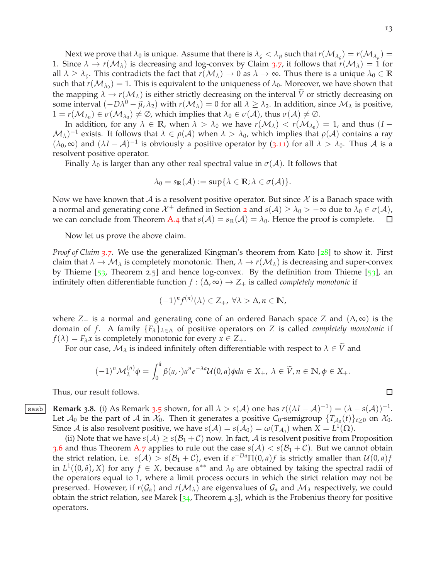Next we prove that  $\lambda_0$  is unique. Assume that there is  $\lambda_\zeta < \lambda_\mu$  such that  $r(\mathcal{M}_{\lambda_\zeta}) = r(\mathcal{M}_{\lambda_\mu}) = 0$ 1. Since  $\lambda \to r(\mathcal{M}_\lambda)$  is decreasing and log-convex by Claim [3](#page-11-1).7, it follows that  $r(\mathcal{M}_\lambda) = 1$  for all  $\lambda \geq \lambda_c$ . This contradicts the fact that  $r(\mathcal{M}_{\lambda}) \to 0$  as  $\lambda \to \infty$ . Thus there is a unique  $\lambda_0 \in \mathbb{R}$ such that  $r(\mathcal{M}_{\lambda_0}) = 1$ . This is equivalent to the uniqueness of  $\lambda_0$ . Moreover, we have shown that the mapping  $\lambda \to r(\mathcal{M}_\lambda)$  is either strictly decreasing on the interval  $\tilde{V}$  or strictly decreasing on some interval  $(-D\lambda^0 - \tilde{\mu}, \lambda_2)$  with  $r(\mathcal{M}_\lambda) = 0$  for all  $\lambda \geq \lambda_2$ . In addition, since  $\mathcal{M}_\lambda$  is positive,  $1 = r(\mathcal{M}_{\lambda_0}) \in \sigma(\mathcal{M}_{\lambda_0}) \neq \emptyset$ , which implies that  $\lambda_0 \in \sigma(\mathcal{A})$ , thus  $\sigma(\mathcal{A}) \neq \emptyset$ .

In addition, for any  $\lambda \in \mathbb{R}$ , when  $\lambda > \lambda_0$  we have  $r(\mathcal{M}_{\lambda}) < r(\mathcal{M}_{\lambda_0}) = 1$ , and thus  $(I (\mathcal{M}_\lambda)^{-1}$  exists. It follows that  $\lambda \in \rho(\mathcal{A})$  when  $\lambda > \lambda_0$ , which implies that  $\rho(\mathcal{A})$  contains a ray  $(\lambda_0, \infty)$  and  $(\lambda I - A)^{-1}$  is obviously a positive operator by (3.[11](#page-11-2)) for all  $\lambda > \lambda_0$ . Thus A is a resolvent positive operator.

Finally  $\lambda_0$  is larger than any other real spectral value in  $\sigma(A)$ . It follows that

$$
\lambda_0 = s_{\mathbb{R}}(\mathcal{A}) := \sup \{ \lambda \in \mathbb{R}; \lambda \in \sigma(\mathcal{A}) \}.
$$

Now we have known that A is a resolvent positive operator. But since  $\mathcal X$  is a Banach space with a normal and generating cone  $\mathcal{X}^+$  defined in Section [2](#page-4-0) and  $s(\mathcal{A}) \geq \lambda_0 > -\infty$  due to  $\lambda_0 \in \sigma(\mathcal{A})$ , we can conclude from Theorem [A.](#page-41-1)4 that  $s(A) = s_{\mathbb{R}}(A) = \lambda_0$ . Hence the proof is complete.  $\Box$ 

Now let us prove the above claim.

*Proof of Claim [3](#page-11-1).7.* We use the generalized Kingman's theorem from Kato [[28](#page-47-8)] to show it. First claim that  $\lambda \to M_\lambda$  is completely monotonic. Then,  $\lambda \to r(M_\lambda)$  is decreasing and super-convex by Thieme  $[53,$  $[53,$  $[53,$  Theorem 2.5] and hence log-convex. By the definition from Thieme  $[53]$ , an infinitely often differentiable function *f* : (∆, ∞) → *Z*<sup>+</sup> is called *completely monotonic* if

$$
(-1)^n f^{(n)}(\lambda) \in Z_+, \,\forall \lambda > \Delta, n \in \mathbb{N},
$$

where  $Z_+$  is a normal and generating cone of an ordered Banach space *Z* and  $(\Delta, \infty)$  is the domain of *f*. A family  ${F_{\lambda}}_{\lambda \in \Lambda}$  of positive operators on *Z* is called *completely monotonic* if  $f(\lambda) = F_{\lambda}x$  is completely monotonic for every  $x \in Z_{+}$ .

For our case,  $M_\lambda$  is indeed infinitely often differentiable with respect to  $\lambda \in \tilde{V}$  and

$$
(-1)^n \mathcal{M}_{\lambda}^{(n)} \phi = \int_0^{\hat{a}} \beta(a, \cdot) a^n e^{-\lambda a} \mathcal{U}(0, a) \phi da \in X_+, \ \lambda \in \widetilde{V}, n \in \mathbb{N}, \phi \in X_+.
$$

<span id="page-12-0"></span>Thus, our result follows.

**Remark [3](#page-10-1).8.** (i) As Remark 3.5 shown, for all  $\lambda > s(\mathcal{A})$  one has  $r((\lambda I - \mathcal{A})^{-1}) = (\lambda - s(\mathcal{A}))^{-1}$ . Let  $\mathcal{A}_0$  be the part of  $\mathcal A$  in  $\mathcal X_0$ . Then it generates a positive  $C_0$ -semigroup  $\{T_{\mathcal A_0}(t)\}_{t\geq 0}$  on  $\mathcal X_0$ . Since *A* is also resolvent positive, we have  $s(A) = s(A_0) = \omega(T_{A_0})$  when  $X = L^1(\Omega)$ .

(ii) Note that we have  $s(A) \ge s(\mathcal{B}_1 + \mathcal{C})$  now. In fact, A is resolvent positive from Proposition [3](#page-11-3).6 and thus Theorem [A.](#page-41-2)7 applies to rule out the case  $s(A) < s(B_1 + C)$ . But we cannot obtain the strict relation, i.e.  $s(A) > s(\mathcal{B}_1 + \mathcal{C})$ , even if  $e^{-Da} \Pi(0, a) f$  is strictly smaller than  $\mathcal{U}(0, a) f$ in  $L^1((0, \hat{a}), X)$  for any  $f \in X$ , because  $\alpha^{**}$  and  $\lambda_0$  are obtained by taking the spectral radii of the operators equal to 1, where a limit process occurs in which the strict relation may not be preserved. However, if  $r(G_\alpha)$  and  $r(M_\lambda)$  are eigenvalues of  $G_\alpha$  and  $M_\lambda$  respectively, we could obtain the strict relation, see Marek  $[34,$  $[34,$  $[34,$  Theorem 4.3], which is the Frobenius theory for positive operators.

$$
\Box
$$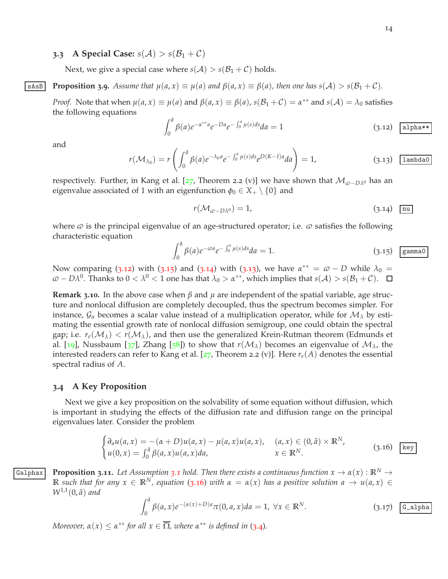## <span id="page-13-0"></span>**3.3 A Special Case:**  $s(A) > s(B_1 + C)$

Next, we give a special case where  $s(A) > s(B_1 + C)$  holds.

**SASE** Proposition 3.9. Assume that  $\mu(a, x) \equiv \mu(a)$  and  $\beta(a, x) \equiv \beta(a)$ , then one has  $s(A) > s(B_1 + C)$ .

<span id="page-13-8"></span>*Proof.* Note that when  $\mu(a, x) \equiv \mu(a)$  and  $\beta(a, x) \equiv \beta(a)$ ,  $s(\mathcal{B}_1 + \mathcal{C}) = \alpha^{**}$  and  $s(\mathcal{A}) = \lambda_0$  satisfies the following equations

<span id="page-13-2"></span>
$$
\int_0^{\hat{a}} \beta(a)e^{-\alpha^{**}a} e^{-Da} e^{-\int_0^a \mu(s)ds} da = 1
$$
\n(3.12)  $\boxed{\text{alpha}^{\text{h}}}$ 

and

<span id="page-13-5"></span>
$$
r(\mathcal{M}_{\lambda_0}) = r\left(\int_0^{\hat{a}} \beta(a)e^{-\lambda_0 a}e^{-\int_0^a \mu(s)ds}e^{D(K-1)a}da\right) = 1,
$$
 (3.13) lambda0

respectively. Further, in Kang et al. [[27](#page-47-9), Theorem 2.2 (v)] we have shown that  $\mathcal{M}_{\varpi-D\lambda^0}$  has an eigenvalue associated of 1 with an eigenfunction  $\phi_0 \in X_+ \setminus \{0\}$  and

<span id="page-13-4"></span>
$$
r(\mathcal{M}_{\varpi - D\lambda^{0}}) = 1, \tag{3.14}
$$

where  $\varphi$  is the principal eigenvalue of an age-structured operator; i.e.  $\varphi$  satisfies the following characteristic equation

<span id="page-13-3"></span>
$$
\int_0^{\hat{a}} \beta(a)e^{-\omega a}e^{-\int_0^a \mu(s)ds}da = 1.
$$
 (3.15) gamma

Now comparing (3.[12](#page-13-2)) with (3.[15](#page-13-3)) and (3.[14](#page-13-4)) with (3.[13](#page-13-5)), we have  $\alpha^{**} = \varpi - D$  while  $\lambda_0 =$  $\omega - D\lambda^0$ . Thanks to  $0 < \lambda^0 < 1$  one has that  $\lambda_0 > \alpha^{**}$ , which implies that  $s(\mathcal{A}) > s(\mathcal{B}_1 + \mathcal{C})$ .

**Remark 3.10.** In the above case when *β* and *µ* are independent of the spatial variable, age structure and nonlocal diffusion are completely decoupled, thus the spectrum becomes simpler. For instance,  $\mathcal{G}_\alpha$  becomes a scalar value instead of a multiplication operator, while for  $\mathcal{M}_\lambda$  by estimating the essential growth rate of nonlocal diffusion semigroup, one could obtain the spectral gap; i.e.  $r_e(\mathcal{M}_\lambda) < r(\mathcal{M}_\lambda)$ , and then use the generalized Krein-Rutman theorem (Edmunds et al. [[19](#page-47-4)], Nussbaum [[37](#page-48-2)], Zhang [[58](#page-49-7)]) to show that  $r(M_\lambda)$  becomes an eigenvalue of  $M_\lambda$ , the interested readers can refer to Kang et al. [[27](#page-47-9), Theorem 2.2 (v)]. Here  $r_e(A)$  denotes the essential spectral radius of *A*.

#### <span id="page-13-1"></span>**3.4 A Key Proposition**

Next we give a key proposition on the solvability of some equation without diffusion, which is important in studying the effects of the diffusion rate and diffusion range on the principal eigenvalues later. Consider the problem

<span id="page-13-6"></span>
$$
\begin{cases}\n\partial_a u(a,x) = -(\alpha + D)u(a,x) - \mu(a,x)u(a,x), & (a,x) \in (0,\hat{a}) \times \mathbb{R}^N, \\
u(0,x) = \int_0^{\hat{a}} \beta(a,x)u(a,x)da, & x \in \mathbb{R}^N.\n\end{cases}
$$
\n(3.16) [key]

<span id="page-13-9"></span>**Galphax Proposition [3](#page-8-1).11.** Let Assumption 3.1 hold. Then there exists a continuous function  $x \to \alpha(x) : \mathbb{R}^N \to$ **R** such that for any  $x \in \mathbb{R}^N$ , equation (3.[16](#page-13-6)) with  $\alpha = \alpha(x)$  has a positive solution  $a \to u(a, x) \in$  $W^{1,1}(0, a)$  *and* 

<span id="page-13-7"></span>
$$
\int_0^{\hat{a}} \beta(a,x) e^{-(\alpha(x)+D)a} \pi(0,a,x) da = 1, \ \forall x \in \mathbb{R}^N.
$$
 (3.17)  $\boxed{\text{G\_alpha}}$ 

*Moreover,*  $\alpha(x) \leq \alpha^{**}$  *for all*  $x \in \overline{\Omega}$ *, where*  $\alpha^{**}$  *is defined in* ([3](#page-9-2).4)*.*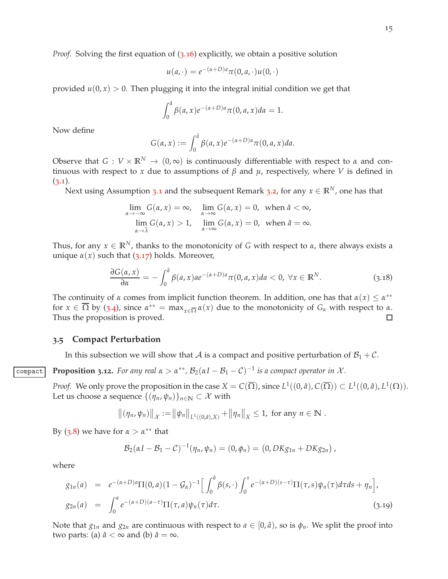*Proof.* Solving the first equation of (3.[16](#page-13-6)) explicitly, we obtain a positive solution

$$
u(a,\cdot)=e^{-(\alpha+D)a}\pi(0,a,\cdot)u(0,\cdot)
$$

provided  $u(0, x) > 0$ . Then plugging it into the integral initial condition we get that

$$
\int_0^{\hat{a}} \beta(a,x) e^{-(\alpha+D)a} \pi(0,a,x) da = 1.
$$

Now define

$$
G(\alpha, x) := \int_0^{\hat{a}} \beta(a, x) e^{-(\alpha + D)a} \pi(0, a, x) da.
$$

Observe that  $G: V \times \mathbb{R}^N \to (0,\infty)$  is continuously differentiable with respect to *α* and continuous with respect to *x* due to assumptions of *β* and *µ*, respectively, where *V* is defined in  $(3.1).$  $(3.1).$  $(3.1).$ 

Next using Assumption [3](#page-8-4).1 and the subsequent Remark 3.2, for any  $x \in \mathbb{R}^N$ , one has that

$$
\lim_{\alpha \to -\infty} G(\alpha, x) = \infty, \quad \lim_{\alpha \to \infty} G(\alpha, x) = 0, \text{ when } \hat{a} < \infty,
$$
\n
$$
\lim_{\alpha \to \hat{\lambda}} G(\alpha, x) > 1, \quad \lim_{\alpha \to \infty} G(\alpha, x) = 0, \text{ when } \hat{a} = \infty.
$$

Thus, for any  $x \in \mathbb{R}^N$ , thanks to the monotonicity of *G* with respect to *α*, there always exists a unique  $\alpha(x)$  such that (3.[17](#page-13-7)) holds. Moreover,

$$
\frac{\partial G(\alpha, x)}{\partial \alpha} = -\int_0^{\hat{a}} \beta(a, x) a e^{-(\alpha + D)a} \pi(0, a, x) da < 0, \ \forall x \in \mathbb{R}^N.
$$
 (3.18)

The continuity of *α* comes from implicit function theorem. In addition, one has that  $\alpha(x) \leq \alpha^{**}$ for  $x \in \overline{\Omega}$  by ([3](#page-9-2).4), since  $\alpha^{**} = \max_{x \in \overline{\Omega}} \alpha(x)$  due to the monotonicity of  $G_\alpha$  with respect to  $\alpha$ . Thus the proposition is proved. □

#### <span id="page-14-0"></span>**3.5 Compact Perturbation**

In this subsection we will show that A is a compact and positive perturbation of  $B_1 + C$ .

**Compact Proposition 3.12.** For any real  $\alpha > \alpha^{**}$ ,  $\mathcal{B}_2(\alpha I - \mathcal{B}_1 - \mathcal{C})^{-1}$  is a compact operator in X.

<span id="page-14-2"></span>*Proof.* We only prove the proposition in the case  $X = C(\overline{\Omega})$ , since  $L^1((0, a), C(\overline{\Omega})) \subset L^1((0, a), L^1(\Omega))$ . Let us choose a sequence  $\{(\eta_n, \psi_n)\}_{n \in \mathbb{N}} \subset \mathcal{X}$  with

$$
\|(\eta_n, \psi_n)\|_{\mathcal{X}} := \|\psi_n\|_{L^1((0,\hat{a}),X)} + \|\eta_n\|_{X} \leq 1, \text{ for any } n \in \mathbb{N}.
$$

By  $(3.8)$  $(3.8)$  $(3.8)$  we have for  $\alpha > \alpha^{**}$  that

$$
\mathcal{B}_2(\alpha I - \mathcal{B}_1 - \mathcal{C})^{-1}(\eta_n, \psi_n) = (0, \phi_n) = (0, DKg_{1n} + DKg_{2n}),
$$

where

<span id="page-14-1"></span>
$$
g_{1n}(a) = e^{-(\alpha+D)a} \Pi(0,a) (1 - \mathcal{G}_{\alpha})^{-1} \Big[ \int_0^{\hat{a}} \beta(s,\cdot) \int_0^s e^{-(\alpha+D)(s-\tau)} \Pi(\tau,s) \psi_n(\tau) d\tau ds + \eta_n \Big],
$$
  
\n
$$
g_{2n}(a) = \int_0^a e^{-(\alpha+D)(a-\tau)} \Pi(\tau,a) \psi_n(\tau) d\tau.
$$
\n(3.19)

Note that  $g_{1n}$  and  $g_{2n}$  are continuous with respect to  $a \in [0,\hat{a})$ , so is  $\phi_n$ . We split the proof into two parts: (a)  $\hat{a} < \infty$  and (b)  $\hat{a} = \infty$ .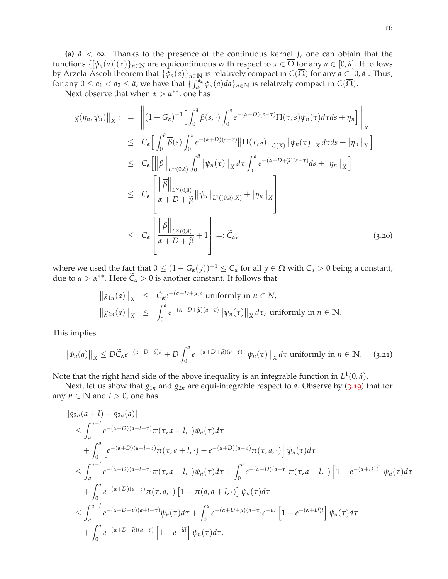**(a)**  $\hat{a} < \infty$ . Thanks to the presence of the continuous kernel *J*, one can obtain that the functions  $\{\phi_n(a) | (x)\}_{n \in \mathbb{N}}$  are equicontinuous with respect to  $x \in \overline{\Omega}$  for any  $a \in [0, \hat{a}]$ . It follows by Arzela-Ascoli theorem that  $\{\phi_n(a)\}_{n\in\mathbb{N}}$  is relatively compact in  $C(\overline{\Omega})$  for any  $a\in[0,\hat{a}]$ . Thus, for any  $0 \le a_1 < a_2 \le \hat{a}$ , we have that  $\{\int_{a_1}^{a_2} \phi_n(a) da\}_{n \in \mathbb{N}}$  is relatively compact in  $C(\overline{\Omega})$ .

Next observe that when  $\alpha > \alpha^{**}$ , one has

<span id="page-15-0"></span>
$$
\|g(\eta_n, \psi_n)\|_X := \left\| (1 - G_\alpha)^{-1} \Big[ \int_0^{\hat{a}} \beta(s, \cdot) \int_0^s e^{-(\alpha + D)(s - \tau)} \Pi(\tau, s) \psi_n(\tau) d\tau ds + \eta_n \Big] \right\|_X
$$
  
\n
$$
\leq C_\alpha \Big[ \int_0^{\hat{a}} \overline{\beta}(s) \int_0^s e^{-(\alpha + D)(s - \tau)} \|\Pi(\tau, s)\|_{\mathcal{L}(X)} \|\psi_n(\tau)\|_X d\tau ds + \|\eta_n\|_X \Big]
$$
  
\n
$$
\leq C_\alpha \Big[ \|\overline{\beta}\|_{L^\infty(0, \hat{a})} \int_0^{\hat{a}} \|\psi_n(\tau)\|_X d\tau \int_\tau^{\hat{a}} e^{-(\alpha + D + \widetilde{\mu})(s - \tau)} ds + \|\eta_n\|_X \Big]
$$
  
\n
$$
\leq C_\alpha \Big[ \frac{\|\overline{\beta}\|_{L^\infty(0, \hat{a})}}{\alpha + D + \widetilde{\mu}} \|\psi_n\|_{L^1((0, \hat{a}), X)} + \|\eta_n\|_X \Big]
$$
  
\n
$$
\leq C_\alpha \Big[ \frac{\|\overline{\beta}\|_{L^\infty(0, \hat{a})}}{\alpha + D + \widetilde{\mu}} + 1 \Big] =: \widetilde{C}_\alpha, \qquad (3.20)
$$

where we used the fact that  $0 \le (1 - G_\alpha(y))^{-1} \le C_\alpha$  for all  $y \in \overline{\Omega}$  with  $C_\alpha > 0$  being a constant, due to  $\alpha > \alpha^{**}$ . Here  $\widetilde{C}_{\alpha} > 0$  is another constant. It follows that

$$
\|g_{1n}(a)\|_X \leq \tilde{C}_{\alpha}e^{-(\alpha+D+\tilde{\mu})a} \text{ uniformly in } n \in N,
$$
  

$$
\|g_{2n}(a)\|_X \leq \int_0^a e^{-(\alpha+D+\tilde{\mu})(a-\tau)} \|\psi_n(\tau)\|_X d\tau, \text{ uniformly in } n \in \mathbb{N}.
$$

This implies

<span id="page-15-1"></span>
$$
\left\|\phi_n(a)\right\|_X \le D\widetilde{C}_\alpha e^{-(\alpha+D+\widetilde{\mu})a} + D\int_0^a e^{-(\alpha+D+\widetilde{\mu})(a-\tau)} \left\|\psi_n(\tau)\right\|_X d\tau \text{ uniformly in } n \in \mathbb{N}. \tag{3.21}
$$

Note that the right hand side of the above inequality is an integrable function in  $L^1(0,\hat{a})$ .

Next, let us show that *g*1*<sup>n</sup>* and *g*2*<sup>n</sup>* are equi-integrable respect to *a*. Observe by (3.[19](#page-14-1)) that for any  $n \in \mathbb{N}$  and  $l > 0$ , one has

$$
|g_{2n}(a+l) - g_{2n}(a)|
$$
  
\n
$$
\leq \int_{a}^{a+l} e^{-(\alpha+D)(a+l-\tau)} \pi(\tau, a+l,\cdot) \psi_{n}(\tau) d\tau
$$
  
\n
$$
+ \int_{0}^{a} \left[ e^{-(\alpha+D)(a+l-\tau)} \pi(\tau, a+l,\cdot) - e^{-(\alpha+D)(a-\tau)} \pi(\tau, a,\cdot) \right] \psi_{n}(\tau) d\tau
$$
  
\n
$$
\leq \int_{a}^{a+l} e^{-(\alpha+D)(a+l-\tau)} \pi(\tau, a+l,\cdot) \psi_{n}(\tau) d\tau + \int_{0}^{a} e^{-(\alpha+D)(a-\tau)} \pi(\tau, a+l,\cdot) \left[ 1 - e^{-(\alpha+D)l} \right] \psi_{n}(\tau) d\tau
$$
  
\n
$$
+ \int_{0}^{a} e^{-(\alpha+D)(a-\tau)} \pi(\tau, a,\cdot) \left[ 1 - \pi(a,a+l,\cdot) \right] \psi_{n}(\tau) d\tau
$$
  
\n
$$
\leq \int_{a}^{a+l} e^{-(\alpha+D+\widetilde{\mu})(a+l-\tau)} \psi_{n}(\tau) d\tau + \int_{0}^{a} e^{-(\alpha+D+\widetilde{\mu})(a-\tau)} e^{-\widetilde{\mu}l} \left[ 1 - e^{-(\alpha+D)l} \right] \psi_{n}(\tau) d\tau
$$
  
\n
$$
+ \int_{0}^{a} e^{-(\alpha+D+\widetilde{\mu})(a-\tau)} \left[ 1 - e^{-\widetilde{\mu}l} \right] \psi_{n}(\tau) d\tau.
$$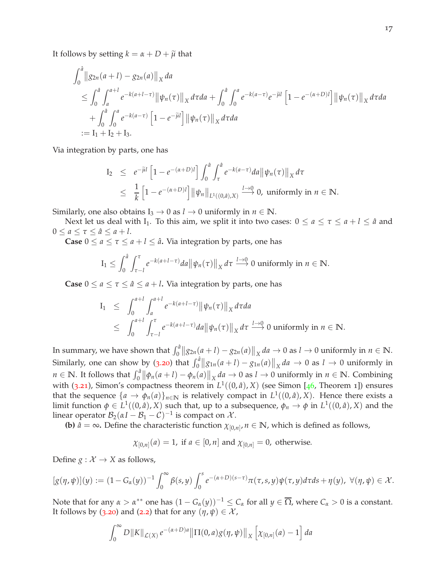It follows by setting  $k = \alpha + D + \tilde{\mu}$  that

$$
\int_0^{\hat{a}} \|g_{2n}(a+l) - g_{2n}(a)\|_X da
$$
\n
$$
\leq \int_0^{\hat{a}} \int_a^{a+l} e^{-k(a+l-\tau)} \|\psi_n(\tau)\|_X d\tau da + \int_0^{\hat{a}} \int_0^a e^{-k(a-\tau)} e^{-\tilde{\mu}l} \left[1 - e^{-(\alpha+D)l}\right] \|\psi_n(\tau)\|_X d\tau da
$$
\n
$$
+ \int_0^{\hat{a}} \int_0^a e^{-k(a-\tau)} \left[1 - e^{-\tilde{\mu}l}\right] \|\psi_n(\tau)\|_X d\tau da
$$
\n
$$
:= I_1 + I_2 + I_3.
$$

Via integration by parts, one has

$$
I_2 \leq e^{-\tilde{\mu}l} \left[ 1 - e^{-(\alpha + D)l} \right] \int_0^{\hat{a}} \int_{\tau}^{\hat{a}} e^{-k(a-\tau)} da \|\psi_n(\tau)\|_X d\tau
$$
  

$$
\leq \frac{1}{k} \left[ 1 - e^{-(\alpha + D)l} \right] \|\psi_n\|_{L^1((0,\hat{a}),X)} \xrightarrow{l \to 0} 0, \text{ uniformly in } n \in \mathbb{N}.
$$

Similarly, one also obtains  $I_3 \rightarrow 0$  as  $I \rightarrow 0$  uniformly in  $n \in \mathbb{N}$ .

Next let us deal with I<sub>1</sub>. To this aim, we split it into two cases:  $0 \le a \le \tau \le a + l \le \hat{a}$  and  $0 \le a \le \tau \le \hat{a} \le a + l$ .

**Case**  $0 \le a \le \tau \le a + l \le \hat{a}$ . Via integration by parts, one has

$$
I_1 \leq \int_0^{\hat{a}} \int_{\tau-l}^{\tau} e^{-k(a+l-\tau)} da \|\psi_n(\tau)\|_X d\tau \xrightarrow{l\to 0} 0 \text{ uniformly in } n \in \mathbb{N}.
$$

**Case**  $0 \le a \le \tau \le \hat{a} \le a + l$ **.** Via integration by parts, one has

$$
I_1 \leq \int_0^{a+l} \int_a^{a+l} e^{-k(a+l-\tau)} \|\psi_n(\tau)\|_X d\tau da
$$
  
 
$$
\leq \int_0^{a+l} \int_{\tau-l}^{\tau} e^{-k(a+l-\tau)} da \|\psi_n(\tau)\|_X d\tau \xrightarrow{l\to 0} 0 \text{ uniformly in } n \in \mathbb{N}.
$$

In summary, we have shown that  $\int_0^{\hat{a}} ||g_{2n}(a+l) - g_{2n}(a)||_X da \to 0$  as  $l \to 0$  uniformly in  $n \in \mathbb{N}$ . Similarly, one can show by (3.[20](#page-15-0)) that  $\int_0^a ||g_{1n}(a+l) - g_{1n}(a)||_X da \to 0$  as  $l \to 0$  uniformly in  $n \in \mathbb{N}$ . It follows that  $\int_0^{\hat{a}} \left\| \phi_n(a+l) - \phi_n(a) \right\|_X da \to 0$  as  $l \to 0$  uniformly in  $n \in \mathbb{N}$ . Combining with (3.[21](#page-15-1)), Simon's compactness theorem in  $L^1((0, \hat{a}), X)$  (see Simon [[46](#page-48-17), Theorem 1]) ensures that the sequence  $\{a \to \phi_n(a)\}_{n \in \mathbb{N}}$  is relatively compact in  $L^1((0,\hat{a}),X)$ . Hence there exists a limit function  $\phi \in L^1((0,\hat a),X)$  such that, up to a subsequence,  $\phi_n \to \phi$  in  $L^1((0,\hat a),X)$  and the linear operator  $\mathcal{B}_2(\alpha I - \mathcal{B}_1 - \mathcal{C})^{-1}$  is compact on  $\mathcal{X}$ .

**(b)**  $\hat{a} = \infty$ . Define the characteristic function  $\chi_{[0,n]}$ ,  $n \in \mathbb{N}$ , which is defined as follows,

$$
\chi_{[0,n]}(a) = 1
$$
, if  $a \in [0,n]$  and  $\chi_{[0,n]} = 0$ , otherwise.

Define  $g: \mathcal{X} \to X$  as follows,

$$
[g(\eta,\psi)](y) := (1-G_{\alpha}(y))^{-1} \int_0^{\infty} \beta(s,y) \int_0^s e^{-(\alpha+D)(s-\tau)} \pi(\tau,s,y) \psi(\tau,y) d\tau ds + \eta(y), \ \forall (\eta,\psi) \in \mathcal{X}.
$$

Note that for any  $\alpha > \alpha^{**}$  one has  $(1-G_\alpha(y))^{-1} \leq C_\alpha$  for all  $y \in \overline{\Omega}$ , where  $C_\alpha > 0$  is a constant. It follows by (3.[20](#page-15-0)) and ([2](#page-4-2).2) that for any  $(\eta, \psi) \in \mathcal{X}$ ,

$$
\int_0^{\infty} D\|K\|_{\mathcal{L}(X)} e^{-(\alpha+D)a} \|\Pi(0,a)g(\eta,\psi)\|_X \left[\chi_{[0,n]}(a)-1\right] da
$$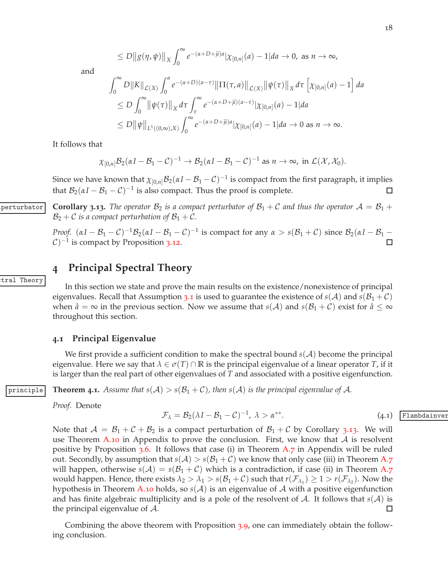$$
\leq D\big\|g(\eta,\psi)\big\|_X\int_0^\infty e^{-(\alpha+D+\widetilde{\mu})a}|\chi_{[0,n]}(a)-1|da\to 0, \text{ as } n\to\infty,
$$

and

$$
\int_0^{\infty} D\|K\|_{\mathcal{L}(X)} \int_0^a e^{-(\alpha+D)(a-\tau)} \|\Pi(\tau,a)\|_{\mathcal{L}(X)} \|\psi(\tau)\|_X d\tau \left[\chi_{[0,n]}(a) - 1\right] da
$$
  
\n
$$
\leq D \int_0^{\infty} \|\psi(\tau)\|_X d\tau \int_{\tau}^{\infty} e^{-(\alpha+D+\widetilde{\mu})(a-\tau)} |\chi_{[0,n]}(a) - 1| da
$$
  
\n
$$
\leq D \|\psi\|_{L^1((0,\infty),X)} \int_0^{\infty} e^{-(\alpha+D+\widetilde{\mu})a} |\chi_{[0,n]}(a) - 1| da \to 0 \text{ as } n \to \infty.
$$

It follows that

$$
\chi_{[0,n]} \mathcal{B}_2(\alpha I - \mathcal{B}_1 - \mathcal{C})^{-1} \to \mathcal{B}_2(\alpha I - \mathcal{B}_1 - \mathcal{C})^{-1} \text{ as } n \to \infty, \text{ in } \mathcal{L}(\mathcal{X}, \mathcal{X}_0).
$$

Since we have known that  $\chi_{[0,n]} \mathcal{B}_2(\alpha I-\mathcal{B}_1-\mathcal{C})^{-1}$  is compact from the first paragraph, it implies that  $\mathcal{B}_2(\alpha I - \mathcal{B}_1 - \mathcal{C})^{-1}$  is also compact. Thus the proof is complete. □

**Corollary 3.13.** The operator  $B_2$  *is a compact perturbator of*  $B_1 + C$  *and thus the operator*  $A = B_1 + C_2$  $\mathcal{B}_2 + \mathcal{C}$  *is a compact perturbation of*  $\mathcal{B}_1 + \mathcal{C}$ *.* 

> <span id="page-17-2"></span>*Proof.*  $(\alpha I - \beta_1 - C)^{-1} \beta_2 (\alpha I - \beta_1 - C)^{-1}$  is compact for any  $\alpha > s(\beta_1 + C)$  since  $\beta_2(\alpha I - \beta_1 - C)^{-1}$  $\mathcal{C})^{-1}$  is compact by Proposition 3.[12](#page-14-2). П

# <span id="page-17-0"></span>**4 Principal Spectral Theory**

In this section we state and prove the main results on the existence/nonexistence of principal eigenvalues. Recall that Assumption [3](#page-8-1).1 is used to guarantee the existence of  $s(\mathcal{A})$  and  $s(\mathcal{B}_1 + \mathcal{C})$ when  $\hat{a} = \infty$  in the previous section. Now we assume that  $s(A)$  and  $s(\mathcal{B}_1 + \mathcal{C})$  exist for  $\hat{a} \leq \infty$ throughout this section.

#### <span id="page-17-1"></span>**4.1 Principal Eigenvalue**

We first provide a sufficient condition to make the spectral bound  $s(A)$  become the principal eigenvalue. Here we say that  $\lambda \in \sigma(T) \cap \mathbb{R}$  is the principal eigenvalue of a linear operator *T*, if it is larger than the real part of other eigenvalues of *T* and associated with a positive eigenfunction.

principle **Theorem 4.1.** Assume that  $s(A) > s(B_1 + C)$ , then  $s(A)$  is the principal eigenvalue of A.

<span id="page-17-4"></span>*Proof.* Denote

<span id="page-17-3"></span>
$$
\mathcal{F}_{\lambda} = \mathcal{B}_2(\lambda I - \mathcal{B}_1 - \mathcal{C})^{-1}, \ \lambda > \alpha^{**}.\tag{4.1}
$$

Note that  $A = B_1 + C + B_2$  is a compact perturbation of  $B_1 + C$  by Corollary 3.[13](#page-17-2). We will use Theorem [A.](#page-42-1)10 in Appendix to prove the conclusion. First, we know that  $A$  is resolvent positive by Proposition  $3.6$  $3.6$ . It follows that case (i) in Theorem [A.](#page-41-2)7 in Appendix will be ruled out. Secondly, by assumption that  $s(A) > s(\mathcal{B}_1 + \mathcal{C})$  we know that only case (iii) in Theorem [A.](#page-41-2)7 will happen, otherwise  $s(A) = s(B_1 + C)$  which is a contradiction, if case (ii) in Theorem [A.](#page-41-2)7 would happen. Hence, there exists  $\lambda_2 > \lambda_1 > s(\mathcal{B}_1 + \mathcal{C})$  such that  $r(\mathcal{F}_{\lambda_1}) \geq 1 > r(\mathcal{F}_{\lambda_2})$ . Now the hypothesis in Theorem [A.](#page-42-1)10 holds, so  $s(\mathcal{A})$  is an eigenvalue of  $\mathcal A$  with a positive eigenfunction and has finite algebraic multiplicity and is a pole of the resolvent of A. It follows that  $s(A)$  is the principal eigenvalue of A.  $\Box$ 

Combining the above theorem with Proposition [3](#page-13-8).9, one can immediately obtain the following conclusion.

ambdainver

tral Theory: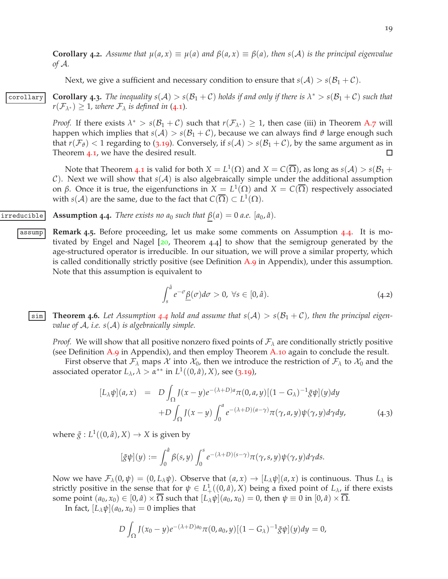**Corollary 4.2.** Assume that  $\mu(a, x) \equiv \mu(a)$  and  $\beta(a, x) \equiv \beta(a)$ , then  $s(\mathcal{A})$  is the principal eigenvalue *of* A*.*

<span id="page-18-3"></span>Next, we give a sufficient and necessary condition to ensure that  $s(A) > s(B_1 + C)$ .

**Corollary Corollary 4.3.** The inequality  $s(A) > s(B_1 + C)$  holds if and only if there is  $\lambda^* > s(B_1 + C)$  such that  $r(\mathcal{F}_{\lambda^*}) \geq 1$ *, where*  $\mathcal{F}_{\lambda}$  *is defined in* ([4](#page-17-3).1)*.* 

> *Proof.* If there exists  $\lambda^* > s(\mathcal{B}_1 + \mathcal{C})$  such that  $r(\mathcal{F}_{\lambda^*}) \geq 1$ , then case (iii) in Theorem [A.](#page-41-2)7 will happen which implies that  $s(A) > s(B_1 + C)$ , because we can always find  $\vartheta$  large enough such that  $r(\mathcal{F}_{\theta})$  < 1 regarding to (3.[19](#page-14-1)). Conversely, if  $s(\mathcal{A}) > s(\mathcal{B}_1 + \mathcal{C})$ , by the same argument as in Theorem [4](#page-17-4).1, we have the desired result.  $\Box$

> Note that Theorem [4](#page-17-4).1 is valid for both  $X = L^1(\Omega)$  and  $X = C(\overline{\Omega})$ , as long as  $s(\mathcal{A}) > s(\mathcal{B}_1 + \mathcal{B}_2)$  $\mathcal{C}$ ). Next we will show that  $s(\mathcal{A})$  is also algebraically simple under the additional assumption on *β*. Once it is true, the eigenfunctions in  $X = L^1(\Omega)$  and  $X = C(\overline{\Omega})$  respectively associated with  $s(\mathcal{A})$  are the same, due to the fact that  $C(\overline{\Omega})\subset L^1(\Omega).$

irreducible **Assumption 4.4.** There exists no  $a_0$  such that  $\beta(a) = 0$  a.e.  $[a_0, \hat{a})$ .

<span id="page-18-1"></span><span id="page-18-0"></span>assump **Remark 4.5.** Before proceeding, let us make some comments on Assumption [4](#page-18-0).4. It is motivated by Engel and Nagel  $[20,$  $[20,$  $[20,$  Theorem 4.4] to show that the semigroup generated by the age-structured operator is irreducible. In our situation, we will prove a similar property, which is called conditionally strictly positive (see Definition [A.](#page-41-3)9 in Appendix), under this assumption. Note that this assumption is equivalent to

$$
\int_{s}^{\hat{a}} e^{-\sigma} \underline{\beta}(\sigma) d\sigma > 0, \ \forall s \in [0, \hat{a}). \tag{4.2}
$$

<span id="page-18-4"></span>**5 Theorem [4](#page-18-0).6.** Let Assumption 4.4 hold and assume that  $s(A) > s(B_1 + C)$ , then the principal eigen*value of* A*, i.e. s*(A) *is algebraically simple.*

*Proof.* We will show that all positive nonzero fixed points of  $\mathcal{F}_{\lambda}$  are conditionally strictly positive (see Definition [A.](#page-41-3)9 in Appendix), and then employ Theorem [A.](#page-42-1)10 again to conclude the result.

First observe that  $\mathcal{F}_{\lambda}$  maps  $\mathcal{X}$  into  $\mathcal{X}_0$ , then we introduce the restriction of  $\mathcal{F}_{\lambda}$  to  $\mathcal{X}_0$  and the associated operator  $L_{\lambda}$ ,  $\lambda > \alpha^{**}$  in  $L^1((0, \hat{a}), X)$ , see (3.[19](#page-14-1)),

<span id="page-18-2"></span>
$$
[L_{\lambda}\psi](a,x) = D \int_{\Omega} J(x-y)e^{-(\lambda+D)a}\pi(0,a,y)[(1-G_{\lambda})^{-1}\tilde{g}\psi](y)dy + D \int_{\Omega} J(x-y)\int_{0}^{a} e^{-(\lambda+D)(a-\gamma)}\pi(\gamma,a,y)\psi(\gamma,y)d\gamma dy,
$$
(4.3)

where  $\tilde{g}: L^1((0, \hat{a}), X) \to X$  is given by

$$
[\tilde{g}\psi](y) := \int_0^{\hat{a}} \beta(s,y) \int_0^s e^{-(\lambda+D)(s-\gamma)} \pi(\gamma,s,y) \psi(\gamma,y) d\gamma ds.
$$

Now we have  $\mathcal{F}_{\lambda}(0, \psi) = (0, L_{\lambda}\psi)$ . Observe that  $(a, x) \to [L_{\lambda}\psi](a, x)$  is continuous. Thus  $L_{\lambda}$  is strictly positive in the sense that for  $\psi \in L^1_+((0,\hat{a}),X)$  being a fixed point of  $L_\lambda$ , if there exists some point  $(a_0, x_0) \in [0, \hat{a}) \times \overline{\Omega}$  such that  $[L_\lambda \psi](a_0, x_0) = 0$ , then  $\psi \equiv 0$  in  $[0, \hat{a}) \times \overline{\Omega}$ .

In fact,  $[L_{\lambda}\psi](a_0, x_0) = 0$  implies that

$$
D\int_{\Omega} J(x_0 - y)e^{-(\lambda + D)a_0}\pi(0, a_0, y)[(1 - G_{\lambda})^{-1}\tilde{g}\psi](y)dy = 0,
$$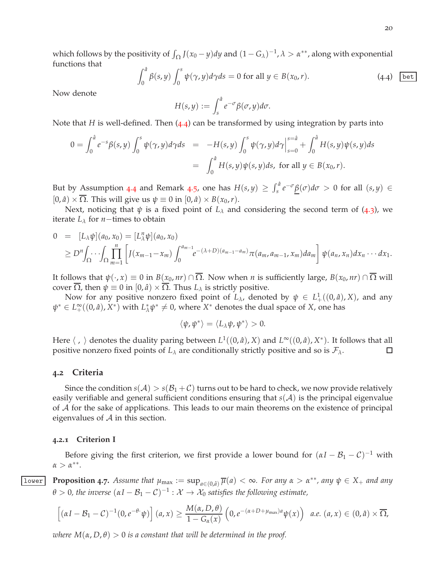which follows by the positivity of  $\int_{\Omega} J(x_0 - y) dy$  and  $(1 - G_{\lambda})^{-1}$ ,  $\lambda > \alpha^{**}$ , along with exponential functions that

<span id="page-19-2"></span>
$$
\int_0^{\hat{a}} \beta(s, y) \int_0^s \psi(\gamma, y) d\gamma ds = 0 \text{ for all } y \in B(x_0, r). \tag{4.4}
$$

Now denote

$$
H(s,y) := \int_s^{\hat{a}} e^{-\sigma} \beta(\sigma, y) d\sigma.
$$

Note that *H* is well-defined. Then ([4](#page-19-2).4) can be transformed by using integration by parts into

$$
0 = \int_0^{\hat{a}} e^{-s} \beta(s, y) \int_0^s \psi(\gamma, y) d\gamma ds = -H(s, y) \int_0^s \psi(\gamma, y) d\gamma \Big|_{s=0}^{s=\hat{a}} + \int_0^{\hat{a}} H(s, y) \psi(s, y) ds = \int_0^{\hat{a}} H(s, y) \psi(s, y) ds, \text{ for all } y \in B(x_0, r).
$$

But by Assumption [4](#page-18-1).4 and Remark 4.5, one has  $H(s,y) \geq \int_s^{\hat{a}} e^{-\sigma} \underline{\beta}(\sigma) d\sigma > 0$  for all  $(s,y) \in$  $[0, \hat{a}) \times \overline{\Omega}$ . This will give us  $\psi \equiv 0$  in  $[0, \hat{a}) \times B(x_0, r)$ .

Next, noticing that  $\psi$  is a fixed point of  $L_\lambda$  and considering the second term of ([4](#page-18-2).3), we iterate  $L_\lambda$  for *n*−times to obtain

$$
0 = [L_{\lambda} \psi](a_0, x_0) = [L_{\lambda}^n \psi](a_0, x_0)
$$
  
\n
$$
\geq D^n \int_{\Omega} \cdots \int_{\Omega} \prod_{m=1}^n \left[ J(x_{m-1} - x_m) \int_0^{a_{m-1}} e^{-(\lambda + D)(a_{m-1} - a_m)} \pi(a_m, a_{m-1}, x_m) da_m \right] \psi(a_n, x_n) dx_n \cdots dx_1.
$$

It follows that  $\psi(\cdot, x) \equiv 0$  in  $B(x_0, nr) \cap \overline{\Omega}$ . Now when *n* is sufficiently large,  $B(x_0, nr) \cap \overline{\Omega}$  will cover  $\overline{\Omega}$ , then  $\psi \equiv 0$  in  $[0, \hat{a}) \times \overline{\Omega}$ . Thus  $L_{\lambda}$  is strictly positive.

Now for any positive nonzero fixed point of  $L_\lambda$ , denoted by  $\psi \in L^1_+((0,\hat{a}),X)$ , and any  $\psi^* \in L_+^{\infty}((0,\hat{a}), X^*)$  with  $L_{\lambda}^*\psi^* \neq 0$ , where  $X^*$  denotes the dual space of *X*, one has

$$
\langle \psi, \psi^* \rangle = \langle L_{\lambda} \psi, \psi^* \rangle > 0.
$$

Here  $\langle , \rangle$  denotes the duality paring between  $L^1((0, \hat{a}), X)$  and  $L^\infty((0, \hat{a}), X^*)$ . It follows that all positive nonzero fixed points of  $L_\lambda$  are conditionally strictly positive and so is  $\mathcal{F}_\lambda$ .  $\Box$ 

#### <span id="page-19-0"></span>**4.2 Criteria**

Since the condition  $s(\mathcal{A}) > s(\mathcal{B}_1 + \mathcal{C})$  turns out to be hard to check, we now provide relatively easily verifiable and general sufficient conditions ensuring that  $s(A)$  is the principal eigenvalue of A for the sake of applications. This leads to our main theorems on the existence of principal eigenvalues of  $A$  in this section.

#### <span id="page-19-1"></span>**4.2.1 Criterion I**

<span id="page-19-3"></span>Before giving the first criterion, we first provide a lower bound for  $(\alpha I - \mathcal{B}_1 - \mathcal{C})^{-1}$  with  $\alpha > \alpha^{**}.$ 

**<u>lower</u>** Proposition 4.7. Assume that  $\mu_{\max} := \sup_{a \in (0,\hat{a})} \overline{\mu}(a) < \infty$ . For any  $\alpha > \alpha^{**}$ , any  $\psi \in X_+$  and any  $\theta > 0$ , the inverse  $(\alpha I - \mathcal{B}_1 - \mathcal{C})^{-1} : \mathcal{X} \to \mathcal{X}_0$  satisfies the following estimate,

$$
\left[ (\alpha I - \mathcal{B}_1 - \mathcal{C})^{-1} (0, e^{-\theta} \cdot \psi) \right](a, x) \geq \frac{M(\alpha, D, \theta)}{1 - G_{\alpha}(x)} \left( 0, e^{-(\alpha + D + \mu_{\max})a} \psi(x) \right) \quad a.e. \ (a, x) \in (0, \hat{a}) \times \overline{\Omega},
$$

*where*  $M(\alpha, D, \theta) > 0$  *is a constant that will be determined in the proof.*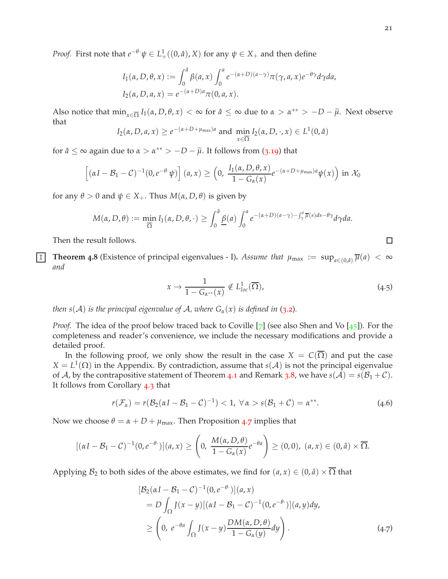*Proof.* First note that  $e^{-\theta} \psi \in L^1_+((0, \hat{a}), X)$  for any  $\psi \in X_+$  and then define

$$
I_1(\alpha, D, \theta, x) := \int_0^{\hat{a}} \beta(a, x) \int_0^a e^{-(\alpha + D)(a - \gamma)} \pi(\gamma, a, x) e^{-\theta \gamma} d\gamma da,
$$
  
\n
$$
I_2(\alpha, D, a, x) = e^{-(\alpha + D)a} \pi(0, a, x).
$$

Also notice that  $\min_{x \in \overline{\Omega}} I_1(\alpha, D, \theta, x) < \infty$  for  $\hat{a} \leq \infty$  due to  $\alpha > \alpha^{**} > -D - \tilde{\mu}$ . Next observe that

$$
I_2(\alpha, D, a, x) \ge e^{-(\alpha + D + \mu_{\max})a} \text{ and } \min_{x \in \overline{\Omega}} I_2(\alpha, D, \cdot, x) \in L^1(0, \hat{a})
$$

for  $\hat{a} \leq \infty$  again due to  $\alpha > \alpha^{**} > -D - \tilde{\mu}$ . It follows from (3.[19](#page-14-1)) that

$$
\left[ (\alpha I - \mathcal{B}_1 - \mathcal{C})^{-1} (0, e^{-\theta} \psi) \right](a, x) \ge \left( 0, \frac{I_1(\alpha, D, \theta, x)}{1 - G_{\alpha}(x)} e^{-(\alpha + D + \mu_{\max})a} \psi(x) \right) \text{ in } \mathcal{X}_0
$$

for any  $\theta > 0$  and  $\psi \in X_+$ . Thus  $M(\alpha, D, \theta)$  is given by

$$
M(\alpha, D, \theta) := \min_{\overline{\Omega}} I_1(\alpha, D, \theta, \cdot) \ge \int_0^{\hat{a}} \underline{\beta}(a) \int_0^a e^{-(\alpha + D)(a - \gamma) - \int_{\gamma}^a \overline{\mu}(s) ds - \theta \gamma} d\gamma da.
$$

Then the result follows.

<span id="page-20-0"></span>**1 Theorem 4.8** (Existence of principal eigenvalues - I). *Assume that*  $\mu_{\max} := \sup_{a \in (0,\hat{a})} \overline{\mu}(a) < \infty$ *and*

<span id="page-20-3"></span>
$$
x \to \frac{1}{1 - G_{\alpha^{**}}(x)} \notin L^1_{loc}(\overline{\Omega}), \tag{4.5}
$$

*then*  $s(A)$  *is the principal eigenvalue of A, where*  $G_\alpha(x)$  *is defined in* ([3](#page-9-4).2).

*Proof.* The idea of the proof below traced back to Coville [[7](#page-46-2)] (see also Shen and Vo [[45](#page-48-9)]). For the completeness and reader's convenience, we include the necessary modifications and provide a detailed proof.

In the following proof, we only show the result in the case  $X = C(\Omega)$  and put the case  $X = L<sup>1</sup>(\Omega)$  in the Appendix. By contradiction, assume that *s*( $\mathcal{A}$ ) is not the principal eigenvalue of A, by the contrapositive statement of Theorem [4](#page-17-4).1 and Remark [3](#page-12-0).8, we have  $s(A) = s(B_1 + C)$ . It follows from Corollary [4](#page-18-3).3 that

<span id="page-20-2"></span>
$$
r(\mathcal{F}_{\alpha})=r(\mathcal{B}_2(\alpha I-\mathcal{B}_1-\mathcal{C})^{-1})<1, \ \forall \alpha>s(\mathcal{B}_1+\mathcal{C})=\alpha^{**}.
$$
 (4.6)

Now we choose  $\theta = \alpha + D + \mu_{\text{max}}$ . Then Proposition [4](#page-19-3).7 implies that

$$
[(\alpha I - \mathcal{B}_1 - \mathcal{C})^{-1}(0, e^{-\theta})](a, x) \ge \left(0, \frac{M(\alpha, D, \theta)}{1 - G_{\alpha}(x)} e^{-\theta a}\right) \ge (0, 0), (a, x) \in (0, \hat{a}) \times \overline{\Omega}.
$$

Applying  $\mathcal{B}_2$  to both sides of the above estimates, we find for  $(a, x) \in (0, \hat{a}) \times \overline{\Omega}$  that

<span id="page-20-1"></span>
$$
[\mathcal{B}_2(\alpha I - \mathcal{B}_1 - C)^{-1}(0, e^{-\theta \cdot})](a, x)
$$
  
=  $D \int_{\Omega} J(x - y)[(\alpha I - \mathcal{B}_1 - C)^{-1}(0, e^{-\theta \cdot})](a, y) dy,$   

$$
\geq \left(0, e^{-\theta a} \int_{\Omega} J(x - y) \frac{DM(\alpha, D, \theta)}{1 - G_{\alpha}(y)} dy\right).
$$
 (4.7)

 $\Box$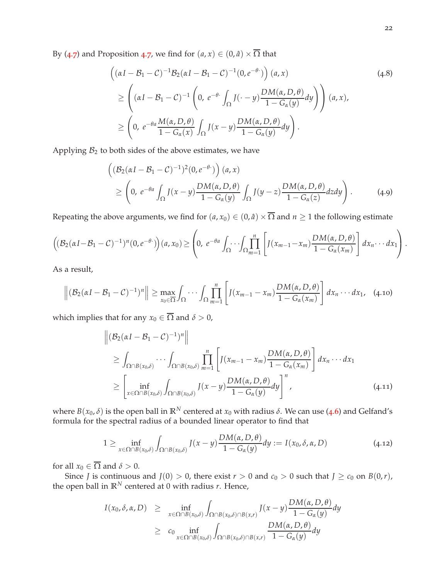By ([4](#page-19-3).7) and Proposition 4.7, we find for  $(a, x) \in (0, \hat{a}) \times \overline{\Omega}$  that

$$
\begin{aligned}\n\left( (\alpha I - \mathcal{B}_1 - \mathcal{C})^{-1} \mathcal{B}_2 (\alpha I - \mathcal{B}_1 - \mathcal{C})^{-1} (0, e^{-\theta} \cdot) \right) (a, x) \\
&\ge \left( (\alpha I - \mathcal{B}_1 - \mathcal{C})^{-1} \left( 0, e^{-\theta} \cdot \int_{\Omega} J(\cdot - y) \frac{DM(\alpha, D, \theta)}{1 - G_{\alpha}(y)} dy \right) \right) (a, x), \\
&\ge \left( 0, e^{-\theta a} \frac{M(\alpha, D, \theta)}{1 - G_{\alpha}(x)} \int_{\Omega} J(x - y) \frac{DM(\alpha, D, \theta)}{1 - G_{\alpha}(y)} dy \right).\n\end{aligned} \tag{4.8}
$$

Applying  $B_2$  to both sides of the above estimates, we have

$$
\begin{aligned}\n\left( (\mathcal{B}_2(\alpha I - \mathcal{B}_1 - \mathcal{C})^{-1})^2 (0, e^{-\theta}) \right) (a, x) \\
&\ge \left( 0, e^{-\theta a} \int_{\Omega} J(x - y) \frac{DM(\alpha, D, \theta)}{1 - G_{\alpha}(y)} \int_{\Omega} J(y - z) \frac{DM(\alpha, D, \theta)}{1 - G_{\alpha}(z)} dz dy \right).\n\end{aligned} \tag{4.9}
$$

Repeating the above arguments, we find for  $(a, x_0) \in (0, \hat{a}) \times \overline{\Omega}$  and  $n \ge 1$  the following estimate

$$
\left((\mathcal{B}_2(\alpha I - \mathcal{B}_1 - C)^{-1})^n(0, e^{-\theta})\right)(a, x_0) \ge \left(0, e^{-\theta a} \int_{\Omega} \cdots \int_{\Omega} \prod_{m=1}^n \left[J(x_{m-1} - x_m) \frac{DM(\alpha, D, \theta)}{1 - G_{\alpha}(x_m)}\right] dx_n \cdots dx_1\right).
$$

As a result,

<span id="page-21-1"></span>
$$
\left\| \left( \mathcal{B}_2(\alpha I - \mathcal{B}_1 - C)^{-1} \right)^n \right\| \geq \max_{x_0 \in \overline{\Omega}} \int_{\Omega} \cdots \int_{\Omega} \prod_{m=1}^n \left[ J(x_{m-1} - x_m) \frac{DM(\alpha, D, \theta)}{1 - G_{\alpha}(x_m)} \right] dx_n \cdots dx_1, \quad (4.10)
$$

which implies that for any  $x_0 \in \overline{\Omega}$  and  $\delta > 0$ ,

$$
\begin{aligned}\n\left\| \left( \mathcal{B}_2(\alpha I - \mathcal{B}_1 - \mathcal{C})^{-1} \right)^n \right\| \\
&\geq \int_{\Omega \cap B(x_0, \delta)} \cdots \int_{\Omega \cap B(x_0, \delta)} \prod_{m=1}^n \left[ J(x_{m-1} - x_m) \frac{DM(\alpha, D, \theta)}{1 - G_\alpha(x_m)} \right] dx_n \cdots dx_1 \\
&\geq \left[ \inf_{x \in \Omega \cap B(x_0, \delta)} \int_{\Omega \cap B(x_0, \delta)} J(x - y) \frac{DM(\alpha, D, \theta)}{1 - G_\alpha(y)} dy \right]^n,\n\end{aligned} \tag{4.11}
$$

where  $B(x_0, \delta)$  is the open ball in  $\mathbb{R}^N$  centered at  $x_0$  with radius  $\delta$ . We can use ([4](#page-20-2).6) and Gelfand's formula for the spectral radius of a bounded linear operator to find that

<span id="page-21-0"></span>
$$
1 \geq \inf_{x \in \Omega \cap B(x_0, \delta)} \int_{\Omega \cap B(x_0, \delta)} I(x - y) \frac{DM(\alpha, D, \theta)}{1 - G_{\alpha}(y)} dy := I(x_0, \delta, \alpha, D) \tag{4.12}
$$

for all  $x_0 \in \overline{\Omega}$  and  $\delta > 0$ .

Since *J* is continuous and  $J(0) > 0$ , there exist  $r > 0$  and  $c_0 > 0$  such that  $J \ge c_0$  on  $B(0,r)$ , the open ball in  $\mathbb{R}^N$  centered at 0 with radius *r*. Hence,

$$
I(x_0, \delta, \alpha, D) \ge \inf_{x \in \Omega \cap B(x_0, \delta)} \int_{\Omega \cap B(x_0, \delta) \cap B(x,r)} I(x - y) \frac{DM(\alpha, D, \theta)}{1 - G_{\alpha}(y)} dy
$$
  
 
$$
\ge c_0 \inf_{x \in \Omega \cap B(x_0, \delta)} \int_{\Omega \cap B(x_0, \delta) \cap B(x,r)} \frac{DM(\alpha, D, \theta)}{1 - G_{\alpha}(y)} dy
$$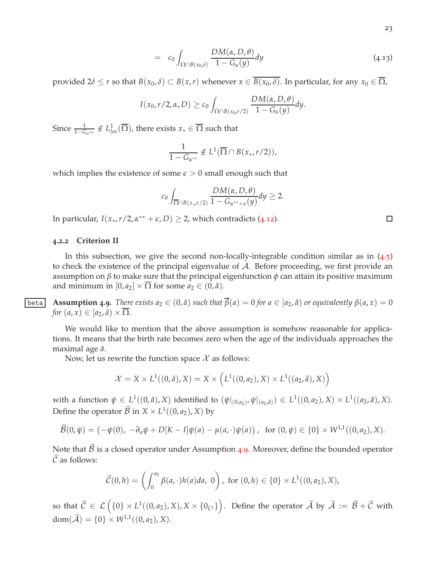$$
= c_0 \int_{\Omega \cap B(x_0,\delta)} \frac{DM(\alpha, D, \theta)}{1 - G_{\alpha}(y)} dy
$$
\n(4.13)

provided  $2\delta \le r$  so that  $B(x_0, \delta) \subset B(x, r)$  whenever  $x \in \overline{B(x_0, \delta)}$ . In particular, for any  $x_0 \in \overline{\Omega}$ ,

$$
I(x_0,r/2,\alpha,D) \geq c_0 \int_{\Omega \cap B(x_0,r/2)} \frac{DM(\alpha,D,\theta)}{1-G_{\alpha}(y)} dy.
$$

Since  $\frac{1}{1-G_{\alpha^{***}}} \notin L^1_{loc}(\overline{\Omega})$ , there exists  $x_* \in \overline{\Omega}$  such that

$$
\frac{1}{1-G_{\alpha^{**}}}\notin L^1(\overline{\Omega}\cap B(x_*,r/2)),
$$

which implies the existence of some  $\epsilon > 0$  small enough such that

$$
c_0 \int_{\overline{\Omega} \cap B(x_*, r/2)} \frac{DM(\alpha, D, \theta)}{1 - G_{\alpha^{**} + \epsilon}(y)} dy \ge 2.
$$

In particular,  $I(x_*, r/2, \alpha^{**} + \epsilon, D) \geq 2$ , which contradicts (4.[12](#page-21-0)).

#### <span id="page-22-0"></span>**4.2.2 Criterion II**

In this subsection, we give the second non-locally-integrable condition similar as in ([4](#page-20-3).5) to check the existence of the principal eigenvalue of A. Before proceeding, we first provide an assumption on *β* to make sure that the principal eigenfunction *φ* can attain its positive maximum and minimum in  $[0, a_2] \times \overline{\Omega}$  for some  $a_2 \in (0, \hat{a})$ .

<span id="page-22-1"></span>**beta Assumption 4.9.** There exists  $a_2 \in (0, \hat{a})$  such that  $\overline{\beta}(a) = 0$  for  $a \in [a_2, \hat{a})$  or equivalently  $\beta(a, x) = 0$ *for*  $(a, x) \in [a_2, \hat{a}) \times \Omega$ .

We would like to mention that the above assumption is somehow reasonable for applications. It means that the birth rate becomes zero when the age of the individuals approaches the maximal age *a*ˆ.

Now, let us rewrite the function space  $\mathcal X$  as follows:

$$
\mathcal{X} = X \times L^1((0, \hat{a}), X) = X \times \left( L^1((0, a_2), X) \times L^1((a_2, \hat{a}), X) \right)
$$

with a function  $\psi \in L^1((0,\hat{a}),X)$  identified to  $(\psi|_{(0,a_2)},\psi|_{(a_2,\hat{a})}) \in L^1((0,a_2),X) \times L^1((a_2,\hat{a}),X)$ . Define the operator  $\hat{\mathcal{B}}$  in  $X \times L^1((0, a_2), X)$  by

$$
\widehat{\mathcal{B}}(0,\psi) = (-\psi(0), -\partial_a \psi + D[K-I]\psi(a) - \mu(a,\cdot)\psi(a)), \text{ for } (0,\psi) \in \{0\} \times W^{1,1}((0,a_2),X).
$$

Note that  $\widehat{\mathcal{B}}$  is a closed operator under Assumption [4](#page-22-1).9. Moreover, define the bounded operator  $\widehat{C}$  as follows:

$$
\widehat{\mathcal{C}}(0,h) = \left( \int_0^{a_2} \beta(a,\cdot)h(a)da, 0 \right), \text{ for } (0,h) \in \{0\} \times L^1((0,a_2),X),
$$

so that  $\widehat{\mathcal{C}}\ \in\ \mathcal{L}\left(\{0\}\times L^1((0,a_2),X),X\times\{0_{L^1}\}\right)$ . Define the operator  $\widehat{\mathcal{A}}$  by  $\widehat{\mathcal{A}}\ :=\ \widehat{\mathcal{B}}+\widehat{\mathcal{C}}$  with  $dom(\widehat{\mathcal{A}}) = \{0\} \times W^{1,1}((0,a_2), X).$ 

 $\Box$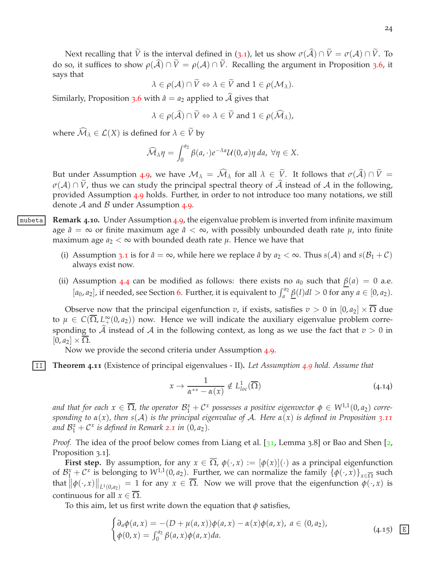Next recalling that  $\tilde{V}$  is the interval defined in ([3](#page-8-2).1), let us show  $\sigma(\hat{A}) \cap \tilde{V} = \sigma(A) \cap \tilde{V}$ . To do so, it suffices to show  $\rho(\hat{A}) \cap \tilde{V} = \rho(A) \cap \tilde{V}$ . Recalling the argument in Proposition [3](#page-11-3).6, it says that

$$
\lambda \in \rho(\mathcal{A}) \cap V \Leftrightarrow \lambda \in V \text{ and } 1 \in \rho(\mathcal{M}_{\lambda}).
$$

Similarly, Proposition [3](#page-11-3).6 with  $\hat{a} = a_2$  applied to  $\hat{A}$  gives that

$$
\lambda \in \rho(\widehat{\mathcal{A}}) \cap \widetilde{V} \Leftrightarrow \lambda \in \widetilde{V} \text{ and } 1 \in \rho(\widehat{\mathcal{M}}_{\lambda}),
$$

where  $\widehat{\mathcal{M}}_{\lambda} \in \mathcal{L}(X)$  is defined for  $\lambda \in \widetilde{V}$  by

$$
\widehat{\mathcal{M}}_{\lambda}\eta = \int_0^{a_2} \beta(a, \cdot)e^{-\lambda a}\mathcal{U}(0, a)\eta \, da, \,\forall \eta \in X.
$$

But under Assumption [4](#page-22-1).9, we have  $\mathcal{M}_{\lambda} = \widehat{\mathcal{M}}_{\lambda}$  for all  $\lambda \in \widetilde{V}$ . It follows that  $\sigma(\widehat{\mathcal{A}}) \cap \widetilde{V} =$  $\sigma(A) \cap \tilde{V}$ , thus we can study the principal spectral theory of  $\tilde{A}$  instead of A in the following, provided Assumption [4](#page-22-1).9 holds. Further, in order to not introduce too many notations, we still denote  $A$  and  $B$  under Assumption 4.[9](#page-22-1).

- mubeta **Remark 4.10.** Under Assumption [4](#page-22-1).9, the eigenvalue problem is inverted from infinite maximum age  $\hat{a} = \infty$  or finite maximum age  $\hat{a} < \infty$ , with possibly unbounded death rate  $\mu$ , into finite maximum age  $a_2 < \infty$  with bounded death rate  $\mu$ . Hence we have that
	- (i) Assumption [3](#page-8-1).1 is for  $\hat{a} = \infty$ , while here we replace  $\hat{a}$  by  $a_2 < \infty$ . Thus  $s(A)$  and  $s(B_1 + C)$ always exist now.
	- (ii) Assumption [4](#page-18-0).4 can be modified as follows: there exists no  $a_0$  such that  $\beta(a) = 0$  a.e.  $[a_0, a_2]$ , if needed, see Section [6](#page-38-0). Further, it is equivalent to  $\int_a^{a_2} \underline{\beta}(l) dl > 0$  for any  $a \in [0, a_2)$ .

Observe now that the principal eigenfunction *v*, if exists, satisfies  $v > 0$  in  $[0, a_2] \times \overline{\Omega}$  due to  $\mu \in C(\overline{\Omega}, L^{\infty}_+(0,a_2))$  now. Hence we will indicate the auxiliary eigenvalue problem corresponding to  $\hat{\mathcal{A}}$  instead of  $\hat{\mathcal{A}}$  in the following context, as long as we use the fact that  $v > 0$  in  $[0, a_2] \times \Omega$ .

<span id="page-23-2"></span>Now we provide the second criteria under Assumption [4](#page-22-1).9.

II **Theorem 4.11** (Existence of principal eigenvalues - II)**.** *Let Assumption [4](#page-22-1).9 hold. Assume that*

<span id="page-23-1"></span>
$$
x \to \frac{1}{\alpha^{**} - \alpha(x)} \notin L^1_{loc}(\overline{\Omega})
$$
\n(4.14)

and that for each  $x \in \overline{\Omega}$ , the operator  $\mathcal{B}_1^x + \mathcal{C}^x$  possesses a positive eigenvector  $\phi \in W^{1,1}(0,a_2)$  corre*sponding to α*(*x*)*, then s*(A) *is the principal eigenvalue of* A*. Here α*(*x*) *is defined in Proposition 3.[11](#page-13-9)* and  $\mathcal{B}_{1}^{x} + \mathcal{C}^{x}$  is defined in Remark [2](#page-7-2).1 in  $(0, a_{2})$ .

*Proof.* The idea of the proof below comes from Liang et al. [[31](#page-47-6), Lemma 3.8] or Bao and Shen [[2](#page-46-12), Proposition 3.1.

**First step.** By assumption, for any  $x \in \overline{\Omega}$ ,  $\phi(\cdot, x) := [\phi(x)](\cdot)$  as a principal eigenfunction of  $\mathcal{B}_1^x + \mathcal{C}^x$  is belonging to  $W^{1,1}(0,a_2)$ . Further, we can normalize the family  $\{\phi(\cdot,x)\}_{x\in\overline{\Omega}}$  such that  $\|\phi(\cdot,x)\|_{L^1(0,a_2)} = 1$  for any  $x \in \overline{\Omega}$ . Now we will prove that the eigenfunction  $\phi(\cdot,x)$  is continuous for all  $x \in \Omega$ .

To this aim, let us first write down the equation that  $\phi$  satisfies,

<span id="page-23-0"></span>
$$
\begin{cases} \partial_a \phi(a, x) = -(D + \mu(a, x)) \phi(a, x) - \alpha(x) \phi(a, x), \ a \in (0, a_2), \\ \phi(0, x) = \int_0^{a_2} \beta(a, x) \phi(a, x) da. \end{cases}
$$
 (4.15) E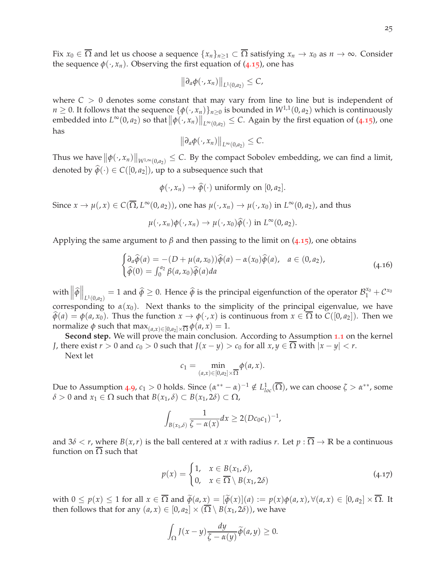Fix  $x_0 \in \overline{\Omega}$  and let us choose a sequence  $\{x_n\}_{n\geq 1} \subset \overline{\Omega}$  satisfying  $x_n \to x_0$  as  $n \to \infty$ . Consider the sequence  $\phi(\cdot, x_n)$ . Observing the first equation of (4.[15](#page-23-0)), one has

$$
\big\|\partial_a\phi(\cdot,x_n)\big\|_{L^1(0,a_2)}\leq C,
$$

where  $C > 0$  denotes some constant that may vary from line to line but is independent of *n* ≥ 0. It follows that the sequence  $\{\phi(\cdot, x_n)\}_{n\geq 0}$  is bounded in  $W^{1,1}(0, a_2)$  which is continuously embedded into  $L^{\infty}(0, a_2)$  so that  $\|\phi(\cdot, x_n)\|_{L^{\infty}(0, a_2)} \leq C$ . Again by the first equation of (4.[15](#page-23-0)), one has

$$
\big\|\partial_a\phi(\cdot,x_n)\big\|_{L^\infty(0,a_2)}\leq C.
$$

Thus we have  $\|\phi(\cdot,x_n)\|_{W^{1,\infty}(0,a_2)} \leq C$ . By the compact Sobolev embedding, we can find a limit, denoted by  $\hat{\phi}(\cdot) \in C([0, a_2])$ , up to a subsequence such that

$$
\phi(\cdot, x_n) \to \widehat{\phi}(\cdot)
$$
 uniformly on  $[0, a_2]$ .

Since  $x \to \mu($ ,  $x) \in C(\overline{\Omega}, L^{\infty}(0, a_2))$ , one has  $\mu(·, x_n) \to \mu(·, x_0)$  in  $L^{\infty}(0, a_2)$ , and thus

 $\mu(\cdot, x_n)\phi(\cdot, x_n) \to \mu(\cdot, x_0)\widehat{\phi}(\cdot)$  in  $L^{\infty}(0, a_2)$ .

Applying the same argument to  $\beta$  and then passing to the limit on (4.[15](#page-23-0)), one obtains

$$
\begin{cases}\n\partial_a \widehat{\phi}(a) = -(D + \mu(a, x_0))\widehat{\phi}(a) - \alpha(x_0)\widehat{\phi}(a), & a \in (0, a_2), \\
\widehat{\phi}(0) = \int_0^{a_2} \beta(a, x_0)\widehat{\phi}(a) da\n\end{cases}
$$
\n(4.16)

with  $\left\|\widehat{\phi}\right\|_{L^1(0,a_2)} = 1$  and  $\widehat{\phi} \ge 0$ . Hence  $\widehat{\phi}$  is the principal eigenfunction of the operator  $\mathcal{B}_1^{x_0} + \mathcal{C}^{x_0}$ corresponding to  $\alpha(x_0)$ . Next thanks to the simplicity of the principal eigenvalue, we have  $\hat{\phi}(a) = \phi(a, x_0)$ . Thus the function  $x \to \phi(\cdot, x)$  is continuous from  $x \in \overline{\Omega}$  to  $C([0, a_2])$ . Then we normalize  $\phi$  such that  $\max_{(a,x)\in[0,a_2]\times\overline{\Omega}}\phi(a,x)=1.$ 

Second step. We will prove the main conclusion. According to Assumption [1](#page-40-4).1 on the kernel *J*, there exist  $r > 0$  and  $c_0 > 0$  such that  $J(x - y) > c_0$  for all  $x, y \in \overline{\Omega}$  with  $|x - y| < r$ .

Next let

$$
c_1=\min_{(a,x)\in[0,a_2]\times\overline{\Omega}}\phi(a,x).
$$

Due to Assumption [4](#page-22-1).9,  $c_1 > 0$  holds. Since  $(\alpha^{**} - \alpha)^{-1} \notin L^1_{loc}(\overline{\Omega})$ , we can choose  $\zeta > \alpha^{**}$ , some *δ* > 0 and *x*<sub>1</sub> ∈ Ω such that *B*(*x*<sub>1</sub>, *δ*) ⊂ *B*(*x*<sub>1</sub>, 2*δ*) ⊂ Ω,

$$
\int_{B(x_1,\delta)} \frac{1}{\zeta - \alpha(x)} dx \geq 2(Dc_0c_1)^{-1},
$$

and  $3\delta < r$ , where  $B(x,r)$  is the ball centered at x with radius r. Let  $p : \overline{\Omega} \to \mathbb{R}$  be a continuous function on  $\overline{\Omega}$  such that

$$
p(x) = \begin{cases} 1, & x \in B(x_1, \delta), \\ 0, & x \in \overline{\Omega} \setminus B(x_1, 2\delta) \end{cases}
$$
 (4.17)

with  $0 \le p(x) \le 1$  for all  $x \in \overline{\Omega}$  and  $\widetilde{\phi}(a, x) = [\widetilde{\phi}(x)](a) := p(x)\phi(a, x), \forall (a, x) \in [0, a_2] \times \overline{\Omega}$ . It then follows that for any  $(a, x) \in [0, a_2] \times (\overline{\Omega} \setminus B(x_1, 2\delta))$ , we have

$$
\int_{\Omega} J(x-y) \frac{dy}{\zeta - \alpha(y)} \widetilde{\phi}(a, y) \ge 0.
$$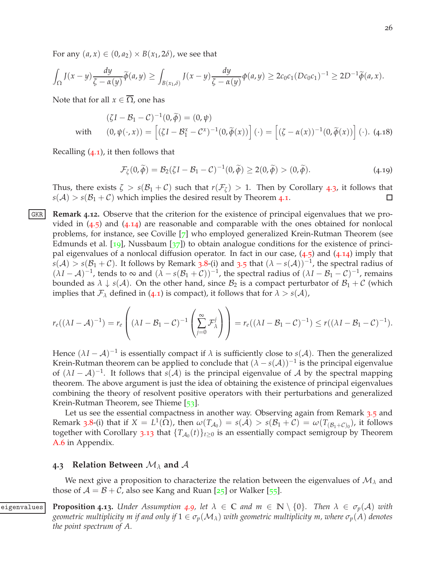For any  $(a, x) \in (0, a_2) \times B(x_1, 2\delta)$ , we see that

$$
\int_{\Omega} J(x-y) \frac{dy}{\zeta-\alpha(y)} \widetilde{\phi}(a,y) \geq \int_{B(x_1,\delta)} J(x-y) \frac{dy}{\zeta-\alpha(y)} \phi(a,y) \geq 2c_0c_1 (Dc_0c_1)^{-1} \geq 2D^{-1} \widetilde{\phi}(a,x).
$$

Note that for all  $x \in \overline{\Omega}$ , one has

$$
(\zeta I - \mathcal{B}_1 - \mathcal{C})^{-1}(0, \widetilde{\phi}) = (0, \psi)
$$
  
with 
$$
(0, \psi(\cdot, x)) = [(\zeta I - \mathcal{B}_1^x - \mathcal{C}^x)^{-1}(0, \widetilde{\phi}(x))] (\cdot) = [(\zeta - \alpha(x))^{-1}(0, \widetilde{\phi}(x))] (\cdot).
$$
 (4.18)

Recalling ([4](#page-17-3).1), it then follows that

$$
\mathcal{F}_{\zeta}(0,\widetilde{\phi}) = \mathcal{B}_2(\zeta I - \mathcal{B}_1 - \mathcal{C})^{-1}(0,\widetilde{\phi}) \ge 2(0,\widetilde{\phi}) > (0,\widetilde{\phi}).\tag{4.19}
$$

Thus, there exists  $\zeta > s(\mathcal{B}_1 + \mathcal{C})$  such that  $r(\mathcal{F}_{\zeta}) > 1$ . Then by Corollary [4](#page-18-3).3, it follows that  $s(A) > s(B_1 + C)$  which implies the desired result by Theorem [4](#page-17-4).1.  $\Box$ 

<span id="page-25-1"></span>GKR **Remark 4.12.** Observe that the criterion for the existence of principal eigenvalues that we provided in  $(4.5)$  $(4.5)$  $(4.5)$  and  $(4.14)$  $(4.14)$  $(4.14)$  are reasonable and comparable with the ones obtained for nonlocal problems, for instance, see Coville [[7](#page-46-2)] who employed generalized Krein-Rutman Theorem (see Edmunds et al. [[19](#page-47-4)], Nussbaum [ $37$ ]) to obtain analogue conditions for the existence of principal eigenvalues of a nonlocal diffusion operator. In fact in our case,  $(4.5)$  $(4.5)$  $(4.5)$  and  $(4.14)$  $(4.14)$  $(4.14)$  imply that  $s(A) > s(B<sub>1</sub>+C)$ . It follows by Remark [3](#page-10-1).8-(i) and 3.5 that  $(\lambda - s(A))^{-1}$ , the spectral radius of  $(\lambda I - A)^{-1}$ , tends to  $\infty$  and  $(\lambda - s(\mathcal{B}_1 + C))^{-1}$ , the spectral radius of  $(\lambda I - \mathcal{B}_1 - C)^{-1}$ , remains bounded as  $\lambda \downarrow s(A)$ . On the other hand, since  $B_2$  is a compact perturbator of  $B_1 + C$  (which implies that  $\mathcal{F}_{\lambda}$  defined in ([4](#page-17-3).1) is compact), it follows that for  $\lambda > s(\mathcal{A})$ ,

$$
r_e((\lambda I - A)^{-1}) = r_e\left((\lambda I - B_1 - C)^{-1}\left(\sum_{j=0}^{\infty} \mathcal{F}_{\lambda}^{j}\right)\right) = r_e((\lambda I - B_1 - C)^{-1}) \le r((\lambda I - B_1 - C)^{-1}).
$$

Hence  $(\lambda I - \mathcal{A})^{-1}$  is essentially compact if  $\lambda$  is sufficiently close to *s*( $\mathcal{A}$ ). Then the generalized Krein-Rutman theorem can be applied to conclude that  $(\lambda - s(A))^{-1}$  is the principal eigenvalue of  $(\lambda I - \mathcal{A})^{-1}$ . It follows that *s*( $\mathcal{A}$ ) is the principal eigenvalue of  $\mathcal{A}$  by the spectral mapping theorem. The above argument is just the idea of obtaining the existence of principal eigenvalues combining the theory of resolvent positive operators with their perturbations and generalized Krein-Rutman Theorem, see Thieme [[53](#page-49-4)].

Let us see the essential compactness in another way. Observing again from Remark [3](#page-10-1).5 and Remark [3](#page-12-0).8-(i) that if  $X = L^1(\Omega)$ , then  $\omega(T_{\mathcal{A}_0}) = s(\mathcal{A}) > s(\mathcal{B}_1 + \mathcal{C}) = \omega(T_{(\mathcal{B}_1 + \mathcal{C})_0})$ , it follows together with Corollary 3.[13](#page-17-2) that  $\{T_{A_0}(t)\}_{t\geq 0}$  is an essentially compact semigroup by Theorem [A.](#page-41-4)6 in Appendix.

#### <span id="page-25-0"></span>**4.3 Relation Between** M*<sup>λ</sup>* **and** A

<span id="page-25-2"></span>We next give a proposition to characterize the relation between the eigenvalues of M*<sup>λ</sup>* and those of  $A = B + C$ , also see Kang and Ruan [[25](#page-47-10)] or Walker [[55](#page-49-8)].

eigenvalues **Proposition 4.13.** Under Assumption 4.[9](#page-22-1), let  $\lambda \in \mathbb{C}$  and  $m \in \mathbb{N} \setminus \{0\}$ . Then  $\lambda \in \sigma_p(\mathcal{A})$  with *geometric multiplicity m if and only if*  $1 \in \sigma_p(\mathcal{M}_\lambda)$  *with geometric multiplicity m, where*  $\sigma_p(A)$  *denotes the point spectrum of A.*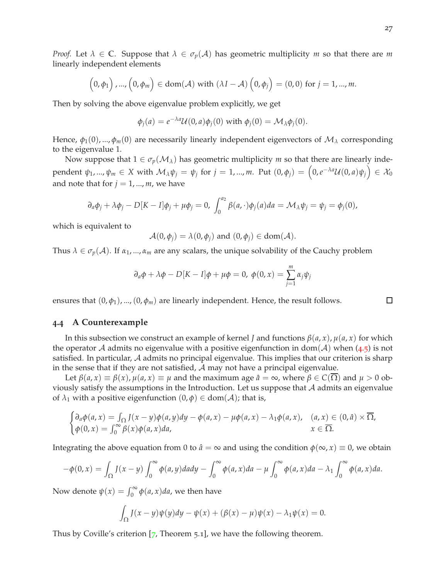*Proof.* Let  $\lambda \in \mathbb{C}$ . Suppose that  $\lambda \in \sigma_p(\mathcal{A})$  has geometric multiplicity *m* so that there are *m* linearly independent elements

$$
(0, \phi_1), ..., (0, \phi_m) \in \text{dom}(\mathcal{A}) \text{ with } (\lambda I - \mathcal{A}) (0, \phi_j) = (0, 0) \text{ for } j = 1, ..., m.
$$

Then by solving the above eigenvalue problem explicitly, we get

$$
\phi_j(a) = e^{-\lambda a} \mathcal{U}(0, a) \phi_j(0) \text{ with } \phi_j(0) = \mathcal{M}_{\lambda} \phi_j(0).
$$

Hence,  $\phi_1(0)$ , ...,  $\phi_m(0)$  are necessarily linearly independent eigenvectors of  $\mathcal{M}_\lambda$  corresponding to the eigenvalue 1.

Now suppose that  $1 \in \sigma_p(\mathcal{M}_\lambda)$  has geometric multiplicity *m* so that there are linearly independent  $\psi_1, ..., \psi_m \in X$  with  $\mathcal{M}_{\lambda} \psi_j = \psi_j$  for  $j = 1, ..., m$ . Put  $(0, \phi_j) = (0, e^{-\lambda a} \mathcal{U}(0, a) \psi_j) \in \mathcal{X}_0$ and note that for  $j = 1, ..., m$ , we have

$$
\partial_a \phi_j + \lambda \phi_j - D[K - I] \phi_j + \mu \phi_j = 0, \int_0^{a_2} \beta(a, \cdot) \phi_j(a) da = \mathcal{M}_{\lambda} \psi_j = \psi_j = \phi_j(0),
$$

which is equivalent to

 $\mathcal{A}(0, \phi_i) = \lambda(0, \phi_i)$  and  $(0, \phi_i) \in \text{dom}(\mathcal{A})$ .

Thus  $\lambda \in \sigma_p(\mathcal{A})$ . If  $\alpha_1, ..., \alpha_m$  are any scalars, the unique solvability of the Cauchy problem

$$
\partial_a \phi + \lambda \phi - D[K - I] \phi + \mu \phi = 0, \ \phi(0, x) = \sum_{j=1}^m \alpha_j \psi_j
$$

ensures that  $(0, \phi_1)$ , ...,  $(0, \phi_m)$  are linearly independent. Hence, the result follows.

### <span id="page-26-0"></span>**4.4 A Counterexample**

In this subsection we construct an example of kernel *J* and functions  $\beta(a, x)$ ,  $\mu(a, x)$  for which the operator A admits no eigenvalue with a positive eigenfunction in dom(A) when ([4](#page-20-3).5) is not satisfied. In particular,  $A$  admits no principal eigenvalue. This implies that our criterion is sharp in the sense that if they are not satisfied,  $\mathcal A$  may not have a principal eigenvalue.

Let  $\beta(a, x) \equiv \beta(x)$ ,  $\mu(a, x) \equiv \mu$  and the maximum age  $\hat{a} = \infty$ , where  $\beta \in C(\Omega)$  and  $\mu > 0$  obviously satisfy the assumptions in the Introduction. Let us suppose that  $A$  admits an eigenvalue of  $\lambda_1$  with a positive eigenfunction  $(0, \phi) \in \text{dom}(\mathcal{A})$ ; that is,

$$
\begin{cases} \partial_a \phi(a,x) = \int_{\Omega} J(x-y) \phi(a,y) dy - \phi(a,x) - \mu \phi(a,x) - \lambda_1 \phi(a,x), & (a,x) \in (0,\hat{a}) \times \overline{\Omega}, \\ \phi(0,x) = \int_0^\infty \beta(x) \phi(a,x) da, & x \in \overline{\Omega}. \end{cases}
$$

Integrating the above equation from 0 to  $\hat{a} = \infty$  and using the condition  $\phi(\infty, x) \equiv 0$ , we obtain

$$
-\phi(0,x) = \int_{\Omega} J(x-y) \int_0^{\infty} \phi(a,y) da dy - \int_0^{\infty} \phi(a,x) da - \mu \int_0^{\infty} \phi(a,x) da - \lambda_1 \int_0^{\infty} \phi(a,x) da.
$$

Now denote  $\psi(x) = \int_0^\infty \phi(a, x) da$ , we then have

$$
\int_{\Omega} J(x-y)\psi(y)dy - \psi(x) + (\beta(x) - \mu)\psi(x) - \lambda_1\psi(x) = 0.
$$

Thus by Coville's criterion  $[7,$  $[7,$  $[7,$  Theorem 5.1], we have the following theorem.

 $\Box$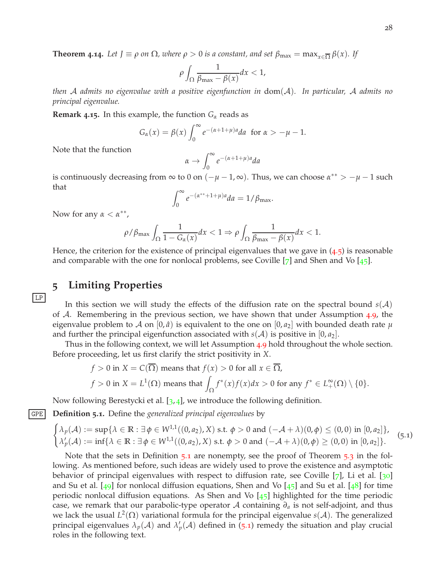**Theorem 4.14.** Let  $J \equiv \rho$  *on*  $\Omega$ *, where*  $\rho > 0$  *is a constant, and set*  $\beta_{\max} = \max_{x \in \overline{\Omega}} \beta(x)$ *.* If

$$
\rho \int_{\Omega} \frac{1}{\beta_{\max} - \beta(x)} dx < 1,
$$

*then* A *admits no eigenvalue with a positive eigenfunction in* dom(A)*. In particular,* A *admits no principal eigenvalue.*

**Remark 4.15.** In this example, the function  $G_\alpha$  reads as

$$
G_{\alpha}(x) = \beta(x) \int_0^{\infty} e^{-(\alpha+1+\mu)a} da \text{ for } \alpha > -\mu - 1.
$$

Note that the function

$$
\alpha \to \int_0^\infty e^{-(\alpha+1+\mu)a} da
$$

is continuously decreasing from  $\infty$  to 0 on  $(-\mu - 1, \infty)$ . Thus, we can choose  $\alpha^{**} > -\mu - 1$  such that

$$
\int_0^\infty e^{-(\alpha^{**}+1+\mu)a} da = 1/\beta_{\text{max}}.
$$

Now for any  $\alpha < \alpha^{**}$ ,

LP

$$
\rho/\beta_{\max} \int_{\Omega} \frac{1}{1 - G_{\alpha}(x)} dx < 1 \Rightarrow \rho \int_{\Omega} \frac{1}{\beta_{\max} - \beta(x)} dx < 1.
$$

Hence, the criterion for the existence of principal eigenvalues that we gave in  $(4.5)$  $(4.5)$  $(4.5)$  is reasonable and comparable with the one for nonlocal problems, see Coville  $[7]$  $[7]$  $[7]$  and Shen and Vo  $[45]$  $[45]$  $[45]$ .

### <span id="page-27-0"></span>**5 Limiting Properties**

In this section we will study the effects of the diffusion rate on the spectral bound  $s(A)$ of  $A$ . Remembering in the previous section, we have shown that under Assumption [4](#page-22-1).9, the eigenvalue problem to A on  $[0, \hat{a})$  is equivalent to the one on  $[0, a_2]$  with bounded death rate  $\mu$ and further the principal eigenfunction associated with  $s(A)$  is positive in  $[0, a_2]$ .

Thus in the following context, we will let Assumption [4](#page-22-1).9 hold throughout the whole section. Before proceeding, let us first clarify the strict positivity in *X*.

$$
f > 0 \text{ in } X = C(\overline{\Omega}) \text{ means that } f(x) > 0 \text{ for all } x \in \overline{\Omega},
$$
  

$$
f > 0 \text{ in } X = L^{1}(\Omega) \text{ means that } \int_{\Omega} f^{*}(x)f(x)dx > 0 \text{ for any } f^{*} \in L_{+}^{\infty}(\Omega) \setminus \{0\}.
$$

<span id="page-27-1"></span>Now following Berestycki et al. [[3](#page-46-4), [4](#page-46-3)], we introduce the following definition.

GPE **Definition 5.1.** Define the *generalized principal eigenvalues* by

$$
\begin{cases} \lambda_p(\mathcal{A}) := \sup \{ \lambda \in \mathbb{R} : \exists \phi \in W^{1,1}((0,a_2),X) \text{ s.t. } \phi > 0 \text{ and } (-\mathcal{A} + \lambda)(0,\phi) \le (0,0) \text{ in } [0,a_2] \}, \\ \lambda'_p(\mathcal{A}) := \inf \{ \lambda \in \mathbb{R} : \exists \phi \in W^{1,1}((0,a_2),X) \text{ s.t. } \phi > 0 \text{ and } (-\mathcal{A} + \lambda)(0,\phi) \ge (0,0) \text{ in } [0,a_2] \}. \end{cases}
$$
(5.1)

Note that the sets in Definition [5](#page-27-1).1 are nonempty, see the proof of Theorem [5](#page-28-1).3 in the following. As mentioned before, such ideas are widely used to prove the existence and asymptotic behavior of principal eigenvalues with respect to diffusion rate, see Coville  $[\tau]$ , Li et al.  $[\infty]$ and Su et al.  $[49]$  $[49]$  $[49]$  for nonlocal diffusion equations, Shen and Vo  $[45]$  $[45]$  $[45]$  and Su et al.  $[48]$  $[48]$  $[48]$  for time periodic nonlocal diffusion equations. As Shen and Vo  $[45]$  $[45]$  $[45]$  highlighted for the time periodic case, we remark that our parabolic-type operator A containing *∂<sup>a</sup>* is not self-adjoint, and thus we lack the usual *L* 2 (Ω) variational formula for the principal eigenvalue *s*(A). The generalized principal eigenvalues  $\lambda_p(\mathcal{A})$  and  $\lambda'_p(\mathcal{A})$  defined in ([5](#page-27-1).1) remedy the situation and play crucial roles in the following text.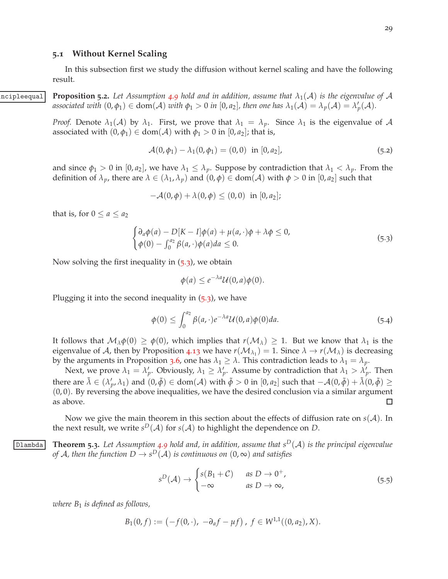#### <span id="page-28-0"></span>**5.1 Without Kernel Scaling**

<span id="page-28-3"></span>In this subsection first we study the diffusion without kernel scaling and have the following result.

 $\alpha$   $\alpha$  **Proposition** 5.2. Let Assumption [4](#page-22-1).9 hold and in addition, assume that  $\lambda_1(\mathcal{A})$  is the eigenvalue of  $\mathcal{A}$ *associated with*  $(0, \phi_1) \in \text{dom}(\mathcal{A})$  *with*  $\phi_1 > 0$  *in*  $[0, a_2]$ *, then one has*  $\lambda_1(\mathcal{A}) = \lambda_p(\mathcal{A}) = \lambda'_p(\mathcal{A})$ *.* 

> *Proof.* Denote  $\lambda_1(\mathcal{A})$  by  $\lambda_1$ . First, we prove that  $\lambda_1 = \lambda_p$ . Since  $\lambda_1$  is the eigenvalue of  $\mathcal{A}$ associated with  $(0, \phi_1) \in \text{dom}(\mathcal{A})$  with  $\phi_1 > 0$  in  $[0, a_2]$ ; that is,

$$
\mathcal{A}(0,\phi_1) - \lambda_1(0,\phi_1) = (0,0) \text{ in } [0,a_2],
$$
\n(5.2)

and since  $\phi_1 > 0$  in  $[0, a_2]$ , we have  $\lambda_1 \leq \lambda_p$ . Suppose by contradiction that  $\lambda_1 < \lambda_p$ . From the definition of  $\lambda_p$ , there are  $\lambda \in (\lambda_1, \lambda_p)$  and  $(0, \phi) \in \text{dom}(\mathcal{A})$  with  $\phi > 0$  in  $[0, a_2]$  such that

$$
-\mathcal{A}(0,\phi)+\lambda(0,\phi)\leq(0,0)\ \ \text{in}\ [0,a_2];
$$

that is, for  $0 \le a \le a_2$ 

<span id="page-28-2"></span>
$$
\begin{cases} \partial_a \phi(a) - D[K - I] \phi(a) + \mu(a, \cdot) \phi + \lambda \phi \le 0, \\ \phi(0) - \int_0^{a_2} \beta(a, \cdot) \phi(a) da \le 0. \end{cases}
$$
 (5.3)

Now solving the first inequality in  $(5.3)$  $(5.3)$  $(5.3)$ , we obtain

$$
\phi(a) \leq e^{-\lambda a} \mathcal{U}(0, a)\phi(0).
$$

Plugging it into the second inequality in  $(5.3)$  $(5.3)$  $(5.3)$ , we have

$$
\phi(0) \le \int_0^{a_2} \beta(a, \cdot) e^{-\lambda a} \mathcal{U}(0, a) \phi(0) da. \tag{5.4}
$$

It follows that  $M_\lambda \phi(0) \ge \phi(0)$ , which implies that  $r(M_\lambda) \ge 1$ . But we know that  $\lambda_1$  is the eigenvalue of  $A$ , then by Proposition 4.[13](#page-25-2) we have  $r(\mathcal{M}_{\lambda_1}) = 1$ . Since  $\lambda \to r(\mathcal{M}_\lambda)$  is decreasing by the arguments in Proposition [3](#page-11-3).6, one has  $\lambda_1 \geq \lambda$ . This contradiction leads to  $\lambda_1 = \lambda_p$ .

Next, we prove  $\lambda_1 = \lambda'_p$ . Obviously,  $\lambda_1 \geq \lambda'_p$ . Assume by contradiction that  $\lambda_1 > \lambda'_p$ . Then there are  $\tilde{\lambda} \in (\lambda'_p, \lambda_1)$  and  $(0, \tilde{\phi}) \in \text{dom}(\mathcal{A})$  with  $\tilde{\phi} > 0$  in  $[0, a_2]$  such that  $-\mathcal{A}(0, \tilde{\phi}) + \tilde{\lambda}(0, \tilde{\phi}) \ge$  $(0, 0)$ . By reversing the above inequalities, we have the desired conclusion via a similar argument as above. □

<span id="page-28-1"></span>Now we give the main theorem in this section about the effects of diffusion rate on *s*(A). In the next result*,* we write  $s^D(\mathcal{A})$  for  $s(\mathcal{A})$  to highlight the dependence on  $D.$ 

**Theorm 5.3.** Let Assumption [4](#page-22-1).9 hold and, in addition, assume that  $s^D(\mathcal{A})$  is the principal eigenvalue *of*  ${\mathcal A}$ *, then the function*  $D\to s^D({\mathcal A})$  *is continuous on*  $(0,\infty)$  *and satisfies* 

$$
s^{D}(\mathcal{A}) \to \begin{cases} s(B_1 + \mathcal{C}) & \text{as } D \to 0^+, \\ -\infty & \text{as } D \to \infty, \end{cases}
$$
 (5.5)

*where B*<sup>1</sup> *is defined as follows,*

$$
B_1(0,f):=\left(-f(0,\cdot),\,-\partial_a f-\mu f\right),\ f\in W^{1,1}((0,a_2),X).
$$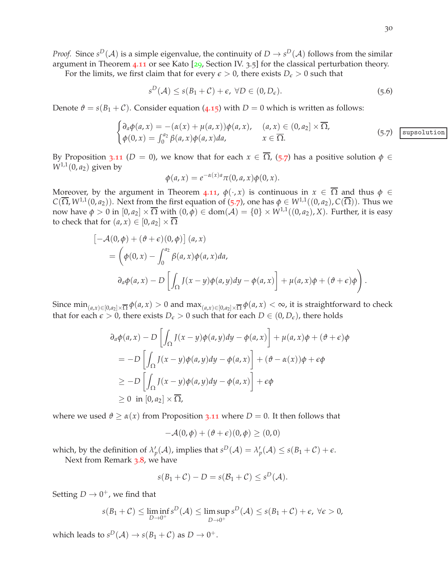*Proof.* Since  $s^D(\mathcal{A})$  is a simple eigenvalue, the continuity of  $D \to s^D(\mathcal{A})$  follows from the similar argument in Theorem 4.[11](#page-23-2) or see Kato [[29](#page-47-12), Section IV. 3.5] for the classical perturbation theory.

For the limits, we first claim that for every  $\epsilon > 0$ , there exists  $D_{\epsilon} > 0$  such that

$$
s^D(\mathcal{A}) \le s(B_1 + \mathcal{C}) + \epsilon, \ \forall D \in (0, D_{\epsilon}).
$$
\n
$$
(5.6)
$$

Denote  $\vartheta = s(B_1 + C)$ . Consider equation (4.[15](#page-23-0)) with  $D = 0$  which is written as follows:

<span id="page-29-0"></span>
$$
\begin{cases}\n\partial_a \phi(a, x) = -(\alpha(x) + \mu(a, x))\phi(a, x), & (a, x) \in (0, a_2] \times \overline{\Omega}, \\
\phi(0, x) = \int_0^{a_2} \beta(a, x)\phi(a, x)da, & x \in \overline{\Omega}.\n\end{cases}
$$
\n(5.7)  $\boxed{\text{subsolution}}$ 

By Proposition 3.[11](#page-13-9) ( $D = 0$ ), we know that for each  $x \in \overline{\Omega}$ , ([5](#page-29-0).7) has a positive solution  $\phi \in$  $W^{1,1}(0, a_2)$  given by

$$
\phi(a,x) = e^{-\alpha(x)a} \pi(0,a,x)\phi(0,x).
$$

Moreover, by the argument in Theorem 4.[11](#page-23-2),  $\phi(\cdot, x)$  is continuous in  $x \in \overline{\Omega}$  and thus  $\phi \in$ *C*( $\overline{\Omega}$ , *W*<sup>1,1</sup>(0, *a*<sub>2</sub>)). Next from the first equation of ([5](#page-29-0).7), one has  $\phi \in W^{1,1}((0, a_2), C(\overline{\Omega}))$ . Thus we now have  $\phi > 0$  in  $[0, a_2] \times \overline{\Omega}$  with  $(0, \phi) \in \text{dom}(\mathcal{A}) = \{0\} \times W^{1,1}((0, a_2), X)$ . Further, it is easy to check that for  $(a, x) \in [0, a_2] \times \overline{\Omega}$ 

$$
\begin{aligned}\n&\left[-\mathcal{A}(0,\phi) + (\vartheta + \epsilon)(0,\phi)\right](a,x) \\
&= \left(\phi(0,x) - \int_0^{a_2} \beta(a,x)\phi(a,x)da,\right. \\
&\left.\partial_a\phi(a,x) - D\left[\int_{\Omega} J(x-y)\phi(a,y)dy - \phi(a,x)\right] + \mu(a,x)\phi + (\vartheta + \epsilon)\phi\right).\n\end{aligned}
$$

Since  $\min_{(a,x)\in[0,a_2]\times\overline{\Omega}}\phi(a,x)>0$  and  $\max_{(a,x)\in[0,a_2]\times\overline{\Omega}}\phi(a,x)<\infty$ , it is straightforward to check that for each  $\epsilon > 0$ , there exists  $D_{\epsilon} > 0$  such that for each  $D \in (0, D_{\epsilon})$ , there holds

$$
\partial_a \phi(a, x) - D \left[ \int_{\Omega} J(x - y) \phi(a, y) dy - \phi(a, x) \right] + \mu(a, x) \phi + (\vartheta + \epsilon) \phi
$$
  
= 
$$
-D \left[ \int_{\Omega} J(x - y) \phi(a, y) dy - \phi(a, x) \right] + (\vartheta - \alpha(x)) \phi + \epsilon \phi
$$
  

$$
\geq -D \left[ \int_{\Omega} J(x - y) \phi(a, y) dy - \phi(a, x) \right] + \epsilon \phi
$$
  

$$
\geq 0 \text{ in } [0, a_2] \times \overline{\Omega},
$$

where we used  $\vartheta \geq \alpha(x)$  from Proposition 3.[11](#page-13-9) where  $D = 0$ . It then follows that

$$
-\mathcal{A}(0,\phi) + (\vartheta + \epsilon)(0,\phi) \geq (0,0)
$$

which, by the definition of  $\lambda'_p(\mathcal{A})$ , implies that  $s^D(\mathcal{A}) = \lambda'_p(\mathcal{A}) \leq s(B_1 + \mathcal{C}) + \epsilon$ . Next from Remark [3](#page-12-0).8, we have

$$
s(B_1 + C) - D = s(B_1 + C) \le s^D(\mathcal{A}).
$$

Setting  $D \to 0^+$ , we find that

$$
s(B_1+\mathcal{C}) \leq \liminf_{D \to 0^+} s^D(\mathcal{A}) \leq \limsup_{D \to 0^+} s^D(\mathcal{A}) \leq s(B_1+\mathcal{C}) + \epsilon, \ \forall \epsilon > 0,
$$

which leads to  $s^D(\mathcal{A}) \to s(B_1 + \mathcal{C})$  as  $D \to 0^+.$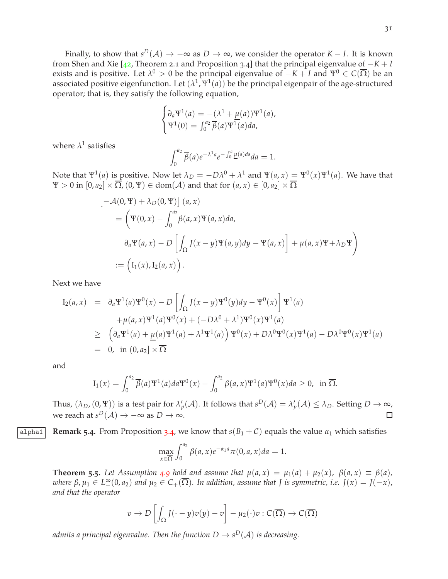Finally, to show that  $s^D(\mathcal{A}) \to -\infty$  as  $D \to \infty$ , we consider the operator  $K - I$ . It is known from Shen and Xie [[42](#page-48-6), Theorem 2.1 and Proposition 3.4] that the principal eigenvalue of −*K* + *I* exists and is positive. Let  $\lambda^0 > 0$  be the principal eigenvalue of  $-K+I$  and  $\Psi^0 \in C(\overline{\Omega})$  be an associated positive eigenfunction. Let  $(\lambda^1, \Psi^1(a))$  be the principal eigenpair of the age-structured operator; that is, they satisfy the following equation,

$$
\begin{cases} \partial_a \Psi^1(a) = -(\lambda^1 + \underline{\mu}(a)) \Psi^1(a), \\ \Psi^1(0) = \int_0^{a_2} \overline{\beta}(a) \Psi^1(a) da, \end{cases}
$$

where  $\lambda^1$  satisfies

$$
\int_0^{a_2} \overline{\beta}(a) e^{-\lambda^1 a} e^{-\int_0^a \underline{\mu}(s) ds} da = 1.
$$

Note that  $\Psi^1(a)$  is positive. Now let  $\lambda_D = -D\lambda^0 + \lambda^1$  and  $\Psi(a, x) = \Psi^0(x)\Psi^1(a)$ . We have that  $\Psi > 0$  in  $[0, a_2] \times \overline{\Omega}$ ,  $(0, \Psi) \in \text{dom}(\mathcal{A})$  and that for  $(a, x) \in [0, a_2] \times \overline{\Omega}$ 

$$
\begin{aligned}\n&\left[-\mathcal{A}(0,\Psi) + \lambda_D(0,\Psi)\right](a,x) \\
&= \left(\Psi(0,x) - \int_0^{a_2} \beta(a,x)\Psi(a,x)da, \right. \\
&\left.\partial_a\Psi(a,x) - D\left[\int_{\Omega} J(x-y)\Psi(a,y)dy - \Psi(a,x)\right] + \mu(a,x)\Psi + \lambda_D\Psi\right) \\
&:= \left(I_1(x), I_2(a,x)\right).\n\end{aligned}
$$

Next we have

$$
I_2(a,x) = \partial_a \Psi^1(a) \Psi^0(x) - D \left[ \int_{\Omega} J(x-y) \Psi^0(y) dy - \Psi^0(x) \right] \Psi^1(a)
$$
  
+  $\mu(a,x) \Psi^1(a) \Psi^0(x) + (-D\lambda^0 + \lambda^1) \Psi^0(x) \Psi^1(a)$   

$$
\geq \left( \partial_a \Psi^1(a) + \underline{\mu}(a) \Psi^1(a) + \lambda^1 \Psi^1(a) \right) \Psi^0(x) + D\lambda^0 \Psi^0(x) \Psi^1(a) - D\lambda^0 \Psi^0(x) \Psi^1(a)
$$
  
= 0, in  $(0, a_2] \times \overline{\Omega}$ 

and

$$
I_1(x) = \int_0^{a_2} \overline{\beta}(a) \Psi^1(a) da \Psi^0(x) - \int_0^{a_2} \beta(a, x) \Psi^1(a) \Psi^0(x) da \ge 0, \text{ in } \overline{\Omega}.
$$

Thus,  $(\lambda_D, (0, \Psi))$  is a test pair for  $\lambda'_p(\mathcal{A})$ . It follows that  $s^D(\mathcal{A}) = \lambda'_p(\mathcal{A}) \leq \lambda_D$ . Setting  $D \to \infty$ , we reach at  $s^D(\mathcal{A}) \to -\infty$  as  $D \to \infty$ .  $\Box$ 

$$
\text{alpha1} \left| \text{ Remark 5.4. From Proposition 3.4, we know that } s(B_1 + C) \text{ equals the value } \alpha_1 \text{ which satisfies}
$$

$$
\max_{x \in \overline{\Omega}} \int_0^{a_2} \beta(a, x) e^{-\alpha_1 a} \pi(0, a, x) da = 1.
$$

**Theorem 5.5.** Let Assumption [4](#page-22-1).9 hold and assume that  $\mu(a,x) = \mu_1(a) + \mu_2(x)$ ,  $\beta(a,x) \equiv \beta(a)$ ,  $\omega$ here  $\beta$ ,  $\mu_1 \in L_+^{\infty}(0, a_2)$  and  $\mu_2 \in C_+(\overline{\Omega})$ . In addition, assume that J is symmetric, i.e.  $J(x) = J(-x)$ , *and that the operator*

$$
v \to D\left[\int_{\Omega} J(\cdot - y)v(y) - v\right] - \mu_2(\cdot)v : C(\overline{\Omega}) \to C(\overline{\Omega})
$$

admits a principal eigenvalue. Then the function  $D\to s^D(\mathcal{A})$  is decreasing.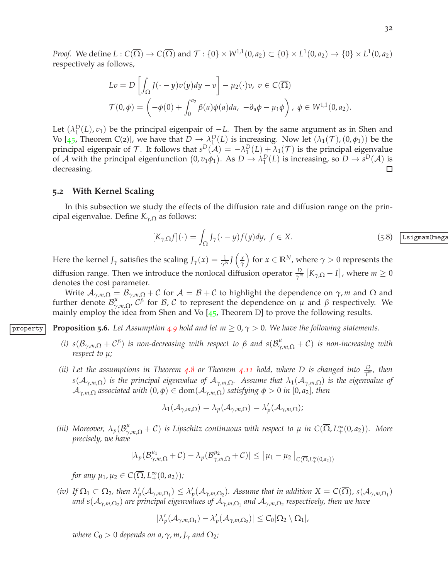*Proof.* We define  $L: C(\overline{\Omega}) \to C(\overline{\Omega})$  and  $\mathcal{T}: \{0\} \times W^{1,1}(0,a_2) \subset \{0\} \times L^1(0,a_2) \to \{0\} \times L^1(0,a_2)$ respectively as follows,

$$
Lv = D\left[\int_{\Omega} J(\cdot - y)v(y)dy - v\right] - \mu_2(\cdot)v, \ v \in C(\overline{\Omega})
$$
  

$$
\mathcal{T}(0,\phi) = \left(-\phi(0) + \int_0^{a_2} \beta(a)\phi(a)da, \ -\partial_a\phi - \mu_1\phi\right), \ \phi \in W^{1,1}(0,a_2).
$$

Let  $(\lambda_1^D(L), v_1)$  be the principal eigenpair of  $-L$ . Then by the same argument as in Shen and Vo [[45](#page-48-9), Theorem C(2)], we have that  $D \to \lambda_1^D(L)$  is increasing. Now let  $(\lambda_1(\mathcal{T}), (0, \phi_1))$  be the principal eigenpair of T. It follows that  $s^D(\mathcal{A}) = -\lambda_1^D(L) + \lambda_1(\mathcal{T})$  is the principal eigenvalue of A with the principal eigenfunction  $(0, v_1\phi_1)$ . As  $D \to \lambda_1^D(L)$  is increasing, so  $D \to s^D(A)$  is decreasing.  $\Box$ 

#### <span id="page-31-0"></span>**5.2 With Kernel Scaling**

In this subsection we study the effects of the diffusion rate and diffusion range on the principal eigenvalue. Define *Kγ*,<sup>Ω</sup> as follows:

$$
[K_{\gamma,\Omega}f](\cdot) = \int_{\Omega} J_{\gamma}(\cdot - y)f(y)dy, \ f \in X. \tag{5.8}
$$
 *Using a *m*Omega*

Here the kernel *J*<sub>*γ*</sub> satisfies the scaling *J*<sub>*γ*</sub>(*x*) =  $\frac{1}{\gamma^N}$ *J*  $\left(\frac{x}{\gamma}\right)$ *γ* for  $x \in \mathbb{R}^N$ , where  $\gamma > 0$  represents the diffusion range. Then we introduce the nonlocal diffusion operator  $\frac{D}{\gamma^m}$   $[K_{\gamma,\Omega} - I]$ , where  $m \ge 0$ denotes the cost parameter.

Write  $A_{\gamma,m,\Omega} = B_{\gamma,m,\Omega} + C$  for  $A = B + C$  to highlight the dependence on  $\gamma$ , *m* and  $\Omega$  and further denote  $\mathcal{B}_{\gamma}^{\mu}$ *<sup>μ</sup>*,*m*,Ω*,*  $C^{\beta}$  for *B*, *C* to represent the dependence on *μ* and *β* respectively. We mainly employ the idea from Shen and Vo  $[45,$  $[45,$  $[45,$  Theorem D] to prove the following results.

**Property Proposition 5.6.** Let Assumption [4](#page-22-1).9 hold and let  $m \geq 0$ ,  $\gamma > 0$ . We have the following statements.

- <span id="page-31-1"></span>*(i)*  $s(\mathcal{B}_{\gamma,m,\Omega} + C^{\beta})$  *is non-decreasing with respect to*  $\beta$  *and*  $s(\mathcal{B}_{\gamma,m,\Omega}^{\mu} + C)$  *is non-increasing with respect to µ;*
- *(ii) Let the assumptions in Theorem 4.[8](#page-20-0) or Theorem 4.[11](#page-23-2) hold, where D is changed into*  $\frac{D}{\gamma^m}$ *, then*  $s(A_{\gamma,m,\Omega})$  *is the principal eigenvalue of*  $A_{\gamma,m,\Omega}$ *. Assume that*  $\lambda_1(A_{\gamma,m,\Omega})$  *is the eigenvalue of*  $\mathcal{A}_{\gamma,m,\Omega}$  *associated with*  $(0,\phi) \in \text{dom}(\mathcal{A}_{\gamma,m,\Omega})$  *satisfying*  $\phi > 0$  *in*  $[0,a_2]$ *, then*

$$
\lambda_1(\mathcal{A}_{\gamma,m,\Omega}) = \lambda_p(\mathcal{A}_{\gamma,m,\Omega}) = \lambda'_p(\mathcal{A}_{\gamma,m,\Omega});
$$

(*iii*) Moreover,  $\lambda_p(B^{\mu}_{\gamma,m,\Omega}+C)$  is Lipschitz continuous with respect to  $\mu$  in  $C(\overline{\Omega},L^{\infty}_+(0,a_2))$ . More *precisely, we have*

$$
|\lambda_p(\mathcal{B}_{\gamma,m,\Omega}^{\mu_1}+\mathcal{C})-\lambda_p(\mathcal{B}_{\gamma,m,\Omega}^{\mu_2}+\mathcal{C})|\leq \big\|\mu_1-\mu_2\big\|_{C(\overline{\Omega},L_+^{\infty}(0,a_2))}
$$

 $for any \mu_1, \mu_2 \in C(\overline{\Omega}, L_+^{\infty}(0, a_2));$ 

(iv) If  $\Omega_1 \subset \Omega_2$ , then  $\lambda'_p(\mathcal{A}_{\gamma,m,\Omega_1}) \leq \lambda'_p(\mathcal{A}_{\gamma,m,\Omega_2})$ . Assume that in addition  $X = C(\overline{\Omega})$ ,  $s(\mathcal{A}_{\gamma,m,\Omega_1})$ and s $({\cal A}_{\gamma,m,\Omega_2})$  are principal eigenvalues of  ${\cal A}_{\gamma,m,\Omega_1}$  and  ${\cal A}_{\gamma,m,\Omega_2}$  respectively, then we have

$$
|\lambda'_p(\mathcal{A}_{\gamma,m,\Omega_1}) - \lambda'_p(\mathcal{A}_{\gamma,m,\Omega_2})| \leq C_0 |\Omega_2 \setminus \Omega_1|,
$$

*where*  $C_0 > 0$  *depends on a,*  $\gamma$ *, m,*  $J_{\gamma}$  *and*  $\Omega_2$ *;*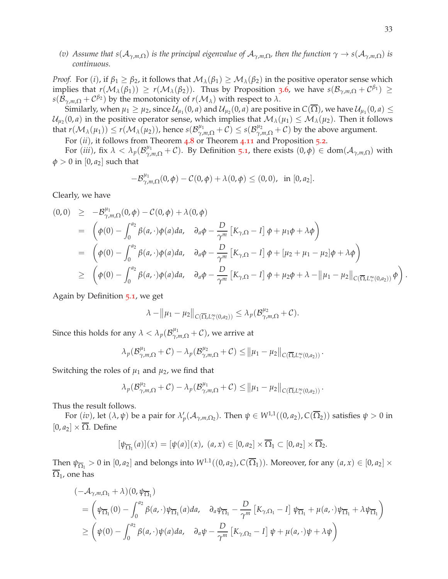*(v) Assume that s*(A*γ*,*m*,Ω) *is the principal eigenvalue of* A*γ*,*m*,Ω*, then the function γ* → *s*(A*γ*,*m*,Ω) *is continuous.*

*Proof.* For (*i*), if  $\beta_1 \geq \beta_2$ , it follows that  $\mathcal{M}_\lambda(\beta_1) \geq \mathcal{M}_\lambda(\beta_2)$  in the positive operator sense which implies that  $r(\mathcal{M}_\lambda(\beta_1)) \geq r(\mathcal{M}_\lambda(\beta_2))$ . Thus by Proposition [3](#page-11-3).6, we have  $s(\mathcal{B}_{\gamma,m,\Omega} + \mathcal{C}^{\beta_1}) \geq$ *s*( $\mathcal{B}_{\gamma,m,\Omega} + C^{\beta_2}$ ) by the monotonicity of  $r(\mathcal{M}_\lambda)$  with respect to  $\lambda$ .

Similarly, when  $\mu_1\geq\mu_2$ , since  $\mathcal{U}_{\mu_1}(0,a)$  and  $\mathcal{U}_{\mu_2}(0,a)$  are positive in  $C(\overline{\Omega})$ , we have  $\mathcal{U}_{\mu_1}(0,a)\leq$  $\mathcal{U}_{\mu_2}(0,a)$  in the positive operator sense, which implies that  $\mathcal{M}_\lambda(\mu_1)\leq \mathcal{M}_\lambda(\mu_2).$  Then it follows  $r(\mathcal{M}_{\lambda}(\mu_1)) \le r(\mathcal{M}_{\lambda}(\mu_2))$ , hence  $s(\mathcal{B}_{\gamma,m,\Omega}^{\mu_1} + \mathcal{C}) \le s(\mathcal{B}_{\gamma,m,\Omega}^{\mu_2} + \mathcal{C})$  by the above argument.

For (*ii*), it follows from Theorem [4](#page-20-0).8 or Theorem 4.[11](#page-23-2) and Proposition [5](#page-28-3).2.

For  $(iii)$ , fix  $\lambda < \lambda_p(\mathcal{B}_{\gamma,m,\Omega}^{\mu_1} + \mathcal{C})$ . By Definition [5](#page-27-1).1, there exists  $(0,\phi) \in \text{dom}(\mathcal{A}_{\gamma,m,\Omega})$  with  $\phi > 0$  in [0, *a*<sub>2</sub>] such that

$$
-\mathcal{B}_{\gamma,m,\Omega}^{\mu_1}(0,\phi)-\mathcal{C}(0,\phi)+\lambda(0,\phi)\leq(0,0),\ \ \text{in}\ [0,a_2].
$$

Clearly, we have

$$
(0,0) \geq -\mathcal{B}_{\gamma,m,\Omega}^{\mu_1}(0,\phi) - \mathcal{C}(0,\phi) + \lambda(0,\phi)
$$
  
\n
$$
= \left(\phi(0) - \int_0^{a_2} \beta(a,\cdot)\phi(a)da, \partial_a\phi - \frac{D}{\gamma^m} \left[K_{\gamma,\Omega} - I\right]\phi + \mu_1\phi + \lambda\phi\right)
$$
  
\n
$$
= \left(\phi(0) - \int_0^{a_2} \beta(a,\cdot)\phi(a)da, \partial_a\phi - \frac{D}{\gamma^m} \left[K_{\gamma,\Omega} - I\right]\phi + \left[\mu_2 + \mu_1 - \mu_2\right]\phi + \lambda\phi\right)
$$
  
\n
$$
\geq \left(\phi(0) - \int_0^{a_2} \beta(a,\cdot)\phi(a)da, \partial_a\phi - \frac{D}{\gamma^m} \left[K_{\gamma,\Omega} - I\right]\phi + \mu_2\phi + \lambda - \|\mu_1 - \mu_2\|_{C(\overline{\Omega}, L_+^{\infty}(0,a_2))}\phi\right)
$$

Again by Definition [5](#page-27-1).1, we get

$$
\lambda - \big\|\mu_1 - \mu_2\big\|_{C(\overline{\Omega}, L_+^{\infty}(0,a_2))} \leq \lambda_p(\mathcal{B}^{\mu_2}_{\gamma,m,\Omega} + \mathcal{C}).
$$

Since this holds for any  $\lambda < \lambda_p (\mathcal{B}^{\mu_1}_{\gamma,m,\Omega} + \mathcal{C})$ , we arrive at

$$
\lambda_p(\mathcal{B}_{\gamma,m,\Omega}^{\mu_1}+\mathcal{C})-\lambda_p(\mathcal{B}_{\gamma,m,\Omega}^{\mu_2}+\mathcal{C})\leq \|\mu_1-\mu_2\|_{C(\overline{\Omega},L_+^{\infty}(0,a_2))}.
$$

Switching the roles of  $\mu_1$  and  $\mu_2$ , we find that

$$
\lambda_p(\mathcal{B}_{\gamma,m,\Omega}^{\mu_2}+\mathcal{C})-\lambda_p(\mathcal{B}_{\gamma,m,\Omega}^{\mu_1}+\mathcal{C})\leq \left\|\mu_1-\mu_2\right\|_{C(\overline{\Omega},L_+^{\infty}(0,a_2))}.
$$

Thus the result follows.

For  $(iv)$ , let  $(\lambda, \psi)$  be a pair for  $\lambda'_p(\mathcal{A}_{\gamma,m,\Omega_2})$ . Then  $\psi \in W^{1,1}((0,a_2), C(\overline{\Omega}_2))$  satisfies  $\psi > 0$  in  $[0, a_2] \times \overline{\Omega}$ . Define

$$
[\psi_{\overline{\Omega}_1}(a)](x) = [\psi(a)](x), (a, x) \in [0, a_2] \times \overline{\Omega}_1 \subset [0, a_2] \times \overline{\Omega}_2.
$$

Then  $\psi_{\overline{\Omega_1}} > 0$  in  $[0, a_2]$  and belongs into  $W^{1.1}((0, a_2), C(\overline{\Omega_1}))$ . Moreover, for any  $(a, x) \in [0, a_2] \times$  $\overline{\Omega}_1$ , one has

$$
\begin{aligned}\n&(-\mathcal{A}_{\gamma,m,\Omega_1} + \lambda)(0,\psi_{\overline{\Omega}_1}) \\
&= \left(\psi_{\overline{\Omega}_1}(0) - \int_0^{a_2} \beta(a,\cdot)\psi_{\overline{\Omega}_1}(a)da, \quad \partial_a \psi_{\overline{\Omega}_1} - \frac{D}{\gamma^m} \left[K_{\gamma,\Omega_1} - I\right] \psi_{\overline{\Omega}_1} + \mu(a,\cdot)\psi_{\overline{\Omega}_1} + \lambda \psi_{\overline{\Omega}_1}\right) \\
&\ge \left(\psi(0) - \int_0^{a_2} \beta(a,\cdot)\psi(a)da, \quad \partial_a \psi - \frac{D}{\gamma^m} \left[K_{\gamma,\Omega_2} - I\right] \psi + \mu(a,\cdot)\psi + \lambda \psi\right)\n\end{aligned}
$$

.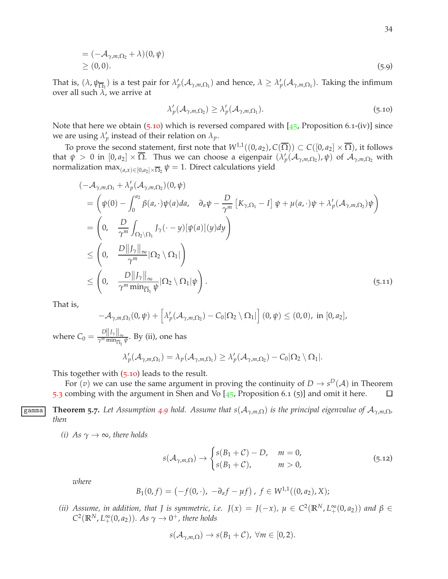$$
= (-\mathcal{A}_{\gamma,m,\Omega_2} + \lambda)(0,\psi)
$$
  
\n
$$
\geq (0,0).
$$
 (5.9)

That is,  $(\lambda, \psi_{\overline{\Omega_1}})$  is a test pair for  $\lambda'_p(\mathcal{A}_{\gamma,m,\Omega_1})$  and hence,  $\lambda \geq \lambda'_p(\mathcal{A}_{\gamma,m,\Omega_1})$ . Taking the infimum over all such  $\lambda$ , we arrive at

<span id="page-33-1"></span>
$$
\lambda_p'(\mathcal{A}_{\gamma,m,\Omega_2}) \ge \lambda_p'(\mathcal{A}_{\gamma,m,\Omega_1}).\tag{5.10}
$$

Note that here we obtain  $(5.10)$  $(5.10)$  $(5.10)$  which is reversed compared with  $[45,$  $[45,$  $[45,$  Proposition 6.1-(iv)] since we are using  $\lambda'_p$  instead of their relation on  $\lambda_p$ .

To prove the second statement, first note that  $W^{1,1}((0, a_2), C(\overline{\Omega})) \subset C([0, a_2] \times \overline{\Omega})$ , it follows that  $\psi > 0$  in  $[0, a_2] \times \overline{\Omega}$ . Thus we can choose a eigenpair  $(\lambda'_p(\mathcal{A}_{\gamma,m,\Omega_2}), \psi)$  of  $\mathcal{A}_{\gamma,m,\Omega_2}$  with normalization max $_{(a,x)\in [0,a_2]\times \overline{\Omega}_2}$   $\psi=1.$  Direct calculations yield

$$
\begin{split}\n&(-\mathcal{A}_{\gamma,m,\Omega_{1}} + \lambda'_{p}(\mathcal{A}_{\gamma,m,\Omega_{2}})(0,\psi) \\
&= \left(\psi(0) - \int_{0}^{a_{2}} \beta(a,\cdot)\psi(a)da, \quad \partial_{a}\psi - \frac{D}{\gamma^{m}}\left[K_{\gamma,\Omega_{1}} - I\right]\psi + \mu(a,\cdot)\psi + \lambda'_{p}(\mathcal{A}_{\gamma,m,\Omega_{2}})\psi\right) \\
&= \left(0, \quad \frac{D}{\gamma^{m}} \int_{\Omega_{2}\setminus\Omega_{1}} J_{\gamma}(\cdot - y)[\psi(a)](y)dy\right) \\
&\leq \left(0, \quad \frac{D||J_{\gamma}||_{\infty}}{\gamma^{m}}|\Omega_{2}\setminus\Omega_{1}|\right) \\
&\leq \left(0, \quad \frac{D||J_{\gamma}||_{\infty}}{\gamma^{m} \min_{\overline{\Omega}_{1}} \psi}|\Omega_{2}\setminus\Omega_{1}|\psi\right).\n\end{split} \tag{5.11}
$$

That is,

$$
-\mathcal{A}_{\gamma,m,\Omega_1}(0,\psi)+\left[\lambda'_p(\mathcal{A}_{\gamma,m,\Omega_2})-C_0|\Omega_2\setminus\Omega_1|\right](0,\psi)\leq(0,0),\text{ in }[0,a_2],
$$

where  $C_0 = \frac{D||f_\gamma||_\infty}{\gamma^m \min_{\overline{\Omega}}}$  $\frac{\sum_{||J'| \cdot ||\infty}}{\gamma^m \min_{\overline{\Omega_1}} \psi}$ . By (ii), one has

$$
\lambda'_{p}(\mathcal{A}_{\gamma,m,\Omega_1})=\lambda_{p}(\mathcal{A}_{\gamma,m,\Omega_1})\geq \lambda'_{p}(\mathcal{A}_{\gamma,m,\Omega_2})-C_0|\Omega_2\setminus\Omega_1|.
$$

This together with (5.[10](#page-33-1)) leads to the result.

<span id="page-33-0"></span>For  $(v)$  we can use the same argument in proving the continuity of  $D \to s^D(\mathcal{A})$  in Theorem [5](#page-28-1).3 combing with the argument in Shen and Vo  $[45,$  $[45,$  $[45,$  Proposition 6.1 (5)] and omit it here.  $\Box$ 

**Examma Theorem 5.7.** Let Assumption [4](#page-22-1).9 hold. Assume that  $s(A_{\gamma,m,\Omega})$  is the principal eigenvalue of  $A_{\gamma,m,\Omega}$ , *then*

*(i)* As  $\gamma \rightarrow \infty$ *, there holds* 

$$
s(\mathcal{A}_{\gamma,m,\Omega}) \to \begin{cases} s(B_1+\mathcal{C})-D, & m=0, \\ s(B_1+\mathcal{C}), & m>0, \end{cases}
$$
 (5.12)

*where*

$$
B_1(0,f) = \left(-f(0,\cdot), -\partial_a f - \mu f\right), \ f \in W^{1,1}((0,a_2), X);
$$

*(ii)* Assume, in addition, that *J* is symmetric, i.e.  $J(x) = J(-x)$ ,  $\mu \in C^2(\mathbb{R}^N, L_+^{\infty}(0, a_2))$  and  $\beta \in$  $C^2(\mathbb{R}^N, L_+^{\infty}(0, a_2))$ *. As*  $\gamma \to 0^+$ *, there holds* 

$$
s(\mathcal{A}_{\gamma,m,\Omega}) \to s(B_1+\mathcal{C}), \ \forall m \in [0,2).
$$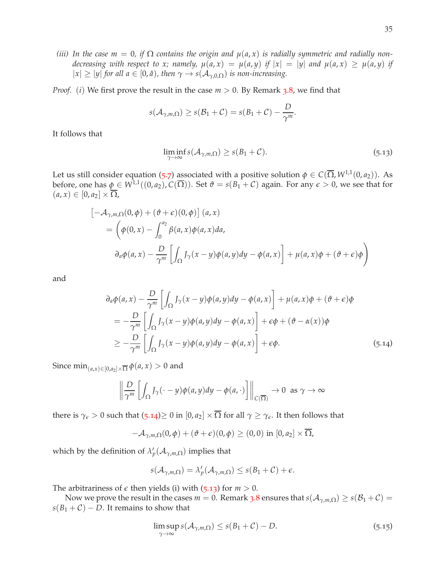*(iii)* In the case  $m = 0$ , if  $\Omega$  contains the origin and  $\mu(a, x)$  is radially symmetric and radially non*decreasing with respect to x; namely,*  $\mu(a, x) = \mu(a, y)$  *if*  $|x| = |y|$  *and*  $\mu(a, x) \geq \mu(a, y)$  *if*  $|x| \ge |y|$  *for all a*  $\in [0, \hat{a})$ *, then*  $\gamma \to s(\mathcal{A}_{\gamma,0,\Omega})$  *is non-increasing.* 

*Proof.* (*i*) We first prove the result in the case  $m > 0$ . By Remark [3](#page-12-0).8, we find that

$$
s(\mathcal{A}_{\gamma,m,\Omega}) \geq s(\mathcal{B}_1 + \mathcal{C}) = s(B_1 + \mathcal{C}) - \frac{D}{\gamma^m}.
$$

It follows that

<span id="page-34-1"></span>
$$
\liminf_{\gamma \to \infty} s(\mathcal{A}_{\gamma,m,\Omega}) \ge s(B_1 + \mathcal{C}). \tag{5.13}
$$

Let us still consider equation ([5](#page-29-0).7) associated with a positive solution  $\phi \in C(\overline{\Omega}, W^{1,1}(0, a_2))$ . As before, one has  $\phi \in W^{1,1}((0, a_2), C(\overline{\Omega}))$ . Set  $\theta = s(B_1 + C)$  again. For any  $\epsilon > 0$ , we see that for  $(a, x) \in [0, a_2] \times \overline{\Omega},$ 

$$
\begin{aligned}\n&\left[-\mathcal{A}_{\gamma,m,\Omega}(0,\phi) + (\vartheta + \epsilon)(0,\phi)\right](a,x) \\
&= \left(\phi(0,x) - \int_0^{a_2} \beta(a,x)\phi(a,x)da,\right. \\
&\left.\partial_a\phi(a,x) - \frac{D}{\gamma^m}\left[\int_{\Omega} J_{\gamma}(x-y)\phi(a,y)dy - \phi(a,x)\right] + \mu(a,x)\phi + (\vartheta + \epsilon)\phi\right)\n\end{aligned}
$$

and

<span id="page-34-0"></span>
$$
\partial_a \phi(a, x) - \frac{D}{\gamma^m} \left[ \int_{\Omega} J_{\gamma}(x - y) \phi(a, y) dy - \phi(a, x) \right] + \mu(a, x) \phi + (\vartheta + \epsilon) \phi
$$
  
= 
$$
- \frac{D}{\gamma^m} \left[ \int_{\Omega} J_{\gamma}(x - y) \phi(a, y) dy - \phi(a, x) \right] + \epsilon \phi + (\vartheta - \alpha(x)) \phi
$$
  

$$
\geq - \frac{D}{\gamma^m} \left[ \int_{\Omega} J_{\gamma}(x - y) \phi(a, y) dy - \phi(a, x) \right] + \epsilon \phi.
$$
 (5.14)

Since  $\min_{(a,x)\in[0,a_2]\times\overline{\Omega}}\phi(a,x)>0$  and

$$
\left\|\frac{D}{\gamma^m}\left[\int_{\Omega}J_{\gamma}(\cdot-y)\phi(a,y)dy-\phi(a,\cdot)\right]\right\|_{C(\overline{\Omega})}\to 0 \text{ as } \gamma \to \infty
$$

there is  $\gamma_{\epsilon} > 0$  such that  $(5.14) \ge 0$  $(5.14) \ge 0$  $(5.14) \ge 0$  in  $[0, a_2] \times \overline{\Omega}$  for all  $\gamma \ge \gamma_{\epsilon}$ . It then follows that

$$
-\mathcal{A}_{\gamma,m,\Omega}(0,\phi)+(\vartheta+\epsilon)(0,\phi)\geq(0,0)\,\,\text{in}\,\,[0,a_2]\times\overline{\Omega},
$$

which by the definition of  $\lambda'_p(\mathcal{A}_{\gamma,m,\Omega})$  implies that

$$
s(\mathcal{A}_{\gamma,m,\Omega}) = \lambda_p'(\mathcal{A}_{\gamma,m,\Omega}) \le s(B_1 + \mathcal{C}) + \epsilon.
$$

The arbitrariness of  $\epsilon$  then yields (i) with (5.[13](#page-34-1)) for  $m > 0$ .

Now we prove the result in the cases  $m = 0$ . Remark [3](#page-12-0).8 ensures that  $s(A_{\gamma,m,\Omega}) \ge s(\mathcal{B}_1 + \mathcal{C}) =$  $s(B_1 + C) - D$ . It remains to show that

<span id="page-34-2"></span>
$$
\limsup_{\gamma \to \infty} s(\mathcal{A}_{\gamma,m,\Omega}) \le s(B_1 + \mathcal{C}) - D. \tag{5.15}
$$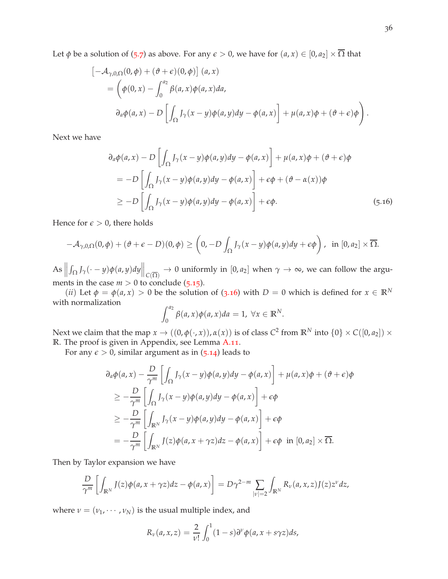Let *φ* be a solution of ([5](#page-29-0).7) as above. For any  $\epsilon > 0$ , we have for  $(a, x) \in [0, a_2] \times \overline{\Omega}$  that

$$
\begin{aligned}\n&\left[-\mathcal{A}_{\gamma,0,\Omega}(0,\phi) + (\vartheta + \epsilon)(0,\phi)\right](a,x) \\
&= \left(\phi(0,x) - \int_0^{a_2} \beta(a,x)\phi(a,x)da,\right. \\
&\left.\partial_a\phi(a,x) - D\left[\int_{\Omega} J_{\gamma}(x-y)\phi(a,y)dy - \phi(a,x)\right] + \mu(a,x)\phi + (\vartheta + \epsilon)\phi\right).\n\end{aligned}
$$

Next we have

$$
\partial_a \phi(a, x) - D \left[ \int_{\Omega} J_{\gamma}(x - y) \phi(a, y) dy - \phi(a, x) \right] + \mu(a, x) \phi + (\vartheta + \epsilon) \phi
$$
  
= 
$$
-D \left[ \int_{\Omega} J_{\gamma}(x - y) \phi(a, y) dy - \phi(a, x) \right] + \epsilon \phi + (\vartheta - \alpha(x)) \phi
$$
  

$$
\geq -D \left[ \int_{\Omega} J_{\gamma}(x - y) \phi(a, y) dy - \phi(a, x) \right] + \epsilon \phi.
$$
 (5.16)

Hence for  $\epsilon > 0$ , there holds

$$
-\mathcal{A}_{\gamma,0,\Omega}(0,\phi)+(\vartheta+\epsilon-D)(0,\phi)\geq \left(0,-D\int_{\Omega}J_{\gamma}(x-y)\phi(a,y)dy+\epsilon\phi\right), \text{ in } [0,a_2]\times\overline{\Omega}.
$$

 $As \nightharpoonup$  $\int_{\Omega} J_{\gamma}(\cdot - y) \phi(a, y) dy \Big\|_{C(\overline{\Omega})} \to 0$  uniformly in  $[0, a_2]$  when  $\gamma \to \infty$ , we can follow the arguments in the case  $m > 0$  to conclude (5.[15](#page-34-2)).

(*ii*) Let  $\phi = \phi(a, x) > 0$  be the solution of (3.[16](#page-13-6)) with  $D = 0$  which is defined for  $x \in \mathbb{R}^N$ with normalization

$$
\int_0^{a_2} \beta(a, x) \phi(a, x) da = 1, \ \forall x \in \mathbb{R}^N.
$$

Next we claim that the map  $x \to ((0, \phi(\cdot, x)), \alpha(x))$  is of class  $C^2$  from  $\mathbb{R}^N$  into  $\{0\} \times C([0, a_2]) \times C([0, a_1])$ **R**. The proof is given in Appendix, see Lemma [A.](#page-44-1)11.

For any  $\epsilon > 0$ , similar argument as in  $(5.14)$  $(5.14)$  $(5.14)$  leads to

$$
\partial_a \phi(a, x) - \frac{D}{\gamma^m} \left[ \int_{\Omega} J_{\gamma}(x - y) \phi(a, y) dy - \phi(a, x) \right] + \mu(a, x) \phi + (\vartheta + \epsilon) \phi
$$
  
\n
$$
\geq -\frac{D}{\gamma^m} \left[ \int_{\Omega} J_{\gamma}(x - y) \phi(a, y) dy - \phi(a, x) \right] + \epsilon \phi
$$
  
\n
$$
\geq -\frac{D}{\gamma^m} \left[ \int_{\mathbb{R}^N} J_{\gamma}(x - y) \phi(a, y) dy - \phi(a, x) \right] + \epsilon \phi
$$
  
\n
$$
= -\frac{D}{\gamma^m} \left[ \int_{\mathbb{R}^N} J(z) \phi(a, x + \gamma z) dz - \phi(a, x) \right] + \epsilon \phi \quad \text{in } [0, a_2] \times \overline{\Omega}.
$$

Then by Taylor expansion we have

$$
\frac{D}{\gamma^m}\left[\int_{\mathbb{R}^N}J(z)\phi(a,x+\gamma z)dz-\phi(a,x)\right]=D\gamma^{2-m}\sum_{|\nu|=2}\int_{\mathbb{R}^N}R_{\nu}(a,x,z)J(z)z^{\nu}dz,
$$

where  $v = (v_1, \dots, v_N)$  is the usual multiple index, and

$$
R_{\nu}(a,x,z)=\frac{2}{\nu!}\int_0^1(1-s)\partial^{\nu}\phi(a,x+s\gamma z)ds,
$$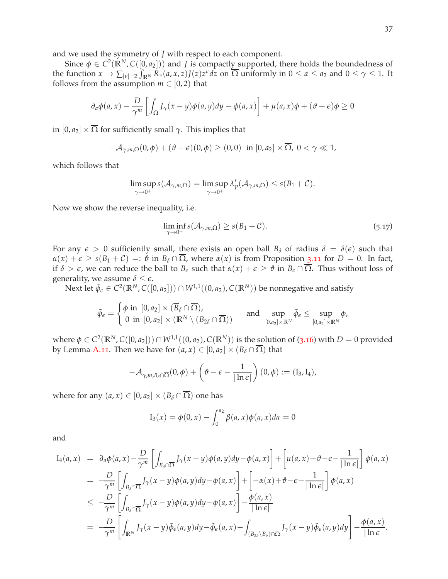and we used the symmetry of *J* with respect to each component.

Since  $\phi \in C^2(\mathbb{R}^N, C([0, a_2]))$  and *J* is compactly supported, there holds the boundedness of the function  $x \to \sum_{|\nu|=2} \int_{\mathbb{R}^N} R_{\nu}(a, x, z) J(z) z^{\nu} dz$  on  $\overline{\Omega}$  uniformly in  $0 \le a \le a_2$  and  $0 \le \gamma \le 1$ . It follows from the assumption  $m \in [0, 2)$  that

$$
\partial_a \phi(a, x) - \frac{D}{\gamma^m} \left[ \int_{\Omega} J_{\gamma}(x - y) \phi(a, y) dy - \phi(a, x) \right] + \mu(a, x) \phi + (\vartheta + \epsilon) \phi \ge 0
$$

in  $[0, a_2] \times \overline{\Omega}$  for sufficiently small  $\gamma$ . This implies that

 $-\mathcal{A}_{\gamma,m,\Omega}(0,\phi) + (\vartheta + \epsilon)(0,\phi) \ge (0,0)$  in  $[0,a_2] \times \overline{\Omega}, 0 < \gamma \ll 1$ ,

which follows that

$$
\limsup_{\gamma \to 0^+} s(\mathcal{A}_{\gamma,m,\Omega}) = \limsup_{\gamma \to 0^+} \lambda'_p(\mathcal{A}_{\gamma,m,\Omega}) \le s(B_1 + C).
$$

Now we show the reverse inequality, i.e.

<span id="page-36-0"></span>
$$
\liminf_{\gamma \to 0^+} s(\mathcal{A}_{\gamma,m,\Omega}) \ge s(B_1 + \mathcal{C}). \tag{5.17}
$$

For any  $\epsilon > 0$  sufficiently small, there exists an open ball  $B_\delta$  of radius  $\delta = \delta(\epsilon)$  such that  $\alpha(x) + \epsilon \geq s(B_1 + C) =: \hat{\vartheta}$  in  $B_\delta \cap \overline{\Omega}$ , where  $\alpha(x)$  is from Proposition 3.[11](#page-13-9) for  $D = 0$ . In fact, if  $\delta > \epsilon$ , we can reduce the ball to  $B_{\epsilon}$  such that  $\alpha(x) + \epsilon \ge \theta$  in  $B_{\epsilon} \cap \overline{\Omega}$ . Thus without loss of generality, we assume  $\delta \leq \epsilon$ .

Next let  $\tilde{\phi}_{\epsilon} \in C^2(\mathbb{R}^N,C([0,a_2])) \cap W^{1,1}((0,a_2),C(\mathbb{R}^N))$  be nonnegative and satisfy

$$
\tilde{\phi}_{\epsilon} = \begin{cases} \phi \text{ in } [0, a_2] \times (\overline{B}_{\delta} \cap \overline{\Omega}), \\ 0 \text{ in } [0, a_2] \times (\mathbb{R}^N \setminus (B_{2\delta} \cap \overline{\Omega})) \end{cases} \quad \text{ and } \quad \sup_{[0, a_2] \times \mathbb{R}^N} \tilde{\phi}_{\epsilon} \leq \sup_{[0, a_2] \times \mathbb{R}^N} \phi,
$$

where  $\phi \in C^2(\mathbb{R}^N,C([0,a_2])) \cap W^{1,1}((0,a_2),C(\mathbb{R}^N))$  is the solution of (3.[16](#page-13-6)) with  $D=0$  provided by Lemma [A.](#page-44-1)11. Then we have for  $(a, x) \in [0, a_2] \times (B_\delta \cap \overline{\Omega})$  that

$$
-\mathcal{A}_{\gamma,m,B_{\delta}\cap\overline{\Omega}}(0,\phi)+\left(\vartheta-\epsilon-\frac{1}{|\ln\epsilon|}\right)(0,\phi):=(I_3,I_4),
$$

where for any  $(a, x) \in [0, a_2] \times (B_\delta \cap \overline{\Omega})$  one has

$$
I_3(x) = \phi(0, x) - \int_0^{a_2} \beta(a, x)\phi(a, x)da = 0
$$

and

$$
I_4(a,x) = \partial_a \phi(a,x) - \frac{D}{\gamma^m} \left[ \int_{B_\delta \cap \overline{\Omega}} J_\gamma(x-y) \phi(a,y) dy - \phi(a,x) \right] + \left[ \mu(a,x) + \vartheta - \varepsilon - \frac{1}{|\ln \varepsilon|} \right] \phi(a,x)
$$
  
\n
$$
= -\frac{D}{\gamma^m} \left[ \int_{B_\delta \cap \overline{\Omega}} J_\gamma(x-y) \phi(a,y) dy - \phi(a,x) \right] + \left[ -\alpha(x) + \vartheta - \varepsilon - \frac{1}{|\ln \varepsilon|} \right] \phi(a,x)
$$
  
\n
$$
\leq -\frac{D}{\gamma^m} \left[ \int_{B_\delta \cap \overline{\Omega}} J_\gamma(x-y) \phi(a,y) dy - \phi(a,x) \right] - \frac{\phi(a,x)}{|\ln \varepsilon|}
$$
  
\n
$$
= -\frac{D}{\gamma^m} \left[ \int_{\mathbb{R}^N} J_\gamma(x-y) \tilde{\phi}_{\varepsilon}(a,y) dy - \tilde{\phi}_{\varepsilon}(a,x) - \int_{(B_{2\delta} \setminus B_\delta) \cap \overline{\Omega}} J_\gamma(x-y) \tilde{\phi}_{\varepsilon}(a,y) dy \right] - \frac{\phi(a,x)}{|\ln \varepsilon|}.
$$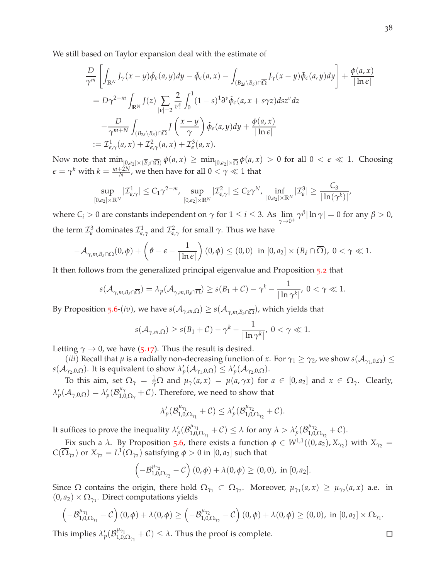We still based on Taylor expansion deal with the estimate of

$$
\frac{D}{\gamma^m} \left[ \int_{\mathbb{R}^N} J_{\gamma}(x - y) \tilde{\phi}_{\epsilon}(a, y) dy - \tilde{\phi}_{\epsilon}(a, x) - \int_{(B_{2\delta} \setminus B_{\delta}) \cap \overline{\Omega}} J_{\gamma}(x - y) \tilde{\phi}_{\epsilon}(a, y) dy \right] + \frac{\phi(a, x)}{|\ln \epsilon|}
$$
\n
$$
= D\gamma^{2-m} \int_{\mathbb{R}^N} J(z) \sum_{|v| = 2} \frac{2}{v!} \int_0^1 (1 - s)^1 \partial^v \tilde{\phi}_{\epsilon}(a, x + s\gamma z) ds z^v dz
$$
\n
$$
- \frac{D}{\gamma^{m+N}} \int_{(B_{2\delta} \setminus B_{\delta}) \cap \overline{\Omega}} J\left(\frac{x - y}{\gamma}\right) \tilde{\phi}_{\epsilon}(a, y) dy + \frac{\phi(a, x)}{|\ln \epsilon|}
$$
\n
$$
:= \mathcal{I}_{\epsilon, \gamma}^1(a, x) + \mathcal{I}_{\epsilon, \gamma}^2(a, x) + \mathcal{I}_{\epsilon}^3(a, x).
$$

Now note that  $\min_{[0,a_2]\times(\overline{B}_\delta\cap\overline{\Omega})}\phi(a,x) \geq \min_{[0,a_2]\times\overline{\Omega}}\phi(a,x) > 0$  for all  $0 < \epsilon \ll 1$ . Choosing  $\epsilon = \gamma^k$  with  $k = \frac{m+2N}{N}$ , we then have for all  $0 < \gamma \ll 1$  that

$$
\sup_{[0,a_2]\times \mathbb R^N}|\mathcal I^1_{\epsilon,\gamma}|\leq C_1\gamma^{2-m},\ \sup_{[0,a_2]\times \mathbb R^N}|\mathcal I^2_{\epsilon,\gamma}|\leq C_2\gamma^N,\ \inf_{[0,a_2]\times \mathbb R^N}|\mathcal I^3_{\epsilon}|\geq \frac{C_3}{|\ln(\gamma^k)|},
$$

where  $C_i > 0$  are constants independent on  $\gamma$  for  $1 \leq i \leq 3$ . As  $\lim_{\gamma \to 0^+} \gamma^{\beta} |\ln \gamma| = 0$  for any  $\beta > 0$ , the term  $\mathcal{I}_{\epsilon}^3$  dominates  $\mathcal{I}_{\epsilon,\gamma}^1$  and  $\mathcal{I}_{\epsilon,\gamma}^2$  for small  $\gamma$ . Thus we have

$$
-\mathcal{A}_{\gamma,m,B_{\delta}\cap\overline{\Omega}}(0,\phi)+\left(\vartheta-\epsilon-\frac{1}{|\ln\epsilon|}\right)(0,\phi)\leq(0,0)\ \ \text{in}\ [0,a_2]\times(B_{\delta}\cap\overline{\Omega}),\ 0<\gamma\ll1.
$$

It then follows from the generalized principal eigenvalue and Proposition [5](#page-28-3).2 that

$$
s(\mathcal{A}_{\gamma,m,B_{\delta}\cap\overline{\Omega}})=\lambda_p(\mathcal{A}_{\gamma,m,B_{\delta}\cap\overline{\Omega}})\geq s(B_1+\mathcal{C})-\gamma^k-\frac{1}{|\ln\gamma^k|},\ 0<\gamma\ll 1.
$$

By Proposition [5](#page-31-1).6- $(iv)$ , we have  $s(\mathcal{A}_{\gamma,m,\Omega})\geq s(\mathcal{A}_{\gamma,m,B_\delta\cap\overline{\Omega}})$ , which yields that

$$
s(\mathcal{A}_{\gamma,m,\Omega}) \ge s(B_1+\mathcal{C}) - \gamma^k - \frac{1}{|\ln \gamma^k|}, \ 0 < \gamma \ll 1.
$$

Letting  $\gamma \rightarrow 0$ , we have (5.[17](#page-36-0)). Thus the result is desired.

(*iii*) Recall that  $\mu$  is a radially non-decreasing function of *x*. For  $\gamma_1 \ge \gamma_2$ , we show  $s(\mathcal{A}_{\gamma_1,0,\Omega}) \le$ *s*( $\mathcal{A}_{\gamma_2,0,\Omega}$ ). It is equivalent to show  $\lambda'_p(\mathcal{A}_{\gamma_1,0,\Omega}) \leq \lambda'_p(\mathcal{A}_{\gamma_2,0,\Omega})$ .

*T*o this aim, set  $\Omega_\gamma = \frac{1}{\gamma} \Omega$  and  $\mu_\gamma(a,x) = \mu(a,\gamma x)$  for  $a \in [0,a_2]$  and  $x \in \Omega_\gamma$ . Clearly,  $\lambda'_{p}(\mathcal{A}_{\gamma,0,\Omega}) = \lambda'_{p}(\mathcal{B}_{1,0}^{\mu_{\gamma}})$  $_{1,0,\Omega_\gamma}^{\mu_\gamma}$  + C). Therefore, we need to show that

$$
\lambda'_p(\mathcal{B}_{1,0,\Omega_{\gamma_1}}^{ \mu_{\gamma_1} }+\mathcal{C})\leq \lambda'_p(\mathcal{B}_{1,0,\Omega_{\gamma_2}}^{ \mu_{\gamma_2} }+\mathcal{C}).
$$

It suffices to prove the inequality  $\lambda'_p(\mathcal{B}_{1,0}^{\mu_{\gamma_1}})$  $\lambda_{1,0,\Omega_{\gamma_1}}^{\mu_{\gamma_1}} + C$ )  $\leq \lambda$  for any  $\lambda > \lambda_p'(\mathcal{B}_{1,0,\gamma_1}^{\mu_{\gamma_2}})$  $_{1,0,\Omega_{\gamma_2}}^{\mu_{\gamma_2}}$  + C).

Fix such a *λ*. By Proposition [5](#page-31-1).6, there exists a function  $\phi \in W^{1,1}((0, a_2), X_{\gamma_2})$  with  $X_{\gamma_2} =$  $C(\overline{\Omega}_{\gamma_2})$  or  $X_{\gamma_2} = L^1(\Omega_{\gamma_2})$  satisfying  $\phi > 0$  in  $[0, a_2]$  such that

$$
\left(-\mathcal{B}_{1,0,\Omega_{\gamma_2}}^{\mu_{\gamma_2}}-C\right)(0,\phi)+\lambda(0,\phi)\geq(0,0), \text{ in } [0,a_2].
$$

Since  $\Omega$  contains the origin, there hold  $\Omega_{\gamma_1} \subset \Omega_{\gamma_2}$ . Moreover,  $\mu_{\gamma_1}(a,x) \geq \mu_{\gamma_2}(a,x)$  a.e. in  $(0, a_2) \times \Omega_{\gamma_1}$ . Direct computations yields

$$
\left(-\mathcal{B}_{1,0,\Omega_{\gamma_1}}^{\mu_{\gamma_1}}-\mathcal{C}\right)(0,\phi)+\lambda(0,\phi)\geq \left(-\mathcal{B}_{1,0,\Omega_{\gamma_2}}^{\mu_{\gamma_2}}-\mathcal{C}\right)(0,\phi)+\lambda(0,\phi)\geq (0,0),\text{ in }[0,a_2]\times\Omega_{\gamma_1}.
$$

This implies  $\lambda'_p(\mathcal{B}_{1,0}^{\mu_{\gamma_1}})$  $\mathcal{L}_{1,0,\Omega_{\gamma_1}}^{H\gamma_1}+\mathcal{C}\big)\leq \lambda.$  Thus the proof is complete. 38

 $\Box$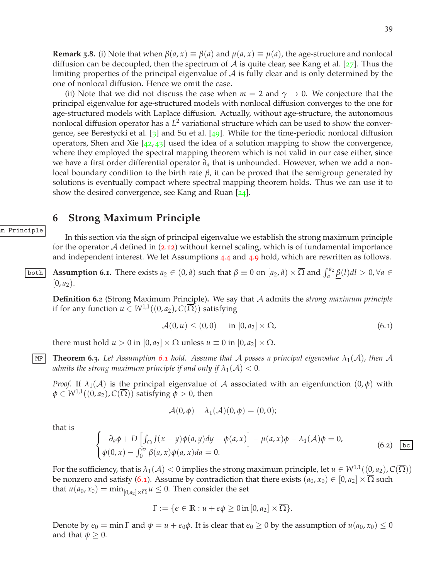**Remark 5.8.** (i) Note that when  $\beta(a, x) \equiv \beta(a)$  and  $\mu(a, x) \equiv \mu(a)$ , the age-structure and nonlocal diffusion can be decoupled, then the spectrum of  $A$  is quite clear, see Kang et al. [[27](#page-47-9)]. Thus the limiting properties of the principal eigenvalue of  $\mathcal A$  is fully clear and is only determined by the one of nonlocal diffusion. Hence we omit the case.

(ii) Note that we did not discuss the case when  $m = 2$  and  $\gamma \to 0$ . We conjecture that the principal eigenvalue for age-structured models with nonlocal diffusion converges to the one for age-structured models with Laplace diffusion. Actually, without age-structure, the autonomous nonlocal diffusion operator has a *L* <sup>2</sup> variational structure which can be used to show the convergence, see Berestycki et al. [[3](#page-46-4)] and Su et al. [[49](#page-48-3)]. While for the time-periodic nonlocal diffusion operators, Shen and Xie  $[42, 43]$  $[42, 43]$  $[42, 43]$  $[42, 43]$  $[42, 43]$  used the idea of a solution mapping to show the convergence, where they employed the spectral mapping theorem which is not valid in our case either, since we have a first order differential operator *∂<sup>a</sup>* that is unbounded. However, when we add a nonlocal boundary condition to the birth rate *β*, it can be proved that the semigroup generated by solutions is eventually compact where spectral mapping theorem holds. Thus we can use it to show the desired convergence, see Kang and Ruan [[24](#page-47-13)].

## <span id="page-38-0"></span>**6 Strong Maximum Principle**

In this section via the sign of principal eigenvalue we establish the strong maximum principle for the operator  $A$  defined in (2.[12](#page-7-0)) without kernel scaling, which is of fundamental importance and independent interest. We let Assumptions [4](#page-18-0).4 and [4](#page-22-1).9 hold, which are rewritten as follows.

<span id="page-38-1"></span>**Assumption 6.1.** There exists  $a_2 \in (0, \hat{a})$  such that  $\beta \equiv 0$  on  $[a_2, \hat{a}) \times \overline{\Omega}$  and  $\int_a^{a_2} \underline{\beta}(l) dl > 0$ ,  $\forall a \in \mathbb{R}$  $[0, a_2)$ .

**Definition 6.2** (Strong Maximum Principle)**.** We say that A admits the *strong maximum principle* if for any function  $u \in W^{1,1}((0, a_2), C(\overline{\Omega}))$  satisfying

<span id="page-38-2"></span>
$$
\mathcal{A}(0, u) \le (0, 0) \quad \text{in } [0, a_2] \times \Omega,
$$
\n
$$
(6.1)
$$

there must hold  $u > 0$  in  $[0, a_2] \times \Omega$  unless  $u \equiv 0$  in  $[0, a_2] \times \Omega$ .

**MP Theorem [6](#page-38-1).3.** Let Assumption 6.1 hold. Assume that A posses a principal eigenvalue  $\lambda_1(\mathcal{A})$ , then A *admits the strong maximum principle if and only if*  $\lambda_1(\mathcal{A}) < 0$ .

*Proof.* If  $\lambda_1(\mathcal{A})$  is the principal eigenvalue of A associated with an eigenfunction  $(0, \phi)$  with  $\phi \in W^{1,1}((0, a_2), C(\Omega))$  satisfying  $\phi > 0$ , then

$$
\mathcal{A}(0,\phi)-\lambda_1(\mathcal{A})(0,\phi)=(0,0);
$$

that is

m Principle

$$
\begin{cases}\n-\partial_a \phi + D \left[ \int_{\Omega} J(x - y) \phi(a, y) dy - \phi(a, x) \right] - \mu(a, x) \phi - \lambda_1(\mathcal{A}) \phi = 0, \\
\phi(0, x) - \int_0^{a_2} \beta(a, x) \phi(a, x) da = 0.\n\end{cases}
$$
\n(6.2)  $\boxed{\text{bc}}$ 

For the sufficiency, that is  $\lambda_1(\mathcal{A}) < 0$  implies the strong maximum principle, let  $u \in W^{1,1}((0, a_2), C(\overline{\Omega}))$ be nonzero and satisfy ([6](#page-38-2).1). Assume by contradiction that there exists  $(a_0, x_0) \in [0, a_2] \times \overline{\Omega}$  such that  $u(a_0, x_0) = \min_{[0,a_2] \times \overline{\Omega}} u \leq 0$ . Then consider the set

$$
\Gamma:=\{\epsilon\in\mathbb{R}:u+\epsilon\phi\geq 0\,\text{in}\,[0,a_2]\times\overline{\Omega}\}.
$$

Denote by  $\epsilon_0 = \min \Gamma$  and  $\psi = u + \epsilon_0 \phi$ . It is clear that  $\epsilon_0 \ge 0$  by the assumption of  $u(a_0, x_0) \le 0$ and that  $\psi \geq 0$ .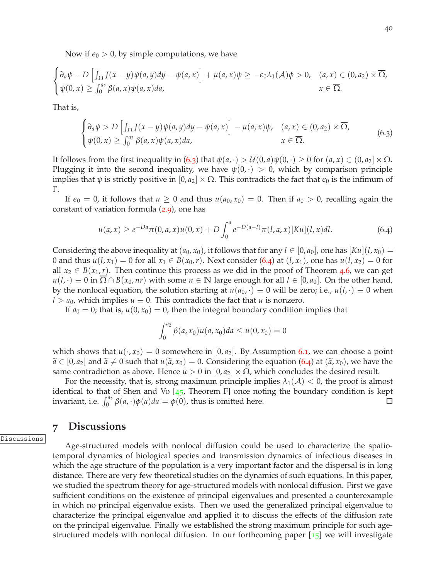Now if  $\epsilon_0 > 0$ , by simple computations, we have

$$
\begin{cases} \partial_a \psi - D \left[ \int_{\Omega} J(x - y) \psi(a, y) dy - \psi(a, x) \right] + \mu(a, x) \psi \ge -\epsilon_0 \lambda_1(\mathcal{A}) \phi > 0, & (a, x) \in (0, a_2) \times \overline{\Omega}, \\ \psi(0, x) \ge \int_0^{a_2} \beta(a, x) \psi(a, x) da, & x \in \overline{\Omega}. \end{cases}
$$

That is,

<span id="page-39-1"></span>
$$
\begin{cases} \partial_a \psi > D \left[ \int_{\Omega} J(x - y) \psi(a, y) dy - \psi(a, x) \right] - \mu(a, x) \psi, & (a, x) \in (0, a_2) \times \overline{\Omega}, \\ \psi(0, x) \ge \int_0^{a_2} \beta(a, x) \psi(a, x) da, & x \in \overline{\Omega}. \end{cases} \tag{6.3}
$$

It follows from the first inequality in ([6](#page-39-1).3) that  $\psi(a, \cdot) > \mathcal{U}(0, a)\psi(0, \cdot) \geq 0$  for  $(a, x) \in (0, a_2] \times \Omega$ . Plugging it into the second inequality, we have  $\psi(0, \cdot) > 0$ , which by comparison principle implies that  $\psi$  is strictly positive in  $[0, a_2] \times \Omega$ . This contradicts the fact that  $\epsilon_0$  is the infimum of Γ.

If  $\epsilon_0 = 0$ , it follows that  $u \geq 0$  and thus  $u(a_0, x_0) = 0$ . Then if  $a_0 > 0$ , recalling again the constant of variation formula ([2](#page-6-2).9), one has

<span id="page-39-2"></span>
$$
u(a,x) \ge e^{-Da}\pi(0,a,x)u(0,x) + D\int_0^a e^{-D(a-l)}\pi(l,a,x)[Ku](l,x)dl.
$$
 (6.4)

Considering the above inequality at  $(a_0, x_0)$ , it follows that for any  $l \in [0, a_0]$ , one has  $\vert Ku \vert (l, x_0) =$ 0 and thus  $u(l, x_1) = 0$  for all  $x_1 \in B(x_0, r)$ . Next consider ([6](#page-39-2).4) at  $(l, x_1)$ , one has  $u(l, x_2) = 0$  for all  $x_2 \in B(x_1, r)$ . Then continue this process as we did in the proof of Theorem [4](#page-18-4).6, we can get  $u(l, \cdot) \equiv 0$  in  $\Omega \cap B(x_0, nr)$  with some  $n \in \mathbb{N}$  large enough for all  $l \in [0, a_0]$ . On the other hand, by the nonlocal equation, the solution starting at  $u(a_0, \cdot) \equiv 0$  will be zero; i.e.,  $u(l, \cdot) \equiv 0$  when *l* >  $a_0$ , which implies  $u \equiv 0$ . This contradicts the fact that *u* is nonzero.

If  $a_0 = 0$ ; that is,  $u(0, x_0) = 0$ , then the integral boundary condition implies that

$$
\int_0^{a_2} \beta(a, x_0) u(a, x_0) da \le u(0, x_0) = 0
$$

which shows that  $u(\cdot, x_0) = 0$  somewhere in  $[0, a_2]$ . By Assumption [6](#page-38-1).1, we can choose a point  $\widetilde{a} \in [0, a_2]$  and  $\widetilde{a} \neq 0$  such that  $u(\widetilde{a}, x_0) = 0$ . Considering the equation ([6](#page-39-2).4) at  $(\widetilde{a}, x_0)$ , we have the same contradiction as above. Hence  $u > 0$  in  $[0, a_2] \times \Omega$ , which concludes the desired result.

For the necessity, that is, strong maximum principle implies  $\lambda_1(\mathcal{A}) < 0$ , the proof is almost identical to that of Shen and Vo  $[45,$  $[45,$  $[45,$  Theorem F] once noting the boundary condition is kept invariant, i.e.  $\int_0^{a_2} \beta(a, \cdot) \phi(a) da = \phi(0)$ , thus is omitted here.  $\Box$ 

# <span id="page-39-0"></span>**7 Discussions**

Discussions

Age-structured models with nonlocal diffusion could be used to characterize the spatiotemporal dynamics of biological species and transmission dynamics of infectious diseases in which the age structure of the population is a very important factor and the dispersal is in long distance. There are very few theoretical studies on the dynamics of such equations. In this paper, we studied the spectrum theory for age-structured models with nonlocal diffusion. First we gave sufficient conditions on the existence of principal eigenvalues and presented a counterexample in which no principal eigenvalue exists. Then we used the generalized principal eigenvalue to characterize the principal eigenvalue and applied it to discuss the effects of the diffusion rate on the principal eigenvalue. Finally we established the strong maximum principle for such agestructured models with nonlocal diffusion. In our forthcoming paper  $\lceil 15 \rceil$  $\lceil 15 \rceil$  $\lceil 15 \rceil$  we will investigate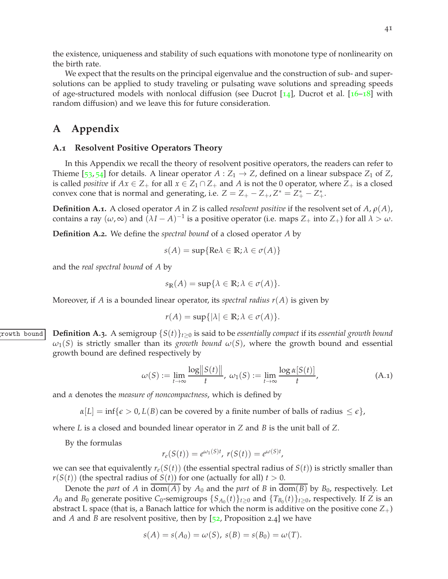the existence, uniqueness and stability of such equations with monotone type of nonlinearity on the birth rate.

We expect that the results on the principal eigenvalue and the construction of sub- and supersolutions can be applied to study traveling or pulsating wave solutions and spreading speeds of age-structured models with nonlocal diffusion (see Ducrot  $[14]$  $[14]$  $[14]$ , Ducrot et al.  $[16–18]$  $[16–18]$  $[16–18]$  $[16–18]$  $[16–18]$  with random diffusion) and we leave this for future consideration.

# <span id="page-40-0"></span>**A Appendix**

#### <span id="page-40-1"></span>**A.1 Resolvent Positive Operators Theory**

In this Appendix we recall the theory of resolvent positive operators, the readers can refer to Thieme [[53](#page-49-4), [54](#page-49-5)] for details. A linear operator  $A: Z_1 \rightarrow Z$ , defined on a linear subspace  $Z_1$  of  $Z$ , is called *positive* if  $Ax \in Z_+$  for all  $x \in Z_1 \cap Z_+$  and  $A$  is not the 0 operator, where  $Z_+$  is a closed convex cone that is normal and generating, i.e.  $Z = Z_+ - Z_+, Z^* = Z^* + -Z^* +$ .

<span id="page-40-4"></span>**Definition A.1.** A closed operator *A* in *Z* is called *resolvent positive* if the resolvent set of *A*, *ρ*(*A*), contains a ray  $(\omega, \infty)$  and  $(\lambda I - A)^{-1}$  is a positive operator (i.e. maps  $Z_+$  into  $Z_+$ ) for all  $\lambda > \omega$ .

<span id="page-40-3"></span>**Definition A.2.** We define the *spectral bound* of a closed operator *A* by

$$
s(A) = \sup\{\text{Re}\lambda \in \mathbb{R}; \lambda \in \sigma(A)\}
$$

and the *real spectral bound* of *A* by

$$
s_{\mathbb{R}}(A) = \sup \{ \lambda \in \mathbb{R}; \lambda \in \sigma(A) \}.
$$

<span id="page-40-5"></span>Moreover, if *A* is a bounded linear operator, its *spectral radius r*(*A*) is given by

$$
r(A) = \sup\{|\lambda| \in \mathbb{R}; \lambda \in \sigma(A)\}.
$$

growth bound **Definition A.3.** A semigroup {*S*(*t*)}*t*≥<sup>0</sup> is said to be *essentially compact* if its *essential growth bound*  $\omega_1(S)$  is strictly smaller than its *growth bound*  $\omega(S)$ , where the growth bound and essential growth bound are defined respectively by

<span id="page-40-2"></span>
$$
\omega(S) := \lim_{t \to \infty} \frac{\log ||S(t)||}{t}, \ \omega_1(S) := \lim_{t \to \infty} \frac{\log \alpha[S(t)]}{t}, \tag{A.1}
$$

,

and *α* denotes the *measure of noncompactness*, which is defined by

 $\alpha[L] = \inf\{\epsilon > 0, L(B) \text{ can be covered by a finite number of balls of radius  $\leq \epsilon\}$ ,$ 

where *L* is a closed and bounded linear operator in *Z* and *B* is the unit ball of *Z*.

By the formulas

$$
r_e(S(t)) = e^{\omega_1(S)t}
$$
,  $r(S(t)) = e^{\omega(S)t}$ 

we can see that equivalently  $r_e(S(t))$  (the essential spectral radius of  $S(t)$ ) is strictly smaller than  $r(S(t))$  (the spectral radius of  $S(t)$ ) for one (actually for all)  $t > 0$ .

Denote the *part* of *A* in dom(*A*) by  $A_0$  and the *part* of *B* in dom(*B*) by  $B_0$ , respectively. Let  $A_0$  and  $B_0$  generate positive  $C_0$ -semigroups  $\{S_{A_0}(t)\}_{t\geq 0}$  and  $\{T_{B_0}(t)\}_{t\geq 0}$ , respectively. If  $Z$  is an abstract L space (that is, a Banach lattice for which the norm is additive on the positive cone  $Z_+$ ) and *A* and *B* are resolvent positive, then by  $[52,$  $[52,$  $[52,$  Proposition 2.4] we have

$$
s(A) = s(A_0) = \omega(S), \ s(B) = s(B_0) = \omega(T).
$$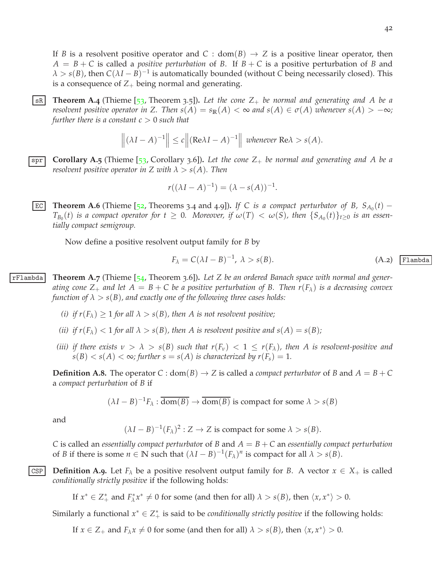42

If *B* is a resolvent positive operator and *C* : dom(*B*)  $\rightarrow$  *Z* is a positive linear operator, then  $A = B + C$  is called a *positive perturbation* of *B*. If  $B + C$  is a positive perturbation of *B* and  $\lambda > s(B)$ , then  $C(\lambda I - B)^{-1}$  is automatically bounded (without *C* being necessarily closed). This is a consequence of  $Z_+$  being normal and generating.

<span id="page-41-1"></span>**EX Theorem A.4** (Thieme [[53](#page-49-4), Theorem 3.5]). Let the cone  $Z_+$  be normal and generating and A be a *resolvent positive operator in* Z. Then  $s(A) = s_{\mathbb{R}}(A) < \infty$  and  $s(A) \in \sigma(A)$  whenever  $s(A) > -\infty$ ; *further there is a constant*  $c > 0$  *such that* 

$$
\left\| (\lambda I - A)^{-1} \right\| \le c \left\| (\text{Re}\lambda I - A)^{-1} \right\| \text{ whenever } \text{Re}\lambda > s(A).
$$

<span id="page-41-0"></span> $\overline{\text{spr}}$  **Corollary A.5** (Thieme [[53](#page-49-4), Corollary 3.6]). Let the cone  $Z_+$  be normal and generating and A be a *resolvent positive operator in* Z with  $\lambda > s(A)$ . Then

$$
r((\lambda I - A)^{-1}) = (\lambda - s(A))^{-1}.
$$

<span id="page-41-4"></span>**EC** Theorem A.6 (Thieme [[52](#page-49-6), Theorems 3.4 and 4.9]). If C is a compact perturbator of B,  $S_{A_0}(t)$  –  $T_{B_0}(t)$  *is a compact operator for*  $t \geq 0$ . Moreover, if  $\omega(T) < \omega(S)$ , then  $\{S_{A_0}(t)\}_{t \geq 0}$  *is an essentially compact semigroup.*

<span id="page-41-2"></span>Now define a positive resolvent output family for *B* by

$$
F_{\lambda} = C(\lambda I - B)^{-1}, \ \lambda > s(B).
$$
 (A.2) Flambda

rFlambda **Theorem A.7** (Thieme [[54](#page-49-5), Theorem 3.6])**.** *Let Z be an ordered Banach space with normal and generating cone*  $Z_+$  *and let*  $A = B + C$  *be a positive perturbation of* B. Then  $r(F_\lambda)$  *is a decreasing convex function of*  $\lambda > s(B)$ *, and exactly one of the following three cases holds:* 

- *(i) if*  $r(F_{\lambda}) \geq 1$  *for all*  $\lambda > s(B)$ *, then A is not resolvent positive;*
- *(ii) if*  $r(F_{\lambda}) < 1$  *for all*  $\lambda > s(B)$ *, then A is resolvent positive and*  $s(A) = s(B)$ *;*
- *(iii) if there exists*  $\nu > \lambda > s(B)$  *such that*  $r(F_\nu) < 1 \leq r(F_\lambda)$ *, then A is resolvent-positive and*  $s(B) < s(A) < \infty$ ; further  $s = s(A)$  is characterized by  $r(F_s) = 1$ .

**Definition A.8.** The operator  $C: dom(B) \rightarrow Z$  is called a *compact perturbator* of *B* and  $A = B + C$ a *compact perturbation* of *B* if

$$
(\lambda I - B)^{-1} F_{\lambda} : \overline{\text{dom}(B)} \to \overline{\text{dom}(B)}
$$
 is compact for some  $\lambda > s(B)$ 

and

$$
(\lambda I - B)^{-1}(F_{\lambda})^2 : Z \to Z
$$
 is compact for some  $\lambda > s(B)$ .

*C* is called an *essentially compact perturbato*r of *B* and *A* = *B* + *C* an *essentially compact perturbation* of *B* if there is some  $n \in \mathbb{N}$  such that  $(\lambda I - B)^{-1}(F_\lambda)^n$  is compact for all  $\lambda > s(B)$ .

<span id="page-41-3"></span>CSP **Definition A.9.** Let  $F_\lambda$  be a positive resolvent output family for *B*. A vector  $x \in X_+$  is called *conditionally strictly positive* if the following holds:

If  $x^* \in Z^*_+$  and  $F^*_\lambda x^* \neq 0$  for some (and then for all)  $\lambda > s(B)$ , then  $\langle x, x^* \rangle > 0$ .

Similarly a functional  $x^* \in Z^*$  is said to be *conditionally strictly positive* if the following holds:

If  $x \in Z_+$  and  $F_\lambda x \neq 0$  for some (and then for all)  $\lambda > s(B)$ , then  $\langle x, x^* \rangle > 0$ .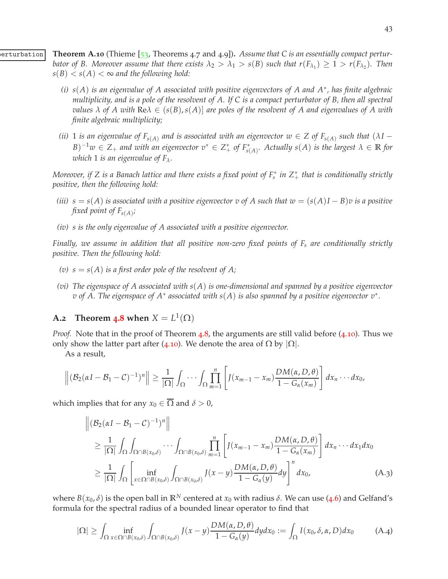**Example 1 Theorem A.10** (Thieme [[53](#page-49-4), Theorems 4.7 and 4.9]). Assume that C is an essentially compact pertur*bator of B. Moreover assume that there exists*  $\lambda_2 > \lambda_1 > s(B)$  such that  $r(F_{\lambda_1}) \geq 1 > r(F_{\lambda_2})$ . Then  $s(B) < s(A) < \infty$  and the following hold:

- <span id="page-42-1"></span>*(i) s*(*A*) *is an eigenvalue of A associated with positive eigenvectors of A and A*<sup>∗</sup> *, has finite algebraic multiplicity, and is a pole of the resolvent of A. If C is a compact perturbator of B, then all spectral values*  $\lambda$  *of*  $A$  *with*  $\text{Re}\lambda \in (s(B), s(A)]$  *are poles of the resolvent of*  $A$  *and eigenvalues of*  $A$  *with finite algebraic multiplicity;*
- *(ii)* 1 *is an eigenvalue of*  $F_{s(A)}$  *and is associated with an eigenvector*  $w \in Z$  *of*  $F_{s(A)}$  *such that*  $(\lambda I B)^{-1}w \in Z_+$  *and with an eigenvector*  $v^* \in Z_+^*$  *of*  $F_{s(A)}^*$ *. Actually*  $s(A)$  *is the largest*  $\lambda \in \mathbb{R}$  *for which* 1 *is an eigenvalue of Fλ.*

*Moreover, if Z is a Banach lattice and there exists a fixed point of F* ∗ *s in Z*<sup>∗</sup> <sup>+</sup> *that is conditionally strictly positive, then the following hold:*

- *(iii)*  $s = s(A)$  *is associated with a positive eigenvector v of A such that*  $w = (s(A)I B)v$  *is a positive fixed point of Fs*(*A*) *;*
- *(iv) s is the only eigenvalue of A associated with a positive eigenvector.*

*Finally, we assume in addition that all positive non-zero fixed points of F<sup>s</sup> are conditionally strictly positive. Then the following hold:*

- (*v*)  $s = s(A)$  *is a first order pole of the resolvent of A;*
- *(vi) The eigenspace of A associated with s*(*A*) *is one-dimensional and spanned by a positive eigenvector v of A. The eigenspace of A*<sup>∗</sup> *associated with s*(*A*) *is also spanned by a positive eigenvector v*<sup>∗</sup> *.*

# <span id="page-42-0"></span>**A.2 Theorem [4](#page-20-0).8** when  $X = L^1(\Omega)$

*Proof.* Note that in the proof of Theorem [4](#page-20-0).8, the arguments are still valid before (4.[10](#page-21-1)). Thus we only show the latter part after (4.[10](#page-21-1)). We denote the area of  $\Omega$  by  $|\Omega|$ .

As a result,

$$
\left\| \left( \mathcal{B}_2(\alpha I - \mathcal{B}_1 - \mathcal{C})^{-1} \right)^n \right\| \geq \frac{1}{|\Omega|} \int_{\Omega} \cdots \int_{\Omega} \prod_{m=1}^n \left[ J(x_{m-1} - x_m) \frac{DM(\alpha, D, \theta)}{1 - G_{\alpha}(x_m)} \right] dx_n \cdots dx_0,
$$

which implies that for any  $x_0 \in \overline{\Omega}$  and  $\delta > 0$ ,

$$
\begin{split}\n\left\| \left( \mathcal{B}_{2}(\alpha I - \mathcal{B}_{1} - C)^{-1} \right)^{n} \right\| \\
&\geq \frac{1}{|\Omega|} \int_{\Omega} \int_{\Omega \cap B(x_{0}, \delta)} \cdots \int_{\Omega \cap B(x_{0}, \delta)} \prod_{m=1}^{n} \left[ J(x_{m-1} - x_{m}) \frac{DM(\alpha, D, \theta)}{1 - G_{\alpha}(x_{m})} \right] dx_{n} \cdots dx_{1} dx_{0} \\
&\geq \frac{1}{|\Omega|} \int_{\Omega} \left[ \inf_{x \in \Omega \cap B(x_{0}, \delta)} \int_{\Omega \cap B(x_{0}, \delta)} J(x - y) \frac{DM(\alpha, D, \theta)}{1 - G_{\alpha}(y)} dy \right]^{n} dx_{0},\n\end{split} \tag{A.3}
$$

where  $B(x_0, \delta)$  is the open ball in  $\mathbb{R}^N$  centered at  $x_0$  with radius  $\delta$ . We can use ([4](#page-20-2).6) and Gelfand's formula for the spectral radius of a bounded linear operator to find that

<span id="page-42-2"></span>
$$
|\Omega| \ge \int_{\Omega} \inf_{x \in \Omega \cap B(x_0, \delta)} \int_{\Omega \cap B(x_0, \delta)} J(x - y) \frac{DM(\alpha, D, \theta)}{1 - G_{\alpha}(y)} dy dx_0 := \int_{\Omega} I(x_0, \delta, \alpha, D) dx_0 \tag{A.4}
$$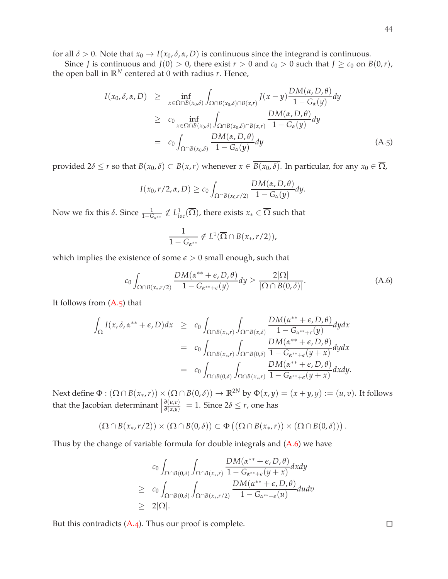for all  $\delta > 0$ . Note that  $x_0 \to I(x_0, \delta, \alpha, D)$  is continuous since the integrand is continuous.

Since *J* is continuous and  $J(0) > 0$ , there exist  $r > 0$  and  $c_0 > 0$  such that  $J \ge c_0$  on  $B(0,r)$ , the open ball in  $\mathbb{R}^N$  centered at 0 with radius *r*. Hence,

<span id="page-43-0"></span>
$$
I(x_0, \delta, \alpha, D) \geq \inf_{x \in \Omega \cap B(x_0, \delta)} \int_{\Omega \cap B(x_0, \delta) \cap B(x, r)} I(x - y) \frac{DM(\alpha, D, \theta)}{1 - G_{\alpha}(y)} dy
$$
  
\n
$$
\geq c_0 \inf_{x \in \Omega \cap B(x_0, \delta)} \int_{\Omega \cap B(x_0, \delta) \cap B(x, r)} \frac{DM(\alpha, D, \theta)}{1 - G_{\alpha}(y)} dy
$$
  
\n
$$
= c_0 \int_{\Omega \cap B(x_0, \delta)} \frac{DM(\alpha, D, \theta)}{1 - G_{\alpha}(y)} dy
$$
(A.5)

provided  $2\delta \le r$  so that  $B(x_0, \delta) \subset B(x, r)$  whenever  $x \in \overline{B(x_0, \delta)}$ . In particular, for any  $x_0 \in \overline{\Omega}$ ,

$$
I(x_0,r/2,\alpha,D) \geq c_0 \int_{\Omega \cap B(x_0,r/2)} \frac{DM(\alpha,D,\theta)}{1-G_{\alpha}(y)} dy.
$$

Now we fix this  $\delta$ . Since  $\frac{1}{1-G_{\alpha^{**}}} \notin L^1_{loc}(\overline{\Omega})$ , there exists  $x_* \in \overline{\Omega}$  such that

$$
\frac{1}{1-G_{\alpha^{**}}}\notin L^1(\overline{\Omega}\cap B(x_*,r/2)),
$$

which implies the existence of some  $\epsilon > 0$  small enough, such that

<span id="page-43-1"></span>
$$
c_0 \int_{\Omega \cap B(x_*,r/2)} \frac{DM(\alpha^{**}+\epsilon, D,\theta)}{1-G_{\alpha^{**}+\epsilon}(y)} dy \geq \frac{2|\Omega|}{|\Omega \cap B(0,\delta)|}.
$$
 (A.6)

It follows from  $(A.5)$  that

$$
\int_{\Omega} I(x, \delta, \alpha^{**} + \epsilon, D) dx \geq c_0 \int_{\Omega \cap B(x_*, r)} \int_{\Omega \cap B(x, \delta)} \frac{DM(\alpha^{**} + \epsilon, D, \theta)}{1 - G_{\alpha^{**} + \epsilon}(y)} dy dx \n= c_0 \int_{\Omega \cap B(x_*, r)} \int_{\Omega \cap B(0, \delta)} \frac{DM(\alpha^{**} + \epsilon, D, \theta)}{1 - G_{\alpha^{**} + \epsilon}(y + x)} dy dx \n= c_0 \int_{\Omega \cap B(0, \delta)} \int_{\Omega \cap B(x_*, r)} \frac{DM(\alpha^{**} + \epsilon, D, \theta)}{1 - G_{\alpha^{**} + \epsilon}(y + x)} dx dy.
$$

Next define  $\Phi : (\Omega \cap B(x_*, r)) \times (\Omega \cap B(0, \delta)) \to \mathbb{R}^{2N}$  by  $\Phi(x, y) = (x + y, y) := (u, v)$ . It follows that the Jacobian determinant *∂*(*u*,*v*) *∂*(*x*,*y*)  $= 1.$  Since  $2\delta \le r$ , one has

$$
(\Omega \cap B(x_*,r/2)) \times (\Omega \cap B(0,\delta)) \subset \Phi((\Omega \cap B(x_*,r)) \times (\Omega \cap B(0,\delta))).
$$

Thus by the change of variable formula for double integrals and  $(A.6)$  we have

$$
c_0 \int_{\Omega \cap B(0,\delta)} \int_{\Omega \cap B(x_*,r)} \frac{DM(\alpha^{**} + \epsilon, D, \theta)}{1 - G_{\alpha^{**} + \epsilon}(y + x)} dxdy
$$
  
\n
$$
\geq c_0 \int_{\Omega \cap B(0,\delta)} \int_{\Omega \cap B(x_*,r/2)} \frac{DM(\alpha^{**} + \epsilon, D, \theta)}{1 - G_{\alpha^{**} + \epsilon}(u)} dudv
$$
  
\n
$$
\geq 2|\Omega|.
$$

But this contradicts  $(A.4)$ . Thus our proof is complete.

 $\Box$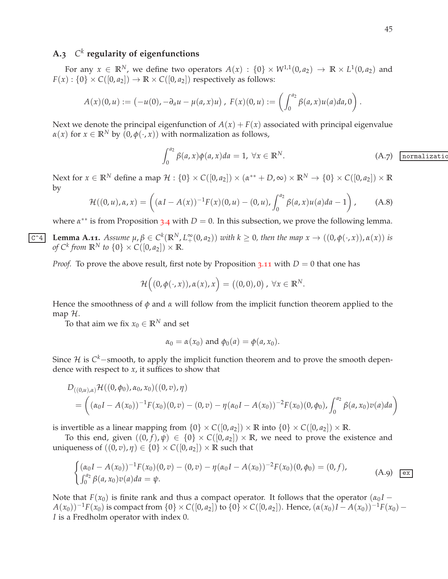# <span id="page-44-0"></span>**A.3** *C k* **regularity of eigenfunctions**

For any  $x \in \mathbb{R}^N$ , we define two operators  $A(x) : \{0\} \times W^{1,1}(0,a_2) \to \mathbb{R} \times L^1(0,a_2)$  and  $F(x)$ :  $\{0\} \times C([0, a_2]) \rightarrow \mathbb{R} \times C([0, a_2])$  respectively as follows:

$$
A(x)(0, u) := (-u(0), -\partial_a u - \mu(a, x)u), \ F(x)(0, u) := \left(\int_0^{a_2} \beta(a, x)u(a)da, 0\right).
$$

Next we denote the principal eigenfunction of  $A(x) + F(x)$  associated with principal eigenvalue  $\alpha(x)$  for  $x \in \mathbb{R}^N$  by  $(0, \phi(\cdot, x))$  with normalization as follows,

<span id="page-44-3"></span>
$$
\int_0^{a_2} \beta(a, x) \phi(a, x) da = 1, \ \forall x \in \mathbb{R}^N.
$$
 (A.7) normalized

Next for  $x \in \mathbb{R}^N$  define a map  $\mathcal{H} : \{0\} \times C([0, a_2]) \times (\alpha^{**} + D, \infty) \times \mathbb{R}^N \to \{0\} \times C([0, a_2]) \times \mathbb{R}$ by

$$
\mathcal{H}((0, u), \alpha, x) = \left( (\alpha I - A(x))^{-1} F(x) (0, u) - (0, u), \int_0^{a_2} \beta(a, x) u(a) da - 1 \right), \quad (A.8)
$$

<span id="page-44-1"></span>where  $\alpha^{**}$  is from Proposition [3](#page-9-3).4 with  $D = 0$ . In this subsection, we prove the following lemma.

**C**<sup>-4</sup> Lemma A.11. Assume  $\mu, \beta \in C^k(\mathbb{R}^N, L_+^{\infty}(0, a_2))$  with  $k \ge 0$ , then the map  $x \to ((0, \phi(\cdot, x)), \alpha(x))$  is *of*  $C^k$  *from*  $\mathbb{R}^N$  *to*  $\{0\} \times C([0, a_2]) \times \mathbb{R}$ *.* 

*Proof.* To prove the above result, first note by Proposition 3.[11](#page-13-9) with  $D = 0$  that one has

$$
\mathcal{H}\Big((0,\phi(\cdot,x)),\alpha(x),x\Big)=\big((0,0),0\big),\,\forall x\in\mathbb{R}^N.
$$

Hence the smoothness of *φ* and *α* will follow from the implicit function theorem applied to the map H.

To that aim we fix  $x_0 \in \mathbb{R}^N$  and set

$$
\alpha_0 = \alpha(x_0) \text{ and } \phi_0(a) = \phi(a, x_0).
$$

Since H is C<sup>k</sup>−smooth, to apply the implicit function theorem and to prove the smooth dependence with respect to  $x$ , it suffices to show that

$$
D_{((0,u),\alpha)}\mathcal{H}((0,\phi_0),\alpha_0,x_0)((0,v),\eta)
$$
  
= 
$$
\left((\alpha_0I - A(x_0))^{-1}F(x_0)(0,v) - (0,v) - \eta(\alpha_0I - A(x_0))^{-2}F(x_0)(0,\phi_0), \int_0^{a_2} \beta(a,x_0)v(a)da\right)
$$

is invertible as a linear mapping from  $\{0\} \times C([0, a_2]) \times \mathbb{R}$  into  $\{0\} \times C([0, a_2]) \times \mathbb{R}$ .

To this end, given  $((0, f), \psi) \in \{0\} \times C([0, a_2]) \times \mathbb{R}$ , we need to prove the existence and uniqueness of  $((0, v), \eta) \in \{0\} \times C([0, a_2]) \times \mathbb{R}$  such that

<span id="page-44-2"></span>
$$
\begin{cases} (\alpha_0 I - A(x_0))^{-1} F(x_0) (0, v) - (0, v) - \eta (\alpha_0 I - A(x_0))^{-2} F(x_0) (0, \phi_0) = (0, f), \\ \int_0^{a_2} \beta(a, x_0) v(a) da = \psi. \end{cases}
$$
 (A.9)  $\boxed{\text{ex}}$ 

Note that  $F(x_0)$  is finite rank and thus a compact operator. It follows that the operator  $(a_0 I -$ *A*(*x*<sub>0</sub>))<sup>−1</sup>*F*(*x*<sub>0</sub>) is compact from {0} × *C*([0, *a*<sub>2</sub>]) to {0} × *C*([0, *a*<sub>2</sub>]). Hence, (*α*(*x*<sub>0</sub>)*I* − *A*(*x*<sub>0</sub>))<sup>−1</sup>*F*(*x*<sub>0</sub>) − *I* is a Fredholm operator with index 0.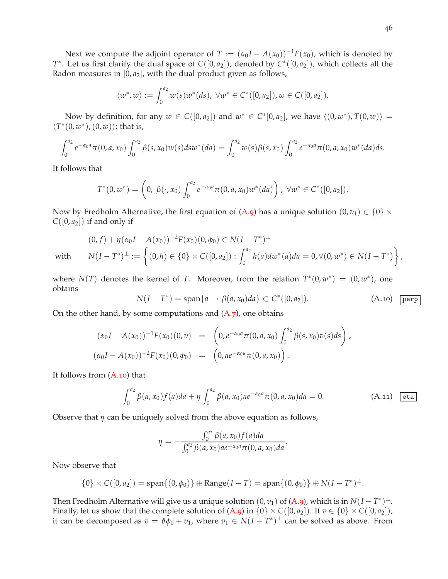Next we compute the adjoint operator of *T* :=  $(\alpha_0 I - A(x_0))^{-1}F(x_0)$ , which is denoted by *T*<sup>∗</sup>. Let us first clarify the dual space of *C*([0, *a*<sub>2</sub>]), denoted by *C*<sup>∗</sup>([0, *a*<sub>2</sub>]), which collects all the Radon measures in  $[0, a_2]$ , with the dual product given as follows,

$$
\langle w^*, w \rangle := \int_0^{a_2} w(s) w^*(ds), \ \forall w^* \in C^*([0, a_2]), w \in C([0, a_2]).
$$

Now by definition, for any  $w \in C([0, a_2])$  and  $w^* \in C^*[0, a_2]$ , we have  $\langle (0, w^*) , T(0, w) \rangle =$  $\langle T^*(0, w^*)$ ,  $(0, w)$ ); that is,

$$
\int_0^{a_2} e^{-\alpha_0 a} \pi(0, a, x_0) \int_0^{a_2} \beta(s, x_0) w(s) ds w^*(da) = \int_0^{a_2} w(s) \beta(s, x_0) \int_0^{a_2} e^{-\alpha_0 a} \pi(0, a, x_0) w^*(da) ds.
$$

It follows that

$$
T^*(0,w^*)=\left(0,\ \beta(\cdot,x_0)\int_0^{a_2}e^{-\alpha_0a}\pi(0,a,x_0)w^*(da)\right),\ \forall w^*\in C^*([0,a_2]).
$$

Now by Fredholm Alternative, the first equation of [\(A.](#page-44-2)9) has a unique solution  $(0, v_1) \in \{0\} \times$  $C([0, a_2])$  if and only if

 $(0, f) + \eta (\alpha_0 I - A(x_0))^{-2} F(x_0) (0, \phi_0) \in N(I - T^*)^{\perp}$ with  $N(I - T^*)^{\perp} := \left\{$  $(0, h) \in \{0\} \times C([0, a_2]) : \int_{0}^{a_2}$  $\int_0^{T_2} h(a) dw^*(a) da = 0, \forall (0, w^*) \in N(I - T^*)$  $\mathcal{L}$ ,

where  $N(T)$  denotes the kernel of *T*. Moreover, from the relation  $T^*(0, w^*) = (0, w^*)$ , one obtains

<span id="page-45-0"></span>
$$
N(I - T^*) = \text{span}\{a \to \beta(a, x_0)da\} \subset C^*([0, a_2]). \tag{A.10}
$$
 [perp]

On the other hand, by some computations and  $(A.7)$ , one obtains

$$
(\alpha_0 I - A(x_0))^{-1} F(x_0) (0, v) = \left( 0, e^{-\alpha_0 a} \pi(0, a, x_0) \int_0^{a_2} \beta(s, x_0) v(s) ds \right),
$$
  

$$
(\alpha_0 I - A(x_0))^{-2} F(x_0) (0, \phi_0) = \left( 0, a e^{-\alpha_0 a} \pi(0, a, x_0) \right).
$$

It follows from [\(A.](#page-45-0)10) that

$$
\int_0^{a_2} \beta(a, x_0) f(a) da + \eta \int_0^{a_2} \beta(a, x_0) a e^{-\alpha_0 a} \pi(0, a, x_0) da = 0.
$$
 (A.11) eta

Observe that  $\eta$  can be uniquely solved from the above equation as follows,

$$
\eta = -\frac{\int_0^{a_2} \beta(a, x_0) f(a) da}{\int_0^{a_2} \beta(a, x_0) ae^{-\alpha_0 a} \pi(0, a, x_0) da}.
$$

Now observe that

$$
\{0\} \times C([0,a_2]) = \text{span}\{(0,\phi_0)\} \oplus \text{Range}(I-T) = \text{span}\{(0,\phi_0)\} \oplus N(I-T^*)^{\perp}.
$$

Then Fredholm Alternative will give us a unique solution  $(0, v_1)$  of [\(A.](#page-44-2)9), which is in  $N(I - T^*)^{\perp}$ . Finally, let us show that the complete solution of  $(A.9)$  $(A.9)$  in  $\{0\} \times C([0, a_2])$ . If  $v \in \{0\} \times C([0, a_2])$ , it can be decomposed as  $v = \vartheta \phi_0 + v_1$ , where  $v_1 \in N(I - T^*)^{\perp}$  can be solved as above. From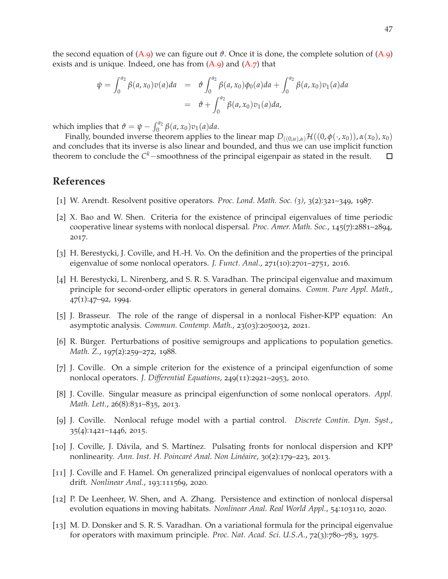the second equation of  $(A.9)$  $(A.9)$  we can figure out  $\vartheta$ . Once it is done, the complete solution of  $(A.9)$ exists and is unique. Indeed, one has from  $(A.9)$  and  $(A.7)$  that

$$
\psi = \int_0^{a_2} \beta(a, x_0) v(a) da = \vartheta \int_0^{a_2} \beta(a, x_0) \phi_0(a) da + \int_0^{a_2} \beta(a, x_0) v_1(a) da
$$
  
=  $\vartheta + \int_0^{a_2} \beta(a, x_0) v_1(a) da$ ,

which implies that  $\vartheta = \psi - \int_0^{a_2} \beta(a, x_0) v_1(a) da$ .

Finally, bounded inverse theorem applies to the linear map  $D_{((0,u),\alpha)}\mathcal{H}((0,\phi(\cdot,x_0)),\alpha(x_0),x_0)$ and concludes that its inverse is also linear and bounded, and thus we can use implicit function theorem to conclude the C<sup>k</sup>−smoothness of the principal eigenpair as stated in the result. □

## <span id="page-46-11"></span><span id="page-46-0"></span>**References**

- <span id="page-46-12"></span>[1] W. Arendt. Resolvent positive operators. *Proc. Lond. Math. Soc. (3)*, 3(2):321–349, 1987.
- [2] X. Bao and W. Shen. Criteria for the existence of principal eigenvalues of time periodic cooperative linear systems with nonlocal dispersal. *Proc. Amer. Math. Soc.*, 145(7):2881–2894, 2017.
- <span id="page-46-4"></span><span id="page-46-3"></span>[3] H. Berestycki, J. Coville, and H.-H. Vo. On the definition and the properties of the principal eigenvalue of some nonlocal operators. *J. Funct. Anal.*, 271(10):2701–2751, 2016.
- [4] H. Berestycki, L. Nirenberg, and S. R. S. Varadhan. The principal eigenvalue and maximum principle for second-order elliptic operators in general domains. *Comm. Pure Appl. Math.*, 47(1):47–92, 1994.
- <span id="page-46-7"></span>[5] J. Brasseur. The role of the range of dispersal in a nonlocal Fisher-KPP equation: An asymptotic analysis. *Commun. Contemp. Math.*, 23(03):2050032, 2021.
- <span id="page-46-8"></span><span id="page-46-2"></span>[6] R. Bürger. Perturbations of positive semigroups and applications to population genetics. *Math. Z.*, 197(2):259–272, 1988.
- [7] J. Coville. On a simple criterion for the existence of a principal eigenfunction of some nonlocal operators. *J. Differential Equations*, 249(11):2921–2953, 2010.
- <span id="page-46-5"></span>[8] J. Coville. Singular measure as principal eigenfunction of some nonlocal operators. *Appl. Math. Lett.*, 26(8):831–835, 2013.
- [9] J. Coville. Nonlocal refuge model with a partial control. *Discrete Contin. Dyn. Syst.*, 35(4):1421–1446, 2015.
- <span id="page-46-6"></span>[10] J. Coville, J. Dávila, and S. Martínez. Pulsating fronts for nonlocal dispersion and KPP nonlinearity. *Ann. Inst. H. Poincar´e Anal. Non Lin´eaire*, 30(2):179–223, 2013.
- <span id="page-46-9"></span>[11] J. Coville and F. Hamel. On generalized principal eigenvalues of nonlocal operators with a drift. *Nonlinear Anal.*, 193:111569, 2020.
- <span id="page-46-10"></span>[12] P. De Leenheer, W. Shen, and A. Zhang. Persistence and extinction of nonlocal dispersal evolution equations in moving habitats. *Nonlinear Anal. Real World Appl.*, 54:103110, 2020.
- <span id="page-46-1"></span>[13] M. D. Donsker and S. R. S. Varadhan. On a variational formula for the principal eigenvalue for operators with maximum principle. *Proc. Nat. Acad. Sci. U.S.A.*, 72(3):780–783, 1975.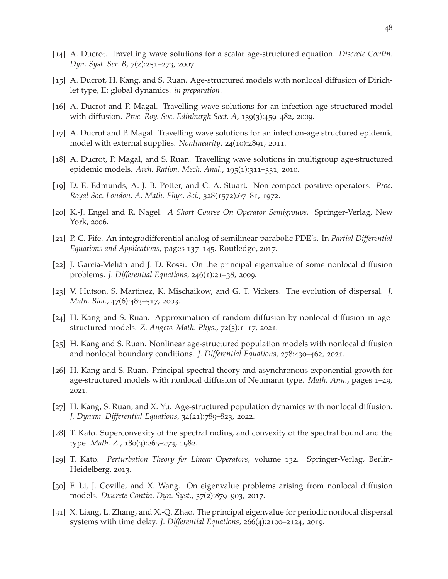- <span id="page-47-14"></span><span id="page-47-0"></span>[14] A. Ducrot. Travelling wave solutions for a scalar age-structured equation. *Discrete Contin. Dyn. Syst. Ser. B*, 7(2):251–273, 2007.
- <span id="page-47-15"></span>[15] A. Ducrot, H. Kang, and S. Ruan. Age-structured models with nonlocal diffusion of Dirichlet type, II: global dynamics. *in preparation*.
- [16] A. Ducrot and P. Magal. Travelling wave solutions for an infection-age structured model with diffusion. *Proc. Roy. Soc. Edinburgh Sect. A*, 139(3):459–482, 2009.
- <span id="page-47-16"></span>[17] A. Ducrot and P. Magal. Travelling wave solutions for an infection-age structured epidemic model with external supplies. *Nonlinearity*, 24(10):2891, 2011.
- <span id="page-47-4"></span>[18] A. Ducrot, P. Magal, and S. Ruan. Travelling wave solutions in multigroup age-structured epidemic models. *Arch. Ration. Mech. Anal.*, 195(1):311–331, 2010.
- [19] D. E. Edmunds, A. J. B. Potter, and C. A. Stuart. Non-compact positive operators. *Proc. Royal Soc. London. A. Math. Phys. Sci.*, 328(1572):67–81, 1972.
- <span id="page-47-7"></span><span id="page-47-1"></span>[20] K.-J. Engel and R. Nagel. *A Short Course On Operator Semigroups*. Springer-Verlag, New York, 2006.
- <span id="page-47-2"></span>[21] P. C. Fife. An integrodifferential analog of semilinear parabolic PDE's. In *Partial Differential Equations and Applications*, pages 137–145. Routledge, 2017.
- <span id="page-47-3"></span>[22] J. García-Melián and J. D. Rossi. On the principal eigenvalue of some nonlocal diffusion problems. *J. Differential Equations*, 246(1):21–38, 2009.
- <span id="page-47-13"></span>[23] V. Hutson, S. Martinez, K. Mischaikow, and G. T. Vickers. The evolution of dispersal. *J. Math. Biol.*, 47(6):483–517, 2003.
- [24] H. Kang and S. Ruan. Approximation of random diffusion by nonlocal diffusion in agestructured models. *Z. Angew. Math. Phys.*, 72(3):1–17, 2021.
- <span id="page-47-10"></span>[25] H. Kang and S. Ruan. Nonlinear age-structured population models with nonlocal diffusion and nonlocal boundary conditions. *J. Differential Equations*, 278:430–462, 2021.
- <span id="page-47-11"></span>[26] H. Kang and S. Ruan. Principal spectral theory and asynchronous exponential growth for age-structured models with nonlocal diffusion of Neumann type. *Math. Ann.*, pages 1–49, 2021.
- <span id="page-47-9"></span>[27] H. Kang, S. Ruan, and X. Yu. Age-structured population dynamics with nonlocal diffusion. *J. Dynam. Differential Equations*, 34(21):789–823, 2022.
- <span id="page-47-8"></span>[28] T. Kato. Superconvexity of the spectral radius, and convexity of the spectral bound and the type. *Math. Z.*, 180(3):265–273, 1982.
- <span id="page-47-12"></span>[29] T. Kato. *Perturbation Theory for Linear Operators*, volume 132. Springer-Verlag, Berlin-Heidelberg, 2013.
- <span id="page-47-5"></span>[30] F. Li, J. Coville, and X. Wang. On eigenvalue problems arising from nonlocal diffusion models. *Discrete Contin. Dyn. Syst.*, 37(2):879–903, 2017.
- <span id="page-47-6"></span>[31] X. Liang, L. Zhang, and X.-Q. Zhao. The principal eigenvalue for periodic nonlocal dispersal systems with time delay. *J. Differential Equations*, 266(4):2100–2124, 2019.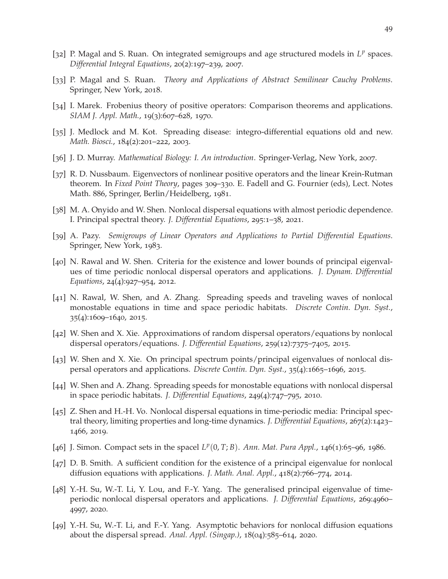- <span id="page-48-15"></span>[32] P. Magal and S. Ruan. On integrated semigroups and age structured models in L<sup>p</sup> spaces. *Differential Integral Equations*, 20(2):197–239, 2007.
- <span id="page-48-16"></span><span id="page-48-13"></span>[33] P. Magal and S. Ruan. *Theory and Applications of Abstract Semilinear Cauchy Problems*. Springer, New York, 2018.
- <span id="page-48-0"></span>[34] I. Marek. Frobenius theory of positive operators: Comparison theorems and applications. *SIAM J. Appl. Math.*, 19(3):607–628, 1970.
- <span id="page-48-1"></span>[35] J. Medlock and M. Kot. Spreading disease: integro-differential equations old and new. *Math. Biosci.*, 184(2):201–222, 2003.
- <span id="page-48-2"></span>[36] J. D. Murray. *Mathematical Biology: I. An introduction*. Springer-Verlag, New York, 2007.
- [37] R. D. Nussbaum. Eigenvectors of nonlinear positive operators and the linear Krein-Rutman theorem. In *Fixed Point Theory*, pages 309–330. E. Fadell and G. Fournier (eds), Lect. Notes Math. 886, Springer, Berlin/Heidelberg, 1981.
- <span id="page-48-14"></span><span id="page-48-12"></span>[38] M. A. Onyido and W. Shen. Nonlocal dispersal equations with almost periodic dependence. I. Principal spectral theory. *J. Differential Equations*, 295:1–38, 2021.
- <span id="page-48-4"></span>[39] A. Pazy. *Semigroups of Linear Operators and Applications to Partial Differential Equations*. Springer, New York, 1983.
- [40] N. Rawal and W. Shen. Criteria for the existence and lower bounds of principal eigenvalues of time periodic nonlocal dispersal operators and applications. *J. Dynam. Differential Equations*, 24(4):927–954, 2012.
- <span id="page-48-5"></span>[41] N. Rawal, W. Shen, and A. Zhang. Spreading speeds and traveling waves of nonlocal monostable equations in time and space periodic habitats. *Discrete Contin. Dyn. Syst.*, 35(4):1609–1640, 2015.
- <span id="page-48-7"></span><span id="page-48-6"></span>[42] W. Shen and X. Xie. Approximations of random dispersal operators/equations by nonlocal dispersal operators/equations. *J. Differential Equations*, 259(12):7375–7405, 2015.
- [43] W. Shen and X. Xie. On principal spectrum points/principal eigenvalues of nonlocal dispersal operators and applications. *Discrete Contin. Dyn. Syst.*, 35(4):1665–1696, 2015.
- <span id="page-48-8"></span>[44] W. Shen and A. Zhang. Spreading speeds for monostable equations with nonlocal dispersal in space periodic habitats. *J. Differential Equations*, 249(4):747–795, 2010.
- <span id="page-48-9"></span>[45] Z. Shen and H.-H. Vo. Nonlocal dispersal equations in time-periodic media: Principal spectral theory, limiting properties and long-time dynamics. *J. Differential Equations*, 267(2):1423– 1466, 2019.
- <span id="page-48-17"></span><span id="page-48-11"></span>[46] J. Simon. Compact sets in the spacel  $L^p(0, T; B)$ . Ann. Mat. Pura Appl., 146(1):65-96, 1986.
- [47] D. B. Smith. A sufficient condition for the existence of a principal eigenvalue for nonlocal diffusion equations with applications. *J. Math. Anal. Appl.*, 418(2):766–774, 2014.
- <span id="page-48-10"></span>[48] Y.-H. Su, W.-T. Li, Y. Lou, and F.-Y. Yang. The generalised principal eigenvalue of timeperiodic nonlocal dispersal operators and applications. *J. Differential Equations*, 269:4960– 4997, 2020.
- <span id="page-48-3"></span>[49] Y.-H. Su, W.-T. Li, and F.-Y. Yang. Asymptotic behaviors for nonlocal diffusion equations about the dispersal spread. *Anal. Appl. (Singap.)*, 18(04):585–614, 2020.